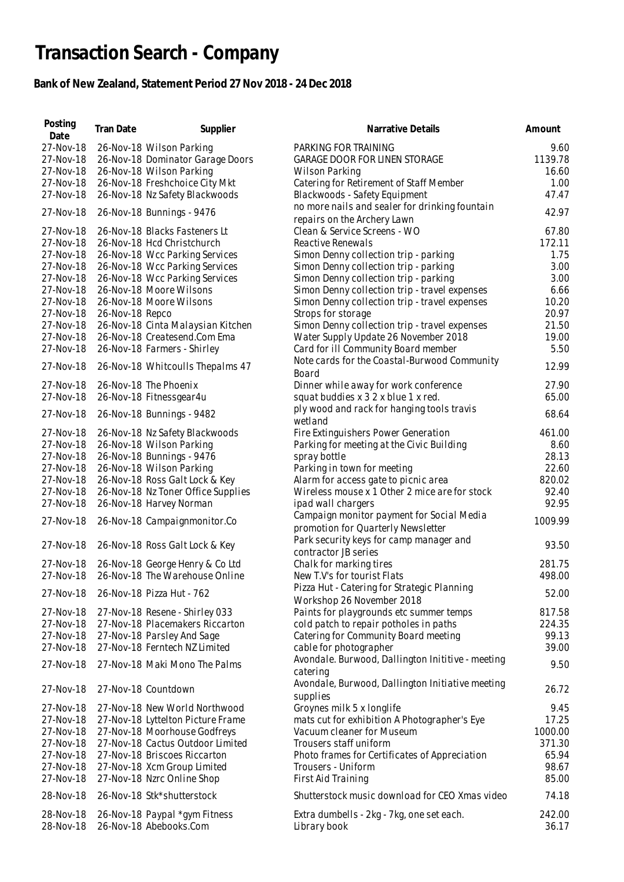## **Transaction Search - Company**

## **Bank of New Zealand, Statement Period 27 Nov 2018 - 24 Dec 2018**

| Date<br>27-Nov-18<br>PARKING FOR TRAINING<br>26-Nov-18 Wilson Parking<br>27-Nov-18<br>26-Nov-18 Dominator Garage Doors<br><b>GARAGE DOOR FOR LINEN STORAGE</b><br>26-Nov-18 Wilson Parking<br>27-Nov-18<br><b>Wilson Parking</b><br>26-Nov-18 Freshchoice City Mkt<br>Catering for Retirement of Staff Member<br>27-Nov-18<br>27-Nov-18<br>26-Nov-18 Nz Safety Blackwoods<br>Blackwoods - Safety Equipment<br>no more nails and sealer for drinking fountain<br>27-Nov-18<br>26-Nov-18 Bunnings - 9476<br>repairs on the Archery Lawn<br>26-Nov-18 Blacks Fasteners Lt<br>Clean & Service Screens - WO<br>27-Nov-18 | 9.60<br>1139.78<br>16.60<br>1.00<br>47.47<br>42.97<br>67.80<br>172.11<br>1.75<br>3.00<br>3.00 |
|---------------------------------------------------------------------------------------------------------------------------------------------------------------------------------------------------------------------------------------------------------------------------------------------------------------------------------------------------------------------------------------------------------------------------------------------------------------------------------------------------------------------------------------------------------------------------------------------------------------------|-----------------------------------------------------------------------------------------------|
|                                                                                                                                                                                                                                                                                                                                                                                                                                                                                                                                                                                                                     |                                                                                               |
|                                                                                                                                                                                                                                                                                                                                                                                                                                                                                                                                                                                                                     |                                                                                               |
|                                                                                                                                                                                                                                                                                                                                                                                                                                                                                                                                                                                                                     |                                                                                               |
|                                                                                                                                                                                                                                                                                                                                                                                                                                                                                                                                                                                                                     |                                                                                               |
|                                                                                                                                                                                                                                                                                                                                                                                                                                                                                                                                                                                                                     |                                                                                               |
|                                                                                                                                                                                                                                                                                                                                                                                                                                                                                                                                                                                                                     |                                                                                               |
|                                                                                                                                                                                                                                                                                                                                                                                                                                                                                                                                                                                                                     |                                                                                               |
|                                                                                                                                                                                                                                                                                                                                                                                                                                                                                                                                                                                                                     |                                                                                               |
| 26-Nov-18 Hcd Christchurch<br>Reactive Renewals<br>27-Nov-18                                                                                                                                                                                                                                                                                                                                                                                                                                                                                                                                                        |                                                                                               |
|                                                                                                                                                                                                                                                                                                                                                                                                                                                                                                                                                                                                                     |                                                                                               |
| 26-Nov-18 Wcc Parking Services<br>Simon Denny collection trip - parking<br>27-Nov-18                                                                                                                                                                                                                                                                                                                                                                                                                                                                                                                                |                                                                                               |
| 26-Nov-18 Wcc Parking Services<br>Simon Denny collection trip - parking<br>27-Nov-18                                                                                                                                                                                                                                                                                                                                                                                                                                                                                                                                |                                                                                               |
| 26-Nov-18 Wcc Parking Services<br>27-Nov-18<br>Simon Denny collection trip - parking                                                                                                                                                                                                                                                                                                                                                                                                                                                                                                                                |                                                                                               |
| 26-Nov-18 Moore Wilsons<br>Simon Denny collection trip - travel expenses<br>27-Nov-18                                                                                                                                                                                                                                                                                                                                                                                                                                                                                                                               | 6.66                                                                                          |
| 27-Nov-18<br>26-Nov-18 Moore Wilsons<br>Simon Denny collection trip - travel expenses                                                                                                                                                                                                                                                                                                                                                                                                                                                                                                                               | 10.20                                                                                         |
| 26-Nov-18 Repco<br>Strops for storage<br>27-Nov-18                                                                                                                                                                                                                                                                                                                                                                                                                                                                                                                                                                  | 20.97                                                                                         |
| 26-Nov-18 Cinta Malaysian Kitchen<br>Simon Denny collection trip - travel expenses<br>27-Nov-18                                                                                                                                                                                                                                                                                                                                                                                                                                                                                                                     | 21.50                                                                                         |
| 26-Nov-18 Createsend.Com Ema<br>Water Supply Update 26 November 2018<br>27-Nov-18                                                                                                                                                                                                                                                                                                                                                                                                                                                                                                                                   | 19.00                                                                                         |
| 27-Nov-18<br>26-Nov-18 Farmers - Shirley<br>Card for ill Community Board member                                                                                                                                                                                                                                                                                                                                                                                                                                                                                                                                     | 5.50                                                                                          |
| Note cards for the Coastal-Burwood Community<br>27-Nov-18<br>26-Nov-18 Whitcoulls Thepalms 47                                                                                                                                                                                                                                                                                                                                                                                                                                                                                                                       | 12.99                                                                                         |
| Board                                                                                                                                                                                                                                                                                                                                                                                                                                                                                                                                                                                                               |                                                                                               |
| 27-Nov-18<br>26-Nov-18 The Phoenix<br>Dinner while away for work conference                                                                                                                                                                                                                                                                                                                                                                                                                                                                                                                                         | 27.90                                                                                         |
| 27-Nov-18<br>26-Nov-18 Fitnessgear4u<br>squat buddies x 3 2 x blue 1 x red.                                                                                                                                                                                                                                                                                                                                                                                                                                                                                                                                         | 65.00                                                                                         |
| ply wood and rack for hanging tools travis<br>27-Nov-18<br>26-Nov-18 Bunnings - 9482                                                                                                                                                                                                                                                                                                                                                                                                                                                                                                                                | 68.64                                                                                         |
| wetland                                                                                                                                                                                                                                                                                                                                                                                                                                                                                                                                                                                                             |                                                                                               |
| 27-Nov-18<br>26-Nov-18 Nz Safety Blackwoods<br>Fire Extinguishers Power Generation                                                                                                                                                                                                                                                                                                                                                                                                                                                                                                                                  | 461.00                                                                                        |
| 26-Nov-18 Wilson Parking<br>27-Nov-18<br>Parking for meeting at the Civic Building                                                                                                                                                                                                                                                                                                                                                                                                                                                                                                                                  | 8.60                                                                                          |
| 26-Nov-18 Bunnings - 9476<br>27-Nov-18<br>spray bottle                                                                                                                                                                                                                                                                                                                                                                                                                                                                                                                                                              | 28.13                                                                                         |
| 26-Nov-18 Wilson Parking<br>Parking in town for meeting<br>27-Nov-18                                                                                                                                                                                                                                                                                                                                                                                                                                                                                                                                                | 22.60                                                                                         |
| 26-Nov-18 Ross Galt Lock & Key<br>Alarm for access gate to picnic area<br>27-Nov-18                                                                                                                                                                                                                                                                                                                                                                                                                                                                                                                                 | 820.02                                                                                        |
| 26-Nov-18 Nz Toner Office Supplies<br>27-Nov-18<br>Wireless mouse x 1 Other 2 mice are for stock                                                                                                                                                                                                                                                                                                                                                                                                                                                                                                                    | 92.40                                                                                         |
| 27-Nov-18<br>26-Nov-18 Harvey Norman<br>ipad wall chargers                                                                                                                                                                                                                                                                                                                                                                                                                                                                                                                                                          | 92.95                                                                                         |
| Campaign monitor payment for Social Media                                                                                                                                                                                                                                                                                                                                                                                                                                                                                                                                                                           |                                                                                               |
| 27-Nov-18<br>26-Nov-18 Campaignmonitor.Co<br>promotion for Quarterly Newsletter                                                                                                                                                                                                                                                                                                                                                                                                                                                                                                                                     | 1009.99                                                                                       |
| Park security keys for camp manager and                                                                                                                                                                                                                                                                                                                                                                                                                                                                                                                                                                             |                                                                                               |
| 27-Nov-18<br>26-Nov-18 Ross Galt Lock & Key<br>contractor JB series                                                                                                                                                                                                                                                                                                                                                                                                                                                                                                                                                 | 93.50                                                                                         |
| 27-Nov-18<br>Chalk for marking tires<br>26-Nov-18 George Henry & Co Ltd                                                                                                                                                                                                                                                                                                                                                                                                                                                                                                                                             | 281.75                                                                                        |
| 26-Nov-18 The Warehouse Online<br>27-Nov-18<br>New T.V's for tourist Flats                                                                                                                                                                                                                                                                                                                                                                                                                                                                                                                                          | 498.00                                                                                        |
| Pizza Hut - Catering for Strategic Planning                                                                                                                                                                                                                                                                                                                                                                                                                                                                                                                                                                         |                                                                                               |
| 27-Nov-18<br>26-Nov-18 Pizza Hut - 762<br>Workshop 26 November 2018                                                                                                                                                                                                                                                                                                                                                                                                                                                                                                                                                 | 52.00                                                                                         |
| 27-Nov-18<br>27-Nov-18 Resene - Shirley 033<br>Paints for playgrounds etc summer temps                                                                                                                                                                                                                                                                                                                                                                                                                                                                                                                              | 817.58                                                                                        |
| 27-Nov-18<br>27-Nov-18 Placemakers Riccarton                                                                                                                                                                                                                                                                                                                                                                                                                                                                                                                                                                        | 224.35                                                                                        |
| cold patch to repair potholes in paths<br>27-Nov-18<br>27-Nov-18 Parsley And Sage                                                                                                                                                                                                                                                                                                                                                                                                                                                                                                                                   | 99.13                                                                                         |
| Catering for Community Board meeting<br>27-Nov-18<br>27-Nov-18 Ferntech NZ Limited                                                                                                                                                                                                                                                                                                                                                                                                                                                                                                                                  | 39.00                                                                                         |
| cable for photographer                                                                                                                                                                                                                                                                                                                                                                                                                                                                                                                                                                                              |                                                                                               |
| Avondale. Burwood, Dallington Inititive - meeting<br>27-Nov-18<br>27-Nov-18 Maki Mono The Palms                                                                                                                                                                                                                                                                                                                                                                                                                                                                                                                     | 9.50                                                                                          |
| catering                                                                                                                                                                                                                                                                                                                                                                                                                                                                                                                                                                                                            |                                                                                               |
| Avondale, Burwood, Dallington Initiative meeting<br>27-Nov-18 Countdown<br>27-Nov-18                                                                                                                                                                                                                                                                                                                                                                                                                                                                                                                                | 26.72                                                                                         |
| supplies                                                                                                                                                                                                                                                                                                                                                                                                                                                                                                                                                                                                            |                                                                                               |
| 27-Nov-18 New World Northwood<br>Groynes milk 5 x longlife<br>27-Nov-18                                                                                                                                                                                                                                                                                                                                                                                                                                                                                                                                             | 9.45                                                                                          |
| 27-Nov-18<br>27-Nov-18 Lyttelton Picture Frame<br>mats cut for exhibition A Photographer's Eye                                                                                                                                                                                                                                                                                                                                                                                                                                                                                                                      | 17.25                                                                                         |
| 27-Nov-18 Moorhouse Godfreys<br>Vacuum cleaner for Museum<br>27-Nov-18                                                                                                                                                                                                                                                                                                                                                                                                                                                                                                                                              | 1000.00                                                                                       |
| 27-Nov-18 Cactus Outdoor Limited<br>27-Nov-18<br>Trousers staff uniform                                                                                                                                                                                                                                                                                                                                                                                                                                                                                                                                             | 371.30                                                                                        |
| 27-Nov-18 Briscoes Riccarton<br>27-Nov-18<br>Photo frames for Certificates of Appreciation                                                                                                                                                                                                                                                                                                                                                                                                                                                                                                                          | 65.94                                                                                         |
| 27-Nov-18 Xcm Group Limited<br>27-Nov-18<br>Trousers - Uniform                                                                                                                                                                                                                                                                                                                                                                                                                                                                                                                                                      | 98.67                                                                                         |
| First Aid Training<br>27-Nov-18<br>27-Nov-18 Nzrc Online Shop                                                                                                                                                                                                                                                                                                                                                                                                                                                                                                                                                       | 85.00                                                                                         |
| 28-Nov-18<br>26-Nov-18 Stk*shutterstock<br>Shutterstock music download for CEO Xmas video                                                                                                                                                                                                                                                                                                                                                                                                                                                                                                                           | 74.18                                                                                         |
|                                                                                                                                                                                                                                                                                                                                                                                                                                                                                                                                                                                                                     |                                                                                               |
| 28-Nov-18<br>26-Nov-18 Paypal *gym Fitness<br>Extra dumbells - 2kg - 7kg, one set each.<br>28-Nov-18                                                                                                                                                                                                                                                                                                                                                                                                                                                                                                                | 242.00                                                                                        |
| 26-Nov-18 Abebooks.Com<br>Library book                                                                                                                                                                                                                                                                                                                                                                                                                                                                                                                                                                              | 36.17                                                                                         |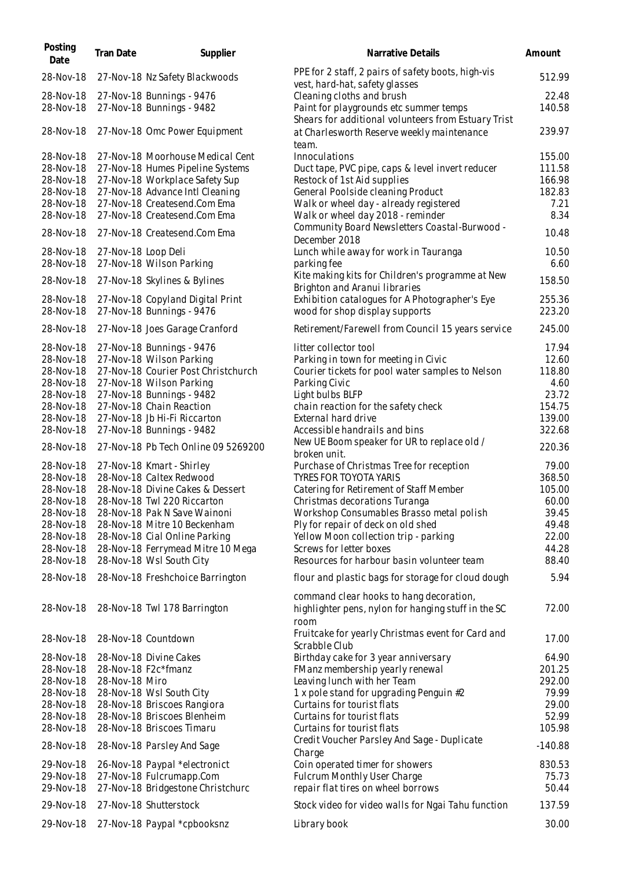| Posting<br>Date        | Tran Date           | Supplier                                                      | Narrative Details                                                                              | Amount           |
|------------------------|---------------------|---------------------------------------------------------------|------------------------------------------------------------------------------------------------|------------------|
| 28-Nov-18              |                     | 27-Nov-18 Nz Safety Blackwoods                                | PPE for 2 staff, 2 pairs of safety boots, high-vis<br>vest, hard-hat, safety glasses           | 512.99           |
| 28-Nov-18              |                     | 27-Nov-18 Bunnings - 9476                                     | Cleaning cloths and brush                                                                      | 22.48            |
| 28-Nov-18              |                     | 27-Nov-18 Bunnings - 9482                                     | Paint for playgrounds etc summer temps<br>Shears for additional volunteers from Estuary Trist  | 140.58           |
| 28-Nov-18              |                     | 27-Nov-18 Omc Power Equipment                                 | at Charlesworth Reserve weekly maintenance<br>team.                                            | 239.97           |
| 28-Nov-18              |                     | 27-Nov-18 Moorhouse Medical Cent                              | Innoculations                                                                                  | 155.00           |
| 28-Nov-18              |                     | 27-Nov-18 Humes Pipeline Systems                              | Duct tape, PVC pipe, caps & level invert reducer                                               | 111.58           |
| 28-Nov-18              |                     | 27-Nov-18 Workplace Safety Sup                                | Restock of 1st Aid supplies                                                                    | 166.98           |
| 28-Nov-18              |                     | 27-Nov-18 Advance Intl Cleaning                               | General Poolside cleaning Product                                                              | 182.83           |
| 28-Nov-18              |                     | 27-Nov-18 Createsend.Com Ema                                  | Walk or wheel day - already registered                                                         | 7.21             |
| 28-Nov-18              |                     | 27-Nov-18 Createsend.Com Ema                                  | Walk or wheel day 2018 - reminder                                                              | 8.34             |
| 28-Nov-18              |                     | 27-Nov-18 Createsend.Com Ema                                  | Community Board Newsletters Coastal-Burwood -<br>December 2018                                 | 10.48            |
| 28-Nov-18              | 27-Nov-18 Loop Deli |                                                               | Lunch while away for work in Tauranga                                                          | 10.50            |
| 28-Nov-18              |                     | 27-Nov-18 Wilson Parking                                      | parking fee                                                                                    | 6.60             |
|                        |                     |                                                               | Kite making kits for Children's programme at New                                               |                  |
| 28-Nov-18              |                     | 27-Nov-18 Skylines & Bylines                                  | Brighton and Aranui libraries                                                                  | 158.50           |
| 28-Nov-18<br>28-Nov-18 |                     | 27-Nov-18 Copyland Digital Print<br>27-Nov-18 Bunnings - 9476 | Exhibition catalogues for A Photographer's Eye<br>wood for shop display supports               | 255.36<br>223.20 |
| 28-Nov-18              |                     | 27-Nov-18 Joes Garage Cranford                                | Retirement/Farewell from Council 15 years service                                              | 245.00           |
| 28-Nov-18              |                     | 27-Nov-18 Bunnings - 9476                                     | litter collector tool                                                                          | 17.94            |
| 28-Nov-18              |                     | 27-Nov-18 Wilson Parking                                      | Parking in town for meeting in Civic                                                           | 12.60            |
| 28-Nov-18              |                     | 27-Nov-18 Courier Post Christchurch                           | Courier tickets for pool water samples to Nelson                                               | 118.80           |
| 28-Nov-18              |                     | 27-Nov-18 Wilson Parking                                      | Parking Civic                                                                                  | 4.60             |
| 28-Nov-18              |                     | 27-Nov-18 Bunnings - 9482                                     | Light bulbs BLFP                                                                               | 23.72            |
| 28-Nov-18              |                     | 27-Nov-18 Chain Reaction                                      | chain reaction for the safety check                                                            | 154.75           |
| 28-Nov-18              |                     | 27-Nov-18 Jb Hi-Fi Riccarton                                  | External hard drive                                                                            | 139.00           |
| 28-Nov-18              |                     | 27-Nov-18 Bunnings - 9482                                     | Accessible handrails and bins                                                                  | 322.68           |
| 28-Nov-18              |                     | 27-Nov-18 Pb Tech Online 09 5269200                           | New UE Boom speaker for UR to replace old /<br>broken unit.                                    | 220.36           |
| 28-Nov-18              |                     | 27-Nov-18 Kmart - Shirley                                     | Purchase of Christmas Tree for reception                                                       | 79.00            |
| 28-Nov-18              |                     | 28-Nov-18 Caltex Redwood                                      | <b>TYRES FOR TOYOTA YARIS</b>                                                                  | 368.50           |
| 28-Nov-18              |                     | 28-Nov-18 Divine Cakes & Dessert                              | Catering for Retirement of Staff Member                                                        | 105.00           |
| 28-Nov-18              |                     | 28-Nov-18 Twl 220 Riccarton                                   | Christmas decorations Turanga                                                                  | 60.00            |
| 28-Nov-18              |                     | 28-Nov-18 Pak N Save Wainoni                                  | Workshop Consumables Brasso metal polish                                                       | 39.45            |
| 28-Nov-18              |                     | 28-Nov-18 Mitre 10 Beckenham                                  | Ply for repair of deck on old shed                                                             | 49.48            |
| 28-Nov-18              |                     | 28-Nov-18 Cial Online Parking                                 | Yellow Moon collection trip - parking                                                          | 22.00            |
| 28-Nov-18              |                     | 28-Nov-18 Ferrymead Mitre 10 Mega                             | Screws for letter boxes                                                                        | 44.28            |
| 28-Nov-18              |                     | 28-Nov-18 Wsl South City                                      | Resources for harbour basin volunteer team                                                     | 88.40            |
| 28-Nov-18              |                     | 28-Nov-18 Freshchoice Barrington                              | flour and plastic bags for storage for cloud dough                                             | 5.94             |
| 28-Nov-18              |                     | 28-Nov-18 Twl 178 Barrington                                  | command clear hooks to hang decoration,<br>highlighter pens, nylon for hanging stuff in the SC | 72.00            |
| 28-Nov-18              |                     | 28-Nov-18 Countdown                                           | room<br>Fruitcake for yearly Christmas event for Card and                                      | 17.00            |
| 28-Nov-18              |                     | 28-Nov-18 Divine Cakes                                        | Scrabble Club<br>Birthday cake for 3 year anniversary                                          | 64.90            |
| 28-Nov-18              |                     | 28-Nov-18 F2c*fmanz                                           | FManz membership yearly renewal                                                                | 201.25           |
| 28-Nov-18              | 28-Nov-18 Miro      |                                                               | Leaving lunch with her Team                                                                    | 292.00           |
| 28-Nov-18              |                     | 28-Nov-18 Wsl South City                                      | 1 x pole stand for upgrading Penguin #2                                                        | 79.99            |
| 28-Nov-18              |                     | 28-Nov-18 Briscoes Rangiora                                   | Curtains for tourist flats                                                                     | 29.00            |
| 28-Nov-18              |                     | 28-Nov-18 Briscoes Blenheim                                   | Curtains for tourist flats                                                                     | 52.99            |
| 28-Nov-18              |                     | 28-Nov-18 Briscoes Timaru                                     | Curtains for tourist flats                                                                     | 105.98           |
| 28-Nov-18              |                     | 28-Nov-18 Parsley And Sage                                    | Credit Voucher Parsley And Sage - Duplicate<br>Charge                                          | $-140.88$        |
| 29-Nov-18              |                     | 26-Nov-18 Paypal *electronict                                 | Coin operated timer for showers                                                                | 830.53           |
| 29-Nov-18              |                     | 27-Nov-18 Fulcrumapp.Com                                      | <b>Fulcrum Monthly User Charge</b>                                                             | 75.73            |
| 29-Nov-18              |                     | 27-Nov-18 Bridgestone Christchurc                             | repair flat tires on wheel borrows                                                             | 50.44            |
| 29-Nov-18              |                     | 27-Nov-18 Shutterstock                                        | Stock video for video walls for Ngai Tahu function                                             | 137.59           |
| 29-Nov-18              |                     | 27-Nov-18 Paypal *cpbooksnz                                   | Library book                                                                                   | 30.00            |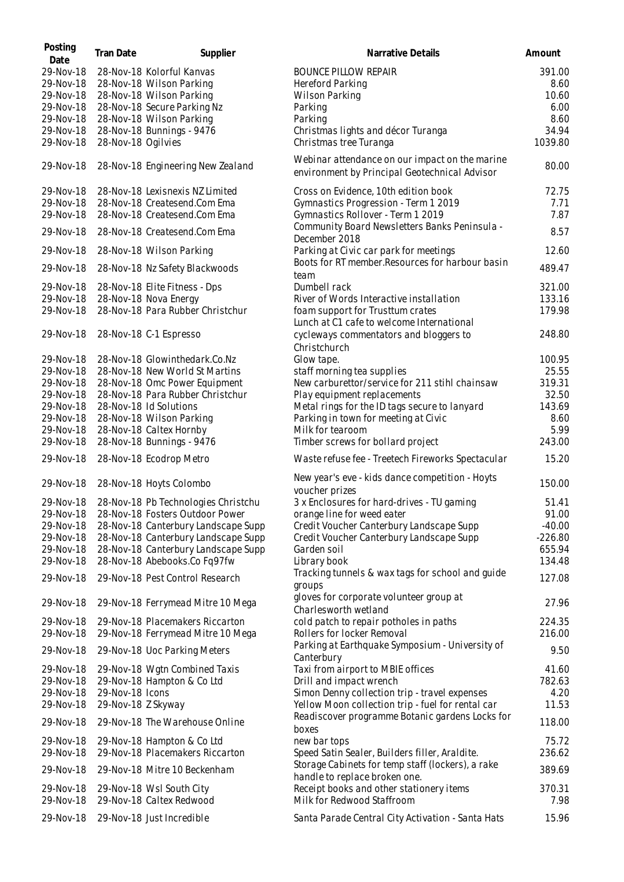| Posting<br>Date | Tran Date          | Supplier                            | Narrative Details                                                                               | Amount    |
|-----------------|--------------------|-------------------------------------|-------------------------------------------------------------------------------------------------|-----------|
| 29-Nov-18       |                    | 28-Nov-18 Kolorful Kanvas           | <b>BOUNCE PILLOW REPAIR</b>                                                                     | 391.00    |
| 29-Nov-18       |                    | 28-Nov-18 Wilson Parking            | Hereford Parking                                                                                | 8.60      |
| 29-Nov-18       |                    | 28-Nov-18 Wilson Parking            | Wilson Parking                                                                                  | 10.60     |
| 29-Nov-18       |                    | 28-Nov-18 Secure Parking Nz         | Parking                                                                                         | 6.00      |
| 29-Nov-18       |                    | 28-Nov-18 Wilson Parking            | Parking                                                                                         | 8.60      |
| 29-Nov-18       |                    | 28-Nov-18 Bunnings - 9476           | Christmas lights and décor Turanga                                                              | 34.94     |
| 29-Nov-18       | 28-Nov-18 Ogilvies |                                     | Christmas tree Turanga                                                                          | 1039.80   |
| 29-Nov-18       |                    | 28-Nov-18 Engineering New Zealand   | Webinar attendance on our impact on the marine<br>environment by Principal Geotechnical Advisor | 80.00     |
| 29-Nov-18       |                    | 28-Nov-18 Lexisnexis NZ Limited     | Cross on Evidence, 10th edition book                                                            | 72.75     |
| 29-Nov-18       |                    | 28-Nov-18 Createsend.Com Ema        | Gymnastics Progression - Term 1 2019                                                            | 7.71      |
| 29-Nov-18       |                    | 28-Nov-18 Createsend.Com Ema        | Gymnastics Rollover - Term 1 2019                                                               | 7.87      |
| 29-Nov-18       |                    | 28-Nov-18 Createsend.Com Ema        | Community Board Newsletters Banks Peninsula -<br>December 2018                                  | 8.57      |
| 29-Nov-18       |                    | 28-Nov-18 Wilson Parking            | Parking at Civic car park for meetings                                                          | 12.60     |
| 29-Nov-18       |                    | 28-Nov-18 Nz Safety Blackwoods      | Boots for RT member. Resources for harbour basin<br>team                                        | 489.47    |
| 29-Nov-18       |                    | 28-Nov-18 Elite Fitness - Dps       | Dumbell rack                                                                                    | 321.00    |
| 29-Nov-18       |                    | 28-Nov-18 Nova Energy               | River of Words Interactive installation                                                         | 133.16    |
| 29-Nov-18       |                    | 28-Nov-18 Para Rubber Christchur    | foam support for Trusttum crates<br>Lunch at C1 cafe to welcome International                   | 179.98    |
| 29-Nov-18       |                    | 28-Nov-18 C-1 Espresso              | cycleways commentators and bloggers to<br>Christchurch                                          | 248.80    |
| 29-Nov-18       |                    | 28-Nov-18 Glowinthedark.Co.Nz       | Glow tape.                                                                                      | 100.95    |
| 29-Nov-18       |                    | 28-Nov-18 New World St Martins      | staff morning tea supplies                                                                      | 25.55     |
| 29-Nov-18       |                    | 28-Nov-18 Omc Power Equipment       | New carburettor/service for 211 stihl chainsaw                                                  | 319.31    |
| 29-Nov-18       |                    | 28-Nov-18 Para Rubber Christchur    | Play equipment replacements                                                                     | 32.50     |
| 29-Nov-18       |                    | 28-Nov-18 Id Solutions              | Metal rings for the ID tags secure to lanyard                                                   | 143.69    |
| 29-Nov-18       |                    | 28-Nov-18 Wilson Parking            | Parking in town for meeting at Civic                                                            | 8.60      |
| 29-Nov-18       |                    | 28-Nov-18 Caltex Hornby             | Milk for tearoom                                                                                | 5.99      |
| 29-Nov-18       |                    | 28-Nov-18 Bunnings - 9476           | Timber screws for bollard project                                                               | 243.00    |
| 29-Nov-18       |                    | 28-Nov-18 Ecodrop Metro             | Waste refuse fee - Treetech Fireworks Spectacular                                               | 15.20     |
| 29-Nov-18       |                    | 28-Nov-18 Hoyts Colombo             | New year's eve - kids dance competition - Hoyts<br>voucher prizes                               | 150.00    |
| 29-Nov-18       |                    | 28-Nov-18 Pb Technologies Christchu | 3 x Enclosures for hard-drives - TU gaming                                                      | 51.41     |
| 29-Nov-18       |                    | 28-Nov-18 Fosters Outdoor Power     | orange line for weed eater                                                                      | 91.00     |
| 29-Nov-18       |                    | 28-Nov-18 Canterbury Landscape Supp | Credit Voucher Canterbury Landscape Supp                                                        | $-40.00$  |
| 29-Nov-18       |                    | 28-Nov-18 Canterbury Landscape Supp | Credit Voucher Canterbury Landscape Supp                                                        | $-226.80$ |
| 29-Nov-18       |                    | 28-Nov-18 Canterbury Landscape Supp | Garden soil                                                                                     | 655.94    |
| 29-Nov-18       |                    | 28-Nov-18 Abebooks.Co Fq97fw        | Library book                                                                                    | 134.48    |
| 29-Nov-18       |                    | 29-Nov-18 Pest Control Research     | Tracking tunnels & wax tags for school and guide<br>groups                                      | 127.08    |
| 29-Nov-18       |                    | 29-Nov-18 Ferrymead Mitre 10 Mega   | gloves for corporate volunteer group at<br>Charlesworth wetland                                 | 27.96     |
| 29-Nov-18       |                    | 29-Nov-18 Placemakers Riccarton     | cold patch to repair potholes in paths                                                          | 224.35    |
| 29-Nov-18       |                    | 29-Nov-18 Ferrymead Mitre 10 Mega   | Rollers for locker Removal<br>Parking at Earthquake Symposium - University of                   | 216.00    |
| 29-Nov-18       |                    | 29-Nov-18 Uoc Parking Meters        | Canterbury                                                                                      | 9.50      |
| 29-Nov-18       |                    | 29-Nov-18 Wgtn Combined Taxis       | Taxi from airport to MBIE offices                                                               | 41.60     |
| 29-Nov-18       |                    | 29-Nov-18 Hampton & Co Ltd          | Drill and impact wrench                                                                         | 782.63    |
| 29-Nov-18       | 29-Nov-18 Icons    |                                     | Simon Denny collection trip - travel expenses                                                   | 4.20      |
| 29-Nov-18       | 29-Nov-18 Z Skyway |                                     | Yellow Moon collection trip - fuel for rental car                                               | 11.53     |
| 29-Nov-18       |                    | 29-Nov-18 The Warehouse Online      | Readiscover programme Botanic gardens Locks for<br>boxes                                        | 118.00    |
| 29-Nov-18       |                    | 29-Nov-18 Hampton & Co Ltd          | new bar tops                                                                                    | 75.72     |
| 29-Nov-18       |                    | 29-Nov-18 Placemakers Riccarton     | Speed Satin Sealer, Builders filler, Araldite.                                                  | 236.62    |
| 29-Nov-18       |                    | 29-Nov-18 Mitre 10 Beckenham        | Storage Cabinets for temp staff (lockers), a rake<br>handle to replace broken one.              | 389.69    |
| 29-Nov-18       |                    | 29-Nov-18 Wsl South City            | Receipt books and other stationery items                                                        | 370.31    |
| 29-Nov-18       |                    | 29-Nov-18 Caltex Redwood            | Milk for Redwood Staffroom                                                                      | 7.98      |
| 29-Nov-18       |                    | 29-Nov-18 Just Incredible           | Santa Parade Central City Activation - Santa Hats                                               | 15.96     |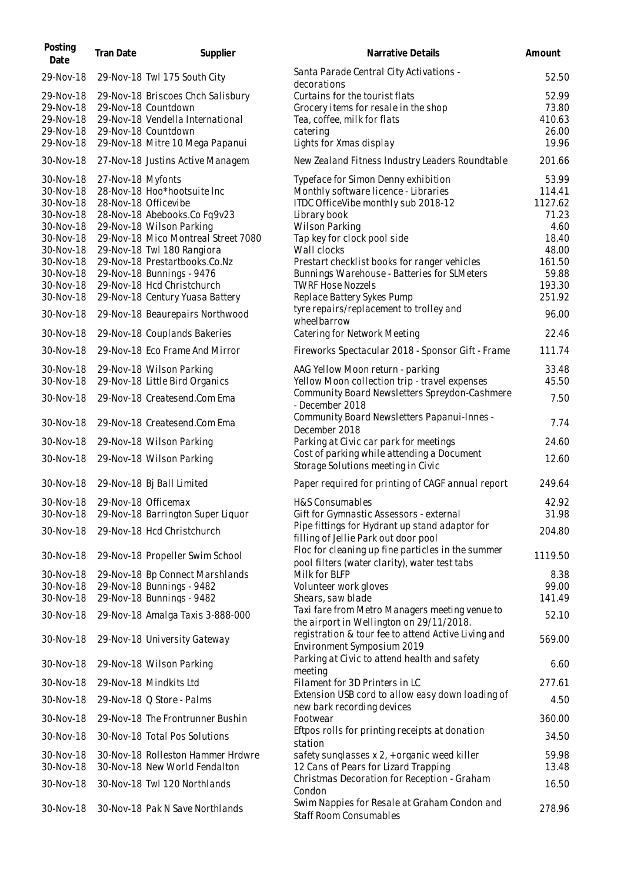| Posting<br>Date                                                                                                                                          | Tran Date         | Supplier                                                                                                                                                                                                                                                                                                                                               | Narrative Details                                                                                                                                                                                                                                                                                                                                                                                                            | Amount                                                                                                                 |
|----------------------------------------------------------------------------------------------------------------------------------------------------------|-------------------|--------------------------------------------------------------------------------------------------------------------------------------------------------------------------------------------------------------------------------------------------------------------------------------------------------------------------------------------------------|------------------------------------------------------------------------------------------------------------------------------------------------------------------------------------------------------------------------------------------------------------------------------------------------------------------------------------------------------------------------------------------------------------------------------|------------------------------------------------------------------------------------------------------------------------|
| 29-Nov-18                                                                                                                                                |                   | 29-Nov-18 Twl 175 South City                                                                                                                                                                                                                                                                                                                           | Santa Parade Central City Activations -<br>decorations                                                                                                                                                                                                                                                                                                                                                                       | 52.50                                                                                                                  |
| 29-Nov-18<br>29-Nov-18<br>29-Nov-18<br>29-Nov-18<br>29-Nov-18                                                                                            |                   | 29-Nov-18 Briscoes Chch Salisbury<br>29-Nov-18 Countdown<br>29-Nov-18 Vendella International<br>29-Nov-18 Countdown<br>29-Nov-18 Mitre 10 Mega Papanui                                                                                                                                                                                                 | Curtains for the tourist flats<br>Grocery items for resale in the shop<br>Tea, coffee, milk for flats<br>catering<br>Lights for Xmas display                                                                                                                                                                                                                                                                                 | 52.99<br>73.80<br>410.63<br>26.00<br>19.96                                                                             |
| 30-Nov-18                                                                                                                                                |                   | 27-Nov-18 Justins Active Managem                                                                                                                                                                                                                                                                                                                       | New Zealand Fitness Industry Leaders Roundtable                                                                                                                                                                                                                                                                                                                                                                              | 201.66                                                                                                                 |
| 30-Nov-18<br>30-Nov-18<br>30-Nov-18<br>30-Nov-18<br>30-Nov-18<br>30-Nov-18<br>30-Nov-18<br>30-Nov-18<br>30-Nov-18<br>30-Nov-18<br>30-Nov-18<br>30-Nov-18 | 27-Nov-18 Myfonts | 28-Nov-18 Hoo*hootsuite Inc<br>28-Nov-18 Officevibe<br>28-Nov-18 Abebooks.Co Fq9v23<br>29-Nov-18 Wilson Parking<br>29-Nov-18 Mico Montreal Street 7080<br>29-Nov-18 Twl 180 Rangiora<br>29-Nov-18 Prestartbooks.Co.Nz<br>29-Nov-18 Bunnings - 9476<br>29-Nov-18 Hcd Christchurch<br>29-Nov-18 Century Yuasa Battery<br>29-Nov-18 Beaurepairs Northwood | Typeface for Simon Denny exhibition<br>Monthly software licence - Libraries<br>ITDC OfficeVibe monthly sub 2018-12<br>Library book<br><b>Wilson Parking</b><br>Tap key for clock pool side<br>Wall clocks<br>Prestart checklist books for ranger vehicles<br>Bunnings Warehouse - Batteries for SLMeters<br><b>TWRF Hose Nozzels</b><br>Replace Battery Sykes Pump<br>tyre repairs/replacement to trolley and<br>wheelbarrow | 53.99<br>114.41<br>1127.62<br>71.23<br>4.60<br>18.40<br>48.00<br>161.50<br>59.88<br>193.30<br>251.92<br>96.00<br>22.46 |
| 30-Nov-18                                                                                                                                                |                   | 29-Nov-18 Couplands Bakeries                                                                                                                                                                                                                                                                                                                           | Catering for Network Meeting                                                                                                                                                                                                                                                                                                                                                                                                 | 111.74                                                                                                                 |
| 30-Nov-18<br>30-Nov-18<br>30-Nov-18                                                                                                                      |                   | 29-Nov-18 Eco Frame And Mirror<br>29-Nov-18 Wilson Parking<br>29-Nov-18 Little Bird Organics                                                                                                                                                                                                                                                           | Fireworks Spectacular 2018 - Sponsor Gift - Frame<br>AAG Yellow Moon return - parking<br>Yellow Moon collection trip - travel expenses                                                                                                                                                                                                                                                                                       | 33.48<br>45.50                                                                                                         |
| 30-Nov-18                                                                                                                                                |                   | 29-Nov-18 Createsend.Com Ema                                                                                                                                                                                                                                                                                                                           | Community Board Newsletters Spreydon-Cashmere<br>- December 2018                                                                                                                                                                                                                                                                                                                                                             | 7.50                                                                                                                   |
| 30-Nov-18                                                                                                                                                |                   | 29-Nov-18 Createsend.Com Ema                                                                                                                                                                                                                                                                                                                           | Community Board Newsletters Papanui-Innes -<br>December 2018                                                                                                                                                                                                                                                                                                                                                                 | 7.74                                                                                                                   |
| 30-Nov-18                                                                                                                                                |                   | 29-Nov-18 Wilson Parking                                                                                                                                                                                                                                                                                                                               | Parking at Civic car park for meetings                                                                                                                                                                                                                                                                                                                                                                                       | 24.60                                                                                                                  |
| 30-Nov-18                                                                                                                                                |                   | 29-Nov-18 Wilson Parking                                                                                                                                                                                                                                                                                                                               | Cost of parking while attending a Document<br>Storage Solutions meeting in Civic                                                                                                                                                                                                                                                                                                                                             | 12.60                                                                                                                  |
| 30-Nov-18                                                                                                                                                |                   | 29-Nov-18 Bj Ball Limited                                                                                                                                                                                                                                                                                                                              | Paper required for printing of CAGF annual report                                                                                                                                                                                                                                                                                                                                                                            | 249.64                                                                                                                 |
| 30-Nov-18<br>30-Nov-18<br>30-Nov-18                                                                                                                      |                   | 29-Nov-18 Officemax<br>29-Nov-18 Barrington Super Liquor<br>29-Nov-18 Hcd Christchurch                                                                                                                                                                                                                                                                 | H&S Consumables<br>Gift for Gymnastic Assessors - external<br>Pipe fittings for Hydrant up stand adaptor for                                                                                                                                                                                                                                                                                                                 | 42.92<br>31.98<br>204.80                                                                                               |
|                                                                                                                                                          |                   |                                                                                                                                                                                                                                                                                                                                                        | filling of Jellie Park out door pool<br>Floc for cleaning up fine particles in the summer                                                                                                                                                                                                                                                                                                                                    |                                                                                                                        |
| 30-Nov-18<br>30-Nov-18<br>30-Nov-18<br>30-Nov-18                                                                                                         |                   | 29-Nov-18 Propeller Swim School<br>29-Nov-18 Bp Connect Marshlands<br>29-Nov-18 Bunnings - 9482<br>29-Nov-18 Bunnings - 9482                                                                                                                                                                                                                           | pool filters (water clarity), water test tabs<br>Milk for BLFP<br>Volunteer work gloves<br>Shears, saw blade                                                                                                                                                                                                                                                                                                                 | 1119.50<br>8.38<br>99.00<br>141.49                                                                                     |
| 30-Nov-18                                                                                                                                                |                   | 29-Nov-18 Amalga Taxis 3-888-000                                                                                                                                                                                                                                                                                                                       | Taxi fare from Metro Managers meeting venue to                                                                                                                                                                                                                                                                                                                                                                               | 52.10                                                                                                                  |
| 30-Nov-18                                                                                                                                                |                   | 29-Nov-18 University Gateway                                                                                                                                                                                                                                                                                                                           | the airport in Wellington on 29/11/2018.<br>registration & tour fee to attend Active Living and<br>Environment Symposium 2019                                                                                                                                                                                                                                                                                                | 569.00                                                                                                                 |
| 30-Nov-18                                                                                                                                                |                   | 29-Nov-18 Wilson Parking                                                                                                                                                                                                                                                                                                                               | Parking at Civic to attend health and safety<br>meeting                                                                                                                                                                                                                                                                                                                                                                      | 6.60                                                                                                                   |
| 30-Nov-18                                                                                                                                                |                   | 29-Nov-18 Mindkits Ltd                                                                                                                                                                                                                                                                                                                                 | Filament for 3D Printers in LC                                                                                                                                                                                                                                                                                                                                                                                               | 277.61                                                                                                                 |
| 30-Nov-18                                                                                                                                                |                   | 29-Nov-18 Q Store - Palms                                                                                                                                                                                                                                                                                                                              | Extension USB cord to allow easy down loading of<br>new bark recording devices                                                                                                                                                                                                                                                                                                                                               | 4.50                                                                                                                   |
| 30-Nov-18                                                                                                                                                |                   | 29-Nov-18 The Frontrunner Bushin                                                                                                                                                                                                                                                                                                                       | Footwear                                                                                                                                                                                                                                                                                                                                                                                                                     | 360.00                                                                                                                 |
| 30-Nov-18                                                                                                                                                |                   | 30-Nov-18 Total Pos Solutions                                                                                                                                                                                                                                                                                                                          | Eftpos rolls for printing receipts at donation<br>station                                                                                                                                                                                                                                                                                                                                                                    | 34.50                                                                                                                  |
| 30-Nov-18<br>30-Nov-18                                                                                                                                   |                   | 30-Nov-18 Rolleston Hammer Hrdwre<br>30-Nov-18 New World Fendalton                                                                                                                                                                                                                                                                                     | safety sunglasses x 2, + organic weed killer<br>12 Cans of Pears for Lizard Trapping<br>Christmas Decoration for Reception - Graham                                                                                                                                                                                                                                                                                          | 59.98<br>13.48                                                                                                         |
| 30-Nov-18                                                                                                                                                |                   | 30-Nov-18 Twl 120 Northlands                                                                                                                                                                                                                                                                                                                           | Condon                                                                                                                                                                                                                                                                                                                                                                                                                       | 16.50                                                                                                                  |
| 30-Nov-18                                                                                                                                                |                   | 30-Nov-18 Pak N Save Northlands                                                                                                                                                                                                                                                                                                                        | Swim Nappies for Resale at Graham Condon and<br>Staff Room Consumables                                                                                                                                                                                                                                                                                                                                                       | 278.96                                                                                                                 |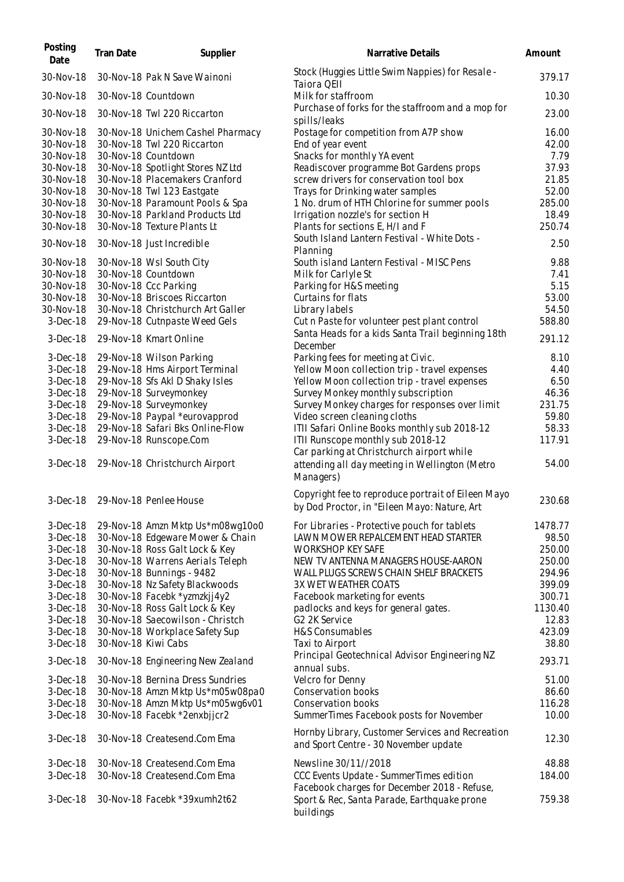| Posting<br>Date                     | <b>Tran Date</b>    | Supplier                                                                                | Narrative Details                                                                                        | Amount                 |
|-------------------------------------|---------------------|-----------------------------------------------------------------------------------------|----------------------------------------------------------------------------------------------------------|------------------------|
| 30-Nov-18                           |                     | 30-Nov-18 Pak N Save Wainoni                                                            | Stock (Huggies Little Swim Nappies) for Resale -<br>Taiora QEII                                          | 379.17                 |
| 30-Nov-18                           |                     | 30-Nov-18 Countdown                                                                     | Milk for staffroom                                                                                       | 10.30                  |
| 30-Nov-18                           |                     | 30-Nov-18 Twl 220 Riccarton                                                             | Purchase of forks for the staffroom and a mop for<br>spills/leaks                                        | 23.00                  |
| 30-Nov-18<br>30-Nov-18<br>30-Nov-18 |                     | 30-Nov-18 Unichem Cashel Pharmacy<br>30-Nov-18 Twl 220 Riccarton<br>30-Nov-18 Countdown | Postage for competition from A7P show<br>End of year event<br>Snacks for monthly YA event                | 16.00<br>42.00<br>7.79 |
| 30-Nov-18<br>30-Nov-18              |                     | 30-Nov-18 Spotlight Stores NZ Ltd<br>30-Nov-18 Placemakers Cranford                     | Readiscover programme Bot Gardens props<br>screw drivers for conservation tool box                       | 37.93<br>21.85         |
| 30-Nov-18                           |                     | 30-Nov-18 Twl 123 Eastgate                                                              | Trays for Drinking water samples                                                                         | 52.00                  |
| 30-Nov-18<br>30-Nov-18              |                     | 30-Nov-18 Paramount Pools & Spa<br>30-Nov-18 Parkland Products Ltd                      | 1 No. drum of HTH Chlorine for summer pools<br>Irrigation nozzle's for section H                         | 285.00<br>18.49        |
| 30-Nov-18                           |                     | 30-Nov-18 Texture Plants Lt                                                             | Plants for sections E, H/I and F                                                                         | 250.74                 |
| 30-Nov-18                           |                     | 30-Nov-18 Just Incredible                                                               | South Island Lantern Festival - White Dots -<br>Planning                                                 | 2.50                   |
| 30-Nov-18                           |                     | 30-Nov-18 Wsl South City                                                                | South island Lantern Festival - MISC Pens                                                                | 9.88                   |
| 30-Nov-18                           |                     | 30-Nov-18 Countdown                                                                     | Milk for Carlyle St                                                                                      | 7.41                   |
| 30-Nov-18                           |                     | 30-Nov-18 Ccc Parking                                                                   | Parking for H&S meeting                                                                                  | 5.15                   |
| 30-Nov-18                           |                     | 30-Nov-18 Briscoes Riccarton                                                            | Curtains for flats                                                                                       | 53.00                  |
| 30-Nov-18<br>$3-Dec-18$             |                     | 30-Nov-18 Christchurch Art Galler<br>29-Nov-18 Cutnpaste Weed Gels                      | Library labels<br>Cut n Paste for volunteer pest plant control                                           | 54.50<br>588.80        |
| $3-Dec-18$                          |                     | 29-Nov-18 Kmart Online                                                                  | Santa Heads for a kids Santa Trail beginning 18th                                                        | 291.12                 |
| $3-Dec-18$                          |                     | 29-Nov-18 Wilson Parking                                                                | December<br>Parking fees for meeting at Civic.                                                           | 8.10                   |
| $3-Dec-18$                          |                     | 29-Nov-18 Hms Airport Terminal                                                          | Yellow Moon collection trip - travel expenses                                                            | 4.40                   |
| $3-Dec-18$                          |                     | 29-Nov-18 Sfs Akl D Shaky Isles                                                         | Yellow Moon collection trip - travel expenses                                                            | 6.50                   |
| $3-Dec-18$                          |                     | 29-Nov-18 Surveymonkey                                                                  | Survey Monkey monthly subscription                                                                       | 46.36                  |
| $3-Dec-18$                          |                     | 29-Nov-18 Surveymonkey                                                                  | Survey Monkey charges for responses over limit                                                           | 231.75                 |
| $3-Dec-18$                          |                     | 29-Nov-18 Paypal *eurovapprod                                                           | Video screen cleaning cloths                                                                             | 59.80                  |
| $3-Dec-18$                          |                     | 29-Nov-18 Safari Bks Online-Flow                                                        | ITII Safari Online Books monthly sub 2018-12                                                             | 58.33                  |
| $3-Dec-18$                          |                     | 29-Nov-18 Runscope.Com                                                                  | ITII Runscope monthly sub 2018-12<br>Car parking at Christchurch airport while                           | 117.91                 |
| $3-Dec-18$                          |                     | 29-Nov-18 Christchurch Airport                                                          | attending all day meeting in Wellington (Metro<br>Managers)                                              | 54.00                  |
| $3-Dec-18$                          |                     | 29-Nov-18 Penlee House                                                                  | Copyright fee to reproduce portrait of Eileen Mayo<br>by Dod Proctor, in "Eileen Mayo: Nature, Art       | 230.68                 |
| $3-Dec-18$                          |                     | 29-Nov-18 Amzn Mktp Us*m08wg10o0                                                        | For Libraries - Protective pouch for tablets                                                             | 1478.77                |
| $3-Dec-18$                          |                     | 30-Nov-18 Edgeware Mower & Chain                                                        | LAWN MOWER REPALCEMENT HEAD STARTER                                                                      | 98.50                  |
| $3-Dec-18$                          |                     | 30-Nov-18 Ross Galt Lock & Key                                                          | <b>WORKSHOP KEY SAFE</b>                                                                                 | 250.00                 |
| $3-Dec-18$                          |                     | 30-Nov-18 Warrens Aerials Teleph                                                        | NEW TV ANTENNA MANAGERS HOUSE-AARON                                                                      | 250.00                 |
| $3-Dec-18$                          |                     | 30-Nov-18 Bunnings - 9482                                                               | WALL PLUGS SCREWS CHAIN SHELF BRACKETS                                                                   | 294.96                 |
| $3-Dec-18$                          |                     | 30-Nov-18 Nz Safety Blackwoods                                                          | 3X WET WEATHER COATS                                                                                     | 399.09                 |
| $3-Dec-18$                          |                     | 30-Nov-18 Facebk *yzmzkjj4y2                                                            | Facebook marketing for events                                                                            | 300.71                 |
| $3-Dec-18$                          |                     | 30-Nov-18 Ross Galt Lock & Key                                                          | padlocks and keys for general gates.                                                                     | 1130.40                |
| $3-Dec-18$                          |                     | 30-Nov-18 Saecowilson - Christch                                                        | G2 2K Service                                                                                            | 12.83                  |
| $3-Dec-18$                          |                     | 30-Nov-18 Workplace Safety Sup                                                          | H&S Consumables                                                                                          | 423.09                 |
| $3-Dec-18$<br>$3-Dec-18$            | 30-Nov-18 Kiwi Cabs | 30-Nov-18 Engineering New Zealand                                                       | Taxi to Airport<br>Principal Geotechnical Advisor Engineering NZ                                         | 38.80<br>293.71        |
|                                     |                     |                                                                                         | annual subs.                                                                                             |                        |
| $3-Dec-18$                          |                     | 30-Nov-18 Bernina Dress Sundries                                                        | Velcro for Denny                                                                                         | 51.00                  |
| $3-Dec-18$                          |                     | 30-Nov-18 Amzn Mktp Us*m05w08pa0                                                        | Conservation books                                                                                       | 86.60                  |
| $3-Dec-18$                          |                     | 30-Nov-18 Amzn Mktp Us*m05wg6v01                                                        | Conservation books                                                                                       | 116.28                 |
| 3-Dec-18                            |                     | 30-Nov-18 Facebk *2enxbjjcr2                                                            | SummerTimes Facebook posts for November                                                                  | 10.00                  |
| $3-Dec-18$                          |                     | 30-Nov-18 Createsend.Com Ema                                                            | Hornby Library, Customer Services and Recreation<br>and Sport Centre - 30 November update                | 12.30                  |
| $3-Dec-18$                          |                     | 30-Nov-18 Createsend.Com Ema                                                            | Newsline 30/11//2018                                                                                     | 48.88                  |
| $3-Dec-18$                          |                     | 30-Nov-18 Createsend.Com Ema                                                            | CCC Events Update - SummerTimes edition                                                                  | 184.00                 |
| $3-Dec-18$                          |                     | 30-Nov-18 Facebk *39xumh2t62                                                            | Facebook charges for December 2018 - Refuse,<br>Sport & Rec, Santa Parade, Earthquake prone<br>buildings | 759.38                 |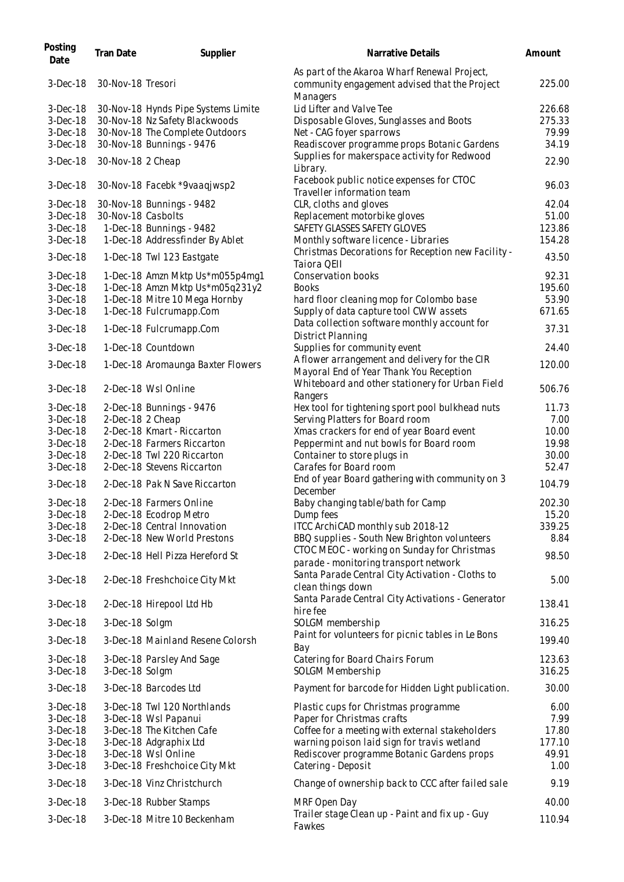| Posting<br>Date | Tran Date          | Supplier                            | Narrative Details                                                                                         | Amount |
|-----------------|--------------------|-------------------------------------|-----------------------------------------------------------------------------------------------------------|--------|
| $3-Dec-18$      | 30-Nov-18 Tresori  |                                     | As part of the Akaroa Wharf Renewal Project,<br>community engagement advised that the Project<br>Managers | 225.00 |
| $3-Dec-18$      |                    | 30-Nov-18 Hynds Pipe Systems Limite | Lid Lifter and Valve Tee                                                                                  | 226.68 |
| $3-Dec-18$      |                    | 30-Nov-18 Nz Safety Blackwoods      | Disposable Gloves, Sunglasses and Boots                                                                   | 275.33 |
| $3-Dec-18$      |                    | 30-Nov-18 The Complete Outdoors     | Net - CAG foyer sparrows                                                                                  | 79.99  |
| $3-Dec-18$      |                    | 30-Nov-18 Bunnings - 9476           | Readiscover programme props Botanic Gardens                                                               | 34.19  |
| $3-Dec-18$      | 30-Nov-18 2 Cheap  |                                     | Supplies for makerspace activity for Redwood<br>Library.                                                  | 22.90  |
| $3-Dec-18$      |                    | 30-Nov-18 Facebk *9vaaqjwsp2        | Facebook public notice expenses for CTOC<br>Traveller information team                                    | 96.03  |
| 3-Dec-18        |                    | 30-Nov-18 Bunnings - 9482           | CLR, cloths and gloves                                                                                    | 42.04  |
| $3-Dec-18$      | 30-Nov-18 Casbolts |                                     | Replacement motorbike gloves                                                                              | 51.00  |
| $3-Dec-18$      |                    | 1-Dec-18 Bunnings - 9482            | SAFETY GLASSES SAFETY GLOVES                                                                              | 123.86 |
| 3-Dec-18        |                    | 1-Dec-18 Addressfinder By Ablet     | Monthly software licence - Libraries                                                                      | 154.28 |
| $3-Dec-18$      |                    | 1-Dec-18 Twl 123 Eastgate           | Christmas Decorations for Reception new Facility -<br>Taiora QEII                                         | 43.50  |
| $3-Dec-18$      |                    | 1-Dec-18 Amzn Mktp Us*m055p4mg1     | <b>Conservation books</b>                                                                                 | 92.31  |
| $3-Dec-18$      |                    | 1-Dec-18 Amzn Mktp Us*m05q231y2     | <b>Books</b>                                                                                              | 195.60 |
| $3-Dec-18$      |                    | 1-Dec-18 Mitre 10 Mega Hornby       | hard floor cleaning mop for Colombo base                                                                  | 53.90  |
| $3-Dec-18$      |                    | 1-Dec-18 Fulcrumapp.Com             | Supply of data capture tool CWW assets                                                                    | 671.65 |
|                 |                    |                                     |                                                                                                           |        |
| $3-Dec-18$      |                    | 1-Dec-18 Fulcrumapp.Com             | Data collection software monthly account for<br>District Planning                                         | 37.31  |
| $3-Dec-18$      |                    | 1-Dec-18 Countdown                  | Supplies for community event                                                                              | 24.40  |
| $3-Dec-18$      |                    | 1-Dec-18 Aromaunga Baxter Flowers   | A flower arrangement and delivery for the CIR<br>Mayoral End of Year Thank You Reception                  | 120.00 |
| $3-Dec-18$      |                    | 2-Dec-18 Wsl Online                 | Whiteboard and other stationery for Urban Field<br>Rangers                                                | 506.76 |
| $3-Dec-18$      |                    | 2-Dec-18 Bunnings - 9476            | Hex tool for tightening sport pool bulkhead nuts                                                          | 11.73  |
| $3-Dec-18$      | 2-Dec-18 2 Cheap   |                                     | Serving Platters for Board room                                                                           | 7.00   |
| $3-Dec-18$      |                    | 2-Dec-18 Kmart - Riccarton          | Xmas crackers for end of year Board event                                                                 | 10.00  |
| $3-Dec-18$      |                    | 2-Dec-18 Farmers Riccarton          | Peppermint and nut bowls for Board room                                                                   | 19.98  |
| $3-Dec-18$      |                    | 2-Dec-18 Twl 220 Riccarton          | Container to store plugs in                                                                               | 30.00  |
| $3-Dec-18$      |                    | 2-Dec-18 Stevens Riccarton          | Carafes for Board room                                                                                    | 52.47  |
| $3-Dec-18$      |                    | 2-Dec-18 Pak N Save Riccarton       | End of year Board gathering with community on 3<br>December                                               | 104.79 |
| $3-Dec-18$      |                    | 2-Dec-18 Farmers Online             | Baby changing table/bath for Camp                                                                         | 202.30 |
| $3-Dec-18$      |                    | 2-Dec-18 Ecodrop Metro              | Dump fees                                                                                                 | 15.20  |
| $3-Dec-18$      |                    | 2-Dec-18 Central Innovation         | ITCC ArchiCAD monthly sub 2018-12                                                                         | 339.25 |
| $3-Dec-18$      |                    | 2-Dec-18 New World Prestons         | BBQ supplies - South New Brighton volunteers                                                              | 8.84   |
| $3-Dec-18$      |                    | 2-Dec-18 Hell Pizza Hereford St     | CTOC MEOC - working on Sunday for Christmas<br>parade - monitoring transport network                      | 98.50  |
| $3-Dec-18$      |                    | 2-Dec-18 Freshchoice City Mkt       | Santa Parade Central City Activation - Cloths to<br>clean things down                                     | 5.00   |
| $3-Dec-18$      |                    | 2-Dec-18 Hirepool Ltd Hb            | Santa Parade Central City Activations - Generator<br>hire fee                                             | 138.41 |
| $3-Dec-18$      | 3-Dec-18 Solgm     |                                     | SOLGM membership                                                                                          | 316.25 |
| $3-Dec-18$      |                    | 3-Dec-18 Mainland Resene Colorsh    | Paint for volunteers for picnic tables in Le Bons<br>Bay                                                  | 199.40 |
| $3-Dec-18$      |                    | 3-Dec-18 Parsley And Sage           | Catering for Board Chairs Forum                                                                           | 123.63 |
| $3-Dec-18$      | 3-Dec-18 Solgm     |                                     | SOLGM Membership                                                                                          | 316.25 |
| 3-Dec-18        |                    | 3-Dec-18 Barcodes Ltd               | Payment for barcode for Hidden Light publication.                                                         | 30.00  |
| $3-Dec-18$      |                    | 3-Dec-18 Twl 120 Northlands         | Plastic cups for Christmas programme                                                                      | 6.00   |
| $3-Dec-18$      |                    | 3-Dec-18 Wsl Papanui                | Paper for Christmas crafts                                                                                | 7.99   |
| $3-Dec-18$      |                    | 3-Dec-18 The Kitchen Cafe           | Coffee for a meeting with external stakeholders                                                           | 17.80  |
| $3-Dec-18$      |                    | 3-Dec-18 Adgraphix Ltd              | warning poison laid sign for travis wetland                                                               | 177.10 |
| $3-Dec-18$      |                    | 3-Dec-18 Wsl Online                 | Rediscover programme Botanic Gardens props                                                                | 49.91  |
| $3-Dec-18$      |                    | 3-Dec-18 Freshchoice City Mkt       | Catering - Deposit                                                                                        | 1.00   |
| $3-Dec-18$      |                    | 3-Dec-18 Vinz Christchurch          | Change of ownership back to CCC after failed sale                                                         | 9.19   |
| $3-Dec-18$      |                    | 3-Dec-18 Rubber Stamps              | MRF Open Day                                                                                              | 40.00  |
| $3-Dec-18$      |                    | 3-Dec-18 Mitre 10 Beckenham         | Trailer stage Clean up - Paint and fix up - Guy<br>Fawkes                                                 | 110.94 |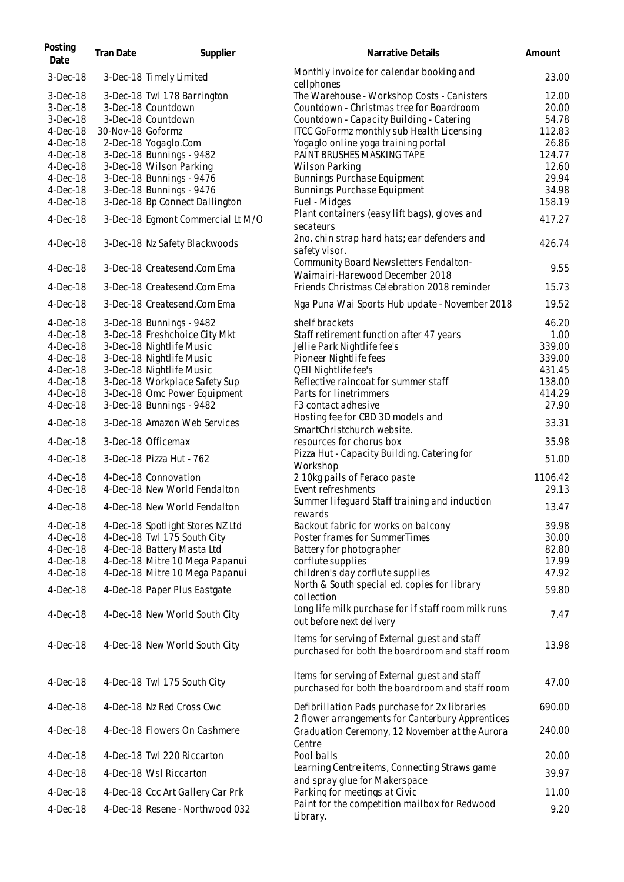| Posting<br>Date | Tran Date         | Supplier                          | Narrative Details                                                                                 | Amount         |
|-----------------|-------------------|-----------------------------------|---------------------------------------------------------------------------------------------------|----------------|
| $3-Dec-18$      |                   | 3-Dec-18 Timely Limited           | Monthly invoice for calendar booking and<br>cellphones                                            | 23.00          |
| $3-Dec-18$      |                   | 3-Dec-18 Twl 178 Barrington       | The Warehouse - Workshop Costs - Canisters                                                        | 12.00          |
| $3-Dec-18$      |                   | 3-Dec-18 Countdown                | Countdown - Christmas tree for Boardroom                                                          | 20.00          |
| $3-Dec-18$      |                   | 3-Dec-18 Countdown                | Countdown - Capacity Building - Catering                                                          | 54.78          |
| $4$ -Dec-18     | 30-Nov-18 Goformz |                                   | ITCC GoFormz monthly sub Health Licensing                                                         | 112.83         |
| $4$ -Dec-18     |                   | 2-Dec-18 Yogaglo.Com              | Yogaglo online yoga training portal                                                               | 26.86          |
| $4$ -Dec-18     |                   | 3-Dec-18 Bunnings - 9482          | PAINT BRUSHES MASKING TAPE                                                                        | 124.77         |
| $4$ -Dec-18     |                   | 3-Dec-18 Wilson Parking           | <b>Wilson Parking</b>                                                                             | 12.60          |
|                 |                   |                                   |                                                                                                   |                |
| $4$ -Dec-18     |                   | 3-Dec-18 Bunnings - 9476          | Bunnings Purchase Equipment                                                                       | 29.94          |
| $4$ -Dec-18     |                   | 3-Dec-18 Bunnings - 9476          | Bunnings Purchase Equipment                                                                       | 34.98          |
| $4-Dec-18$      |                   | 3-Dec-18 Bp Connect Dallington    | Fuel - Midges                                                                                     | 158.19         |
| $4-Dec-18$      |                   | 3-Dec-18 Egmont Commercial Lt M/O | Plant containers (easy lift bags), gloves and<br>secateurs                                        | 417.27         |
| $4$ -Dec-18     |                   | 3-Dec-18 Nz Safety Blackwoods     | 2no. chin strap hard hats; ear defenders and<br>safety visor.                                     | 426.74         |
| $4$ -Dec-18     |                   | 3-Dec-18 Createsend.Com Ema       | Community Board Newsletters Fendalton-<br>Waimairi-Harewood December 2018                         | 9.55           |
| $4-Dec-18$      |                   | 3-Dec-18 Createsend.Com Ema       | Friends Christmas Celebration 2018 reminder                                                       | 15.73          |
| $4-Dec-18$      |                   | 3-Dec-18 Createsend.Com Ema       | Nga Puna Wai Sports Hub update - November 2018                                                    | 19.52          |
| $4$ -Dec-18     |                   | 3-Dec-18 Bunnings - 9482          | shelf brackets                                                                                    | 46.20          |
| $4-Dec-18$      |                   | 3-Dec-18 Freshchoice City Mkt     | Staff retirement function after 47 years                                                          | 1.00           |
| $4$ -Dec-18     |                   | 3-Dec-18 Nightlife Music          | Jellie Park Nightlife fee's                                                                       | 339.00         |
| $4$ -Dec-18     |                   | 3-Dec-18 Nightlife Music          | Pioneer Nightlife fees                                                                            | 339.00         |
| $4$ -Dec-18     |                   | 3-Dec-18 Nightlife Music          | QEII Nightlife fee's                                                                              | 431.45         |
| $4$ -Dec-18     |                   | 3-Dec-18 Workplace Safety Sup     | Reflective raincoat for summer staff                                                              | 138.00         |
| $4$ -Dec-18     |                   | 3-Dec-18 Omc Power Equipment      | Parts for linetrimmers                                                                            | 414.29         |
| $4-Dec-18$      |                   | 3-Dec-18 Bunnings - 9482          | F <sub>3</sub> contact adhesive                                                                   | 27.90          |
|                 |                   |                                   | Hosting fee for CBD 3D models and                                                                 |                |
| $4-Dec-18$      |                   | 3-Dec-18 Amazon Web Services      | SmartChristchurch website.                                                                        | 33.31          |
| $4$ -Dec-18     |                   | 3-Dec-18 Officemax                | resources for chorus box                                                                          | 35.98          |
| $4-Dec-18$      |                   | 3-Dec-18 Pizza Hut - 762          | Pizza Hut - Capacity Building. Catering for<br>Workshop                                           | 51.00          |
| $4$ -Dec-18     |                   | 4-Dec-18 Connovation              | 210kg pails of Feraco paste                                                                       | 1106.42        |
| $4$ -Dec-18     |                   | 4-Dec-18 New World Fendalton      | Event refreshments                                                                                | 29.13          |
|                 |                   |                                   | Summer lifeguard Staff training and induction                                                     |                |
| $4$ -Dec-18     |                   | 4-Dec-18 New World Fendalton      | rewards<br>Backout fabric for works on balcony                                                    | 13.47<br>39.98 |
| $4$ -Dec-18     |                   | 4-Dec-18 Spotlight Stores NZ Ltd  |                                                                                                   |                |
| $4-Dec-18$      |                   | 4-Dec-18 Twl 175 South City       | Poster frames for SummerTimes                                                                     | 30.00          |
| $4$ -Dec-18     |                   | 4-Dec-18 Battery Masta Ltd        | Battery for photographer                                                                          | 82.80          |
| $4$ -Dec-18     |                   | 4-Dec-18 Mitre 10 Mega Papanui    | corflute supplies                                                                                 | 17.99          |
| $4-Dec-18$      |                   | 4-Dec-18 Mitre 10 Mega Papanui    | children's day corflute supplies                                                                  | 47.92          |
| $4-Dec-18$      |                   | 4-Dec-18 Paper Plus Eastgate      | North & South special ed. copies for library<br>collection                                        | 59.80          |
| $4$ -Dec-18     |                   | 4-Dec-18 New World South City     | Long life milk purchase for if staff room milk runs<br>out before next delivery                   | 7.47           |
| $4$ -Dec-18     |                   | 4-Dec-18 New World South City     | Items for serving of External guest and staff<br>purchased for both the boardroom and staff room  | 13.98          |
| $4$ -Dec-18     |                   | 4-Dec-18 Twl 175 South City       | Items for serving of External guest and staff<br>purchased for both the boardroom and staff room  | 47.00          |
| $4$ -Dec-18     |                   | 4-Dec-18 Nz Red Cross Cwc         | Defibrillation Pads purchase for 2x libraries<br>2 flower arrangements for Canterbury Apprentices | 690.00         |
| $4$ -Dec-18     |                   | 4-Dec-18 Flowers On Cashmere      | Graduation Ceremony, 12 November at the Aurora<br>Centre                                          | 240.00         |
| $4$ -Dec-18     |                   | 4-Dec-18 Twl 220 Riccarton        | Pool balls                                                                                        | 20.00          |
| $4$ -Dec-18     |                   | 4-Dec-18 Wsl Riccarton            | Learning Centre items, Connecting Straws game                                                     | 39.97          |
|                 |                   |                                   | and spray glue for Makerspace                                                                     |                |
| $4$ -Dec-18     |                   | 4-Dec-18 Ccc Art Gallery Car Prk  | Parking for meetings at Civic<br>Paint for the competition mailbox for Redwood                    | 11.00          |
| $4$ -Dec-18     |                   | 4-Dec-18 Resene - Northwood 032   | Library.                                                                                          | 9.20           |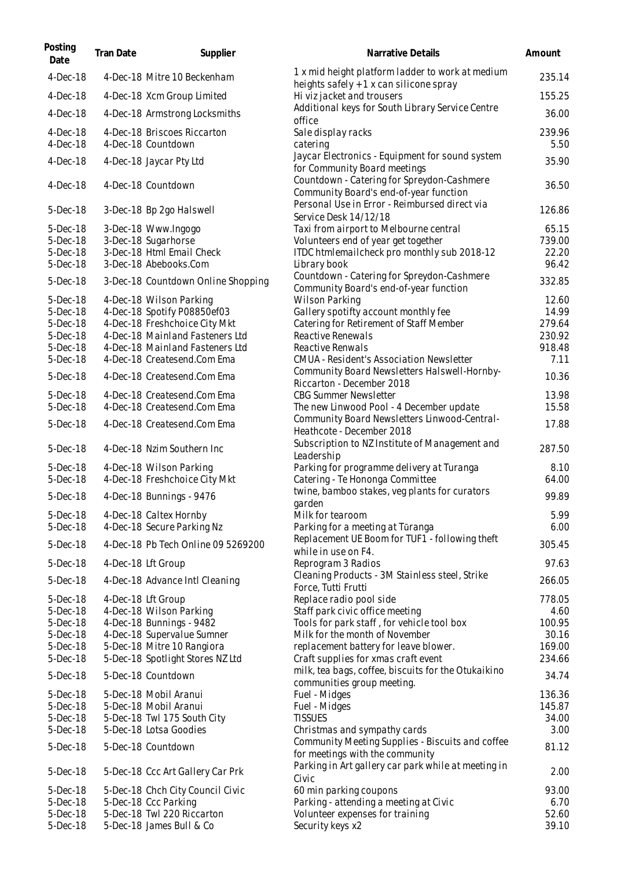| Posting<br>Date           | Tran Date | Supplier                                                         | Narrative Details                                                                               | Amount           |
|---------------------------|-----------|------------------------------------------------------------------|-------------------------------------------------------------------------------------------------|------------------|
| $4-Dec-18$                |           | 4-Dec-18 Mitre 10 Beckenham                                      | 1 x mid height platform ladder to work at medium<br>heights safely + 1 x can silicone spray     | 235.14           |
| $4$ -Dec-18               |           | 4-Dec-18 Xcm Group Limited                                       | Hi viz jacket and trousers                                                                      | 155.25           |
| $4-Dec-18$                |           | 4-Dec-18 Armstrong Locksmiths                                    | Additional keys for South Library Service Centre<br>office                                      | 36.00            |
| $4$ -Dec-18<br>$4-Dec-18$ |           | 4-Dec-18 Briscoes Riccarton<br>4-Dec-18 Countdown                | Sale display racks<br>catering                                                                  | 239.96<br>5.50   |
| $4-Dec-18$                |           | 4-Dec-18 Jaycar Pty Ltd                                          | Jaycar Electronics - Equipment for sound system<br>for Community Board meetings                 | 35.90            |
| $4$ -Dec-18               |           | 4-Dec-18 Countdown                                               | Countdown - Catering for Spreydon-Cashmere<br>Community Board's end-of-year function            | 36.50            |
| 5-Dec-18                  |           | 3-Dec-18 Bp 2go Halswell                                         | Personal Use in Error - Reimbursed direct via<br>Service Desk 14/12/18                          | 126.86           |
| 5-Dec-18                  |           | 3-Dec-18 Www.Ingogo                                              | Taxi from airport to Melbourne central                                                          | 65.15            |
| 5-Dec-18                  |           | 3-Dec-18 Sugarhorse                                              | Volunteers end of year get together                                                             | 739.00           |
| 5-Dec-18                  |           | 3-Dec-18 Html Email Check                                        | ITDC htmlemailcheck pro monthly sub 2018-12                                                     | 22.20            |
| 5-Dec-18                  |           | 3-Dec-18 Abebooks.Com                                            | Library book                                                                                    | 96.42            |
| 5-Dec-18                  |           | 3-Dec-18 Countdown Online Shopping                               | Countdown - Catering for Spreydon-Cashmere<br>Community Board's end-of-year function            | 332.85           |
| 5-Dec-18                  |           | 4-Dec-18 Wilson Parking                                          | Wilson Parking                                                                                  | 12.60            |
| 5-Dec-18                  |           | 4-Dec-18 Spotify P08850ef03                                      | Gallery spotifty account monthly fee                                                            | 14.99            |
| 5-Dec-18<br>5-Dec-18      |           | 4-Dec-18 Freshchoice City Mkt<br>4-Dec-18 Mainland Fasteners Ltd | Catering for Retirement of Staff Member<br>Reactive Renewals                                    | 279.64<br>230.92 |
| 5-Dec-18                  |           | 4-Dec-18 Mainland Fasteners Ltd                                  | Reactive Renwals                                                                                | 918.48           |
| 5-Dec-18                  |           | 4-Dec-18 Createsend.Com Ema                                      | CMUA - Resident's Association Newsletter                                                        | 7.11             |
|                           |           |                                                                  | Community Board Newsletters Halswell-Hornby-                                                    |                  |
| 5-Dec-18                  |           | 4-Dec-18 Createsend.Com Ema                                      | Riccarton - December 2018                                                                       | 10.36            |
| 5-Dec-18                  |           | 4-Dec-18 Createsend.Com Ema                                      | <b>CBG Summer Newsletter</b>                                                                    | 13.98            |
| 5-Dec-18                  |           | 4-Dec-18 Createsend.Com Ema                                      | The new Linwood Pool - 4 December update                                                        | 15.58            |
| 5-Dec-18                  |           | 4-Dec-18 Createsend.Com Ema                                      | Community Board Newsletters Linwood-Central-<br>Heathcote - December 2018                       | 17.88            |
| 5-Dec-18                  |           | 4-Dec-18 Nzim Southern Inc                                       | Subscription to NZ Institute of Management and<br>Leadership                                    | 287.50           |
| 5-Dec-18<br>5-Dec-18      |           | 4-Dec-18 Wilson Parking<br>4-Dec-18 Freshchoice City Mkt         | Parking for programme delivery at Turanga<br>Catering - Te Hononga Committee                    | 8.10<br>64.00    |
| 5-Dec-18                  |           | 4-Dec-18 Bunnings - 9476                                         | twine, bamboo stakes, veg plants for curators<br>garden                                         | 99.89            |
| 5-Dec-18<br>5-Dec-18      |           | 4-Dec-18 Caltex Hornby<br>4-Dec-18 Secure Parking Nz             | Milk for tearoom<br>Parking for a meeting at Tūranga                                            | 5.99<br>6.00     |
| 5-Dec-18                  |           | 4-Dec-18 Pb Tech Online 09 5269200                               | Replacement UE Boom for TUF1 - following theft                                                  | 305.45           |
| 5-Dec-18                  |           | 4-Dec-18 Lft Group                                               | while in use on F4.<br>Reprogram 3 Radios                                                       | 97.63            |
| 5-Dec-18                  |           | 4-Dec-18 Advance Intl Cleaning                                   | Cleaning Products - 3M Stainless steel, Strike<br>Force, Tutti Frutti                           | 266.05           |
| 5-Dec-18                  |           | 4-Dec-18 Lft Group                                               | Replace radio pool side                                                                         | 778.05           |
| 5-Dec-18                  |           | 4-Dec-18 Wilson Parking                                          | Staff park civic office meeting                                                                 | 4.60             |
| 5-Dec-18                  |           | 4-Dec-18 Bunnings - 9482                                         | Tools for park staff, for vehicle tool box                                                      | 100.95           |
| 5-Dec-18                  |           | 4-Dec-18 Supervalue Sumner                                       | Milk for the month of November                                                                  | 30.16            |
| 5-Dec-18                  |           | 5-Dec-18 Mitre 10 Rangiora                                       | replacement battery for leave blower.                                                           | 169.00           |
| 5-Dec-18<br>5-Dec-18      |           | 5-Dec-18 Spotlight Stores NZ Ltd<br>5-Dec-18 Countdown           | Craft supplies for xmas craft event<br>milk, tea bags, coffee, biscuits for the Otukaikino      | 234.66<br>34.74  |
|                           |           |                                                                  | communities group meeting.                                                                      |                  |
| 5-Dec-18                  |           | 5-Dec-18 Mobil Aranui                                            | Fuel - Midges                                                                                   | 136.36           |
| 5-Dec-18                  |           | 5-Dec-18 Mobil Aranui                                            | Fuel - Midges<br><b>TISSUES</b>                                                                 | 145.87<br>34.00  |
| 5-Dec-18<br>5-Dec-18      |           | 5-Dec-18 Twl 175 South City<br>5-Dec-18 Lotsa Goodies            | Christmas and sympathy cards                                                                    | 3.00             |
| 5-Dec-18                  |           | 5-Dec-18 Countdown                                               | Community Meeting Supplies - Biscuits and coffee                                                | 81.12            |
| 5-Dec-18                  |           | 5-Dec-18 Ccc Art Gallery Car Prk                                 | for meetings with the community<br>Parking in Art gallery car park while at meeting in<br>Civic | 2.00             |
| 5-Dec-18                  |           | 5-Dec-18 Chch City Council Civic                                 | 60 min parking coupons                                                                          | 93.00            |
| 5-Dec-18                  |           | 5-Dec-18 Ccc Parking                                             | Parking - attending a meeting at Civic                                                          | 6.70             |
| 5-Dec-18<br>5-Dec-18      |           | 5-Dec-18 Twl 220 Riccarton<br>5-Dec-18 James Bull & Co           | Volunteer expenses for training<br>Security keys x2                                             | 52.60<br>39.10   |
|                           |           |                                                                  |                                                                                                 |                  |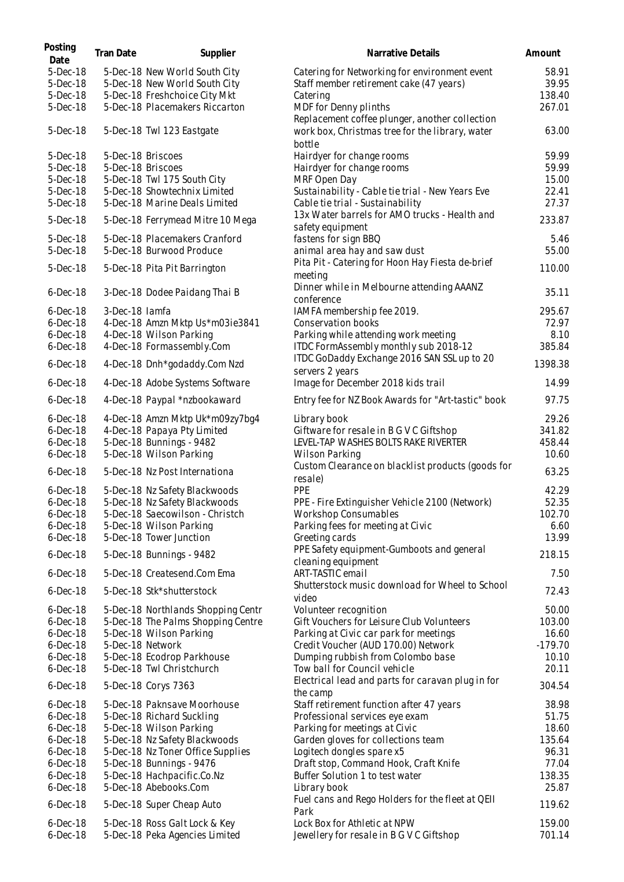| Posting<br>Date            | Tran Date        | Supplier                                                        | Narrative Details                                                        | Amount           |
|----------------------------|------------------|-----------------------------------------------------------------|--------------------------------------------------------------------------|------------------|
| 5-Dec-18                   |                  | 5-Dec-18 New World South City                                   | Catering for Networking for environment event                            | 58.91            |
| 5-Dec-18                   |                  | 5-Dec-18 New World South City                                   | Staff member retirement cake (47 years)                                  | 39.95            |
| 5-Dec-18                   |                  | 5-Dec-18 Freshchoice City Mkt                                   | Catering                                                                 | 138.40           |
| 5-Dec-18                   |                  | 5-Dec-18 Placemakers Riccarton                                  | MDF for Denny plinths<br>Replacement coffee plunger, another collection  | 267.01           |
| 5-Dec-18                   |                  | 5-Dec-18 Twl 123 Eastgate                                       | work box, Christmas tree for the library, water<br>bottle                | 63.00            |
| 5-Dec-18                   |                  | 5-Dec-18 Briscoes                                               | Hairdyer for change rooms                                                | 59.99            |
| 5-Dec-18                   |                  | 5-Dec-18 Briscoes                                               | Hairdyer for change rooms                                                | 59.99            |
| 5-Dec-18                   |                  | 5-Dec-18 Twl 175 South City                                     | MRF Open Day                                                             | 15.00            |
| 5-Dec-18                   |                  | 5-Dec-18 Showtechnix Limited                                    | Sustainability - Cable tie trial - New Years Eve                         | 22.41            |
| 5-Dec-18                   |                  | 5-Dec-18 Marine Deals Limited                                   | Cable tie trial - Sustainability                                         | 27.37            |
| 5-Dec-18                   |                  | 5-Dec-18 Ferrymead Mitre 10 Mega                                | 13x Water barrels for AMO trucks - Health and<br>safety equipment        | 233.87           |
| 5-Dec-18                   |                  | 5-Dec-18 Placemakers Cranford                                   | fastens for sign BBQ                                                     | 5.46             |
| 5-Dec-18                   |                  | 5-Dec-18 Burwood Produce                                        | animal area hay and saw dust                                             | 55.00            |
| 5-Dec-18                   |                  | 5-Dec-18 Pita Pit Barrington                                    | Pita Pit - Catering for Hoon Hay Fiesta de-brief<br>meeting              | 110.00           |
| $6$ -Dec-18                |                  | 3-Dec-18 Dodee Paidang Thai B                                   | Dinner while in Melbourne attending AAANZ<br>conference                  | 35.11            |
| $6$ -Dec-18                | 3-Dec-18 lamfa   |                                                                 | IAMFA membership fee 2019.                                               | 295.67           |
| $6$ -Dec-18                |                  | 4-Dec-18 Amzn Mktp Us*m03ie3841                                 | Conservation books                                                       | 72.97            |
| $6$ -Dec-18                |                  | 4-Dec-18 Wilson Parking                                         | Parking while attending work meeting                                     | 8.10             |
| $6$ -Dec-18                |                  | 4-Dec-18 Formassembly.Com                                       | ITDC FormAssembly monthly sub 2018-12                                    | 385.84           |
| $6$ -Dec-18                |                  | 4-Dec-18 Dnh*godaddy.Com Nzd                                    | ITDC GoDaddy Exchange 2016 SAN SSL up to 20<br>servers 2 years           | 1398.38          |
| $6$ -Dec-18                |                  | 4-Dec-18 Adobe Systems Software                                 | Image for December 2018 kids trail                                       | 14.99            |
| $6$ -Dec-18                |                  | 4-Dec-18 Paypal *nzbookaward                                    | Entry fee for NZ Book Awards for "Art-tastic" book                       | 97.75            |
| $6$ -Dec-18                |                  | 4-Dec-18 Amzn Mktp Uk*m09zy7bg4                                 | Library book                                                             | 29.26            |
| $6$ -Dec-18                |                  | 4-Dec-18 Papaya Pty Limited                                     | Giftware for resale in B G V C Giftshop                                  | 341.82           |
| $6$ -Dec-18                |                  | 5-Dec-18 Bunnings - 9482                                        | LEVEL-TAP WASHES BOLTS RAKE RIVERTER                                     | 458.44           |
| $6$ -Dec-18                |                  | 5-Dec-18 Wilson Parking                                         | Wilson Parking                                                           | 10.60            |
| $6$ -Dec-18                |                  | 5-Dec-18 Nz Post Internationa                                   | Custom Clearance on blacklist products (goods for<br>resale)             | 63.25            |
| $6$ -Dec-18                |                  | 5-Dec-18 Nz Safety Blackwoods                                   | PPE                                                                      | 42.29            |
| $6$ -Dec-18                |                  | 5-Dec-18 Nz Safety Blackwoods                                   | PPE - Fire Extinguisher Vehicle 2100 (Network)                           | 52.35            |
| $6$ -Dec-18                |                  | 5-Dec-18 Saecowilson - Christch                                 | Workshop Consumables                                                     | 102.70           |
| $6$ -Dec-18                |                  | 5-Dec-18 Wilson Parking                                         | Parking fees for meeting at Civic                                        | 6.60             |
| $6$ -Dec-18                |                  | 5-Dec-18 Tower Junction                                         | Greeting cards                                                           | 13.99            |
| $6$ -Dec-18                |                  | 5-Dec-18 Bunnings - 9482                                        | PPE Safety equipment-Gumboots and general<br>cleaning equipment          | 218.15           |
| $6$ -Dec-18                |                  | 5-Dec-18 Createsend.Com Ema                                     | ART-TASTIC email                                                         | 7.50             |
| $6$ -Dec-18                |                  | 5-Dec-18 Stk*shutterstock                                       | Shutterstock music download for Wheel to School<br>video                 | 72.43            |
| $6$ -Dec-18                |                  | 5-Dec-18 Northlands Shopping Centr                              | Volunteer recognition                                                    | 50.00            |
| $6$ -Dec-18                |                  | 5-Dec-18 The Palms Shopping Centre                              | Gift Vouchers for Leisure Club Volunteers                                | 103.00           |
| $6$ -Dec-18                |                  | 5-Dec-18 Wilson Parking                                         | Parking at Civic car park for meetings                                   | 16.60            |
| $6$ -Dec-18                | 5-Dec-18 Network |                                                                 | Credit Voucher (AUD 170.00) Network                                      | $-179.70$        |
| $6$ -Dec-18                |                  | 5-Dec-18 Ecodrop Parkhouse                                      | Dumping rubbish from Colombo base                                        | 10.10            |
| $6$ -Dec-18                |                  | 5-Dec-18 Twl Christchurch                                       | Tow ball for Council vehicle                                             | 20.11            |
| $6$ -Dec-18                |                  | 5-Dec-18 Corys 7363                                             | Electrical lead and parts for caravan plug in for<br>the camp            | 304.54           |
| $6$ -Dec-18                |                  | 5-Dec-18 Paknsave Moorhouse                                     | Staff retirement function after 47 years                                 | 38.98            |
| $6$ -Dec-18                |                  | 5-Dec-18 Richard Suckling                                       | Professional services eye exam                                           | 51.75            |
| $6$ -Dec-18                |                  | 5-Dec-18 Wilson Parking                                         | Parking for meetings at Civic                                            | 18.60            |
| $6$ -Dec-18                |                  | 5-Dec-18 Nz Safety Blackwoods                                   | Garden gloves for collections team                                       | 135.64           |
| $6$ -Dec-18                |                  | 5-Dec-18 Nz Toner Office Supplies                               | Logitech dongles spare x5                                                | 96.31            |
| $6$ -Dec-18                |                  | 5-Dec-18 Bunnings - 9476                                        | Draft stop, Command Hook, Craft Knife                                    | 77.04            |
| $6$ -Dec-18                |                  | 5-Dec-18 Hachpacific.Co.Nz                                      | Buffer Solution 1 to test water                                          | 138.35           |
| $6$ -Dec-18                |                  | 5-Dec-18 Abebooks.Com                                           | Library book                                                             | 25.87            |
| $6$ -Dec-18                |                  | 5-Dec-18 Super Cheap Auto                                       | Fuel cans and Rego Holders for the fleet at QEII<br>Park                 | 119.62           |
| $6$ -Dec-18<br>$6$ -Dec-18 |                  | 5-Dec-18 Ross Galt Lock & Key<br>5-Dec-18 Peka Agencies Limited | Lock Box for Athletic at NPW<br>Jewellery for resale in B G V C Giftshop | 159.00<br>701.14 |
|                            |                  |                                                                 |                                                                          |                  |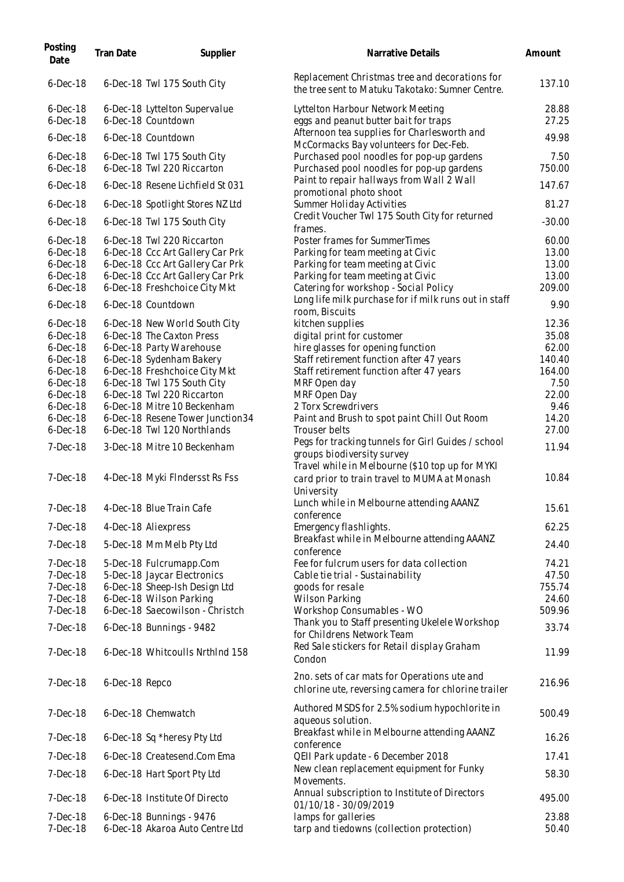| Posting<br>Date            | Tran Date      | Supplier                                                        | Narrative Details                                                                                                                   | Amount            |
|----------------------------|----------------|-----------------------------------------------------------------|-------------------------------------------------------------------------------------------------------------------------------------|-------------------|
| $6$ -Dec-18                |                | 6-Dec-18 Twl 175 South City                                     | Replacement Christmas tree and decorations for<br>the tree sent to Matuku Takotako: Sumner Centre.                                  | 137.10            |
| $6$ -Dec-18<br>$6$ -Dec-18 |                | 6-Dec-18 Lyttelton Supervalue<br>6-Dec-18 Countdown             | Lyttelton Harbour Network Meeting<br>eggs and peanut butter bait for traps                                                          | 28.88<br>27.25    |
| $6$ -Dec-18                |                | 6-Dec-18 Countdown                                              | Afternoon tea supplies for Charlesworth and                                                                                         | 49.98             |
| $6$ -Dec-18                |                | 6-Dec-18 Twl 175 South City                                     | McCormacks Bay volunteers for Dec-Feb.<br>Purchased pool noodles for pop-up gardens                                                 | 7.50              |
| $6$ -Dec-18                |                | 6-Dec-18 Twl 220 Riccarton                                      | Purchased pool noodles for pop-up gardens<br>Paint to repair hallways from Wall 2 Wall                                              | 750.00            |
| $6$ -Dec-18                |                | 6-Dec-18 Resene Lichfield St 031                                | promotional photo shoot                                                                                                             | 147.67            |
| $6$ -Dec-18<br>$6$ -Dec-18 |                | 6-Dec-18 Spotlight Stores NZ Ltd<br>6-Dec-18 Twl 175 South City | Summer Holiday Activities<br>Credit Voucher Twl 175 South City for returned                                                         | 81.27<br>$-30.00$ |
| $6$ -Dec-18                |                | 6-Dec-18 Twl 220 Riccarton                                      | frames.<br>Poster frames for SummerTimes                                                                                            | 60.00             |
| $6$ -Dec-18                |                | 6-Dec-18 Ccc Art Gallery Car Prk                                | Parking for team meeting at Civic                                                                                                   | 13.00             |
| $6$ -Dec-18                |                | 6-Dec-18 Ccc Art Gallery Car Prk                                | Parking for team meeting at Civic                                                                                                   | 13.00             |
| $6$ -Dec-18                |                | 6-Dec-18 Ccc Art Gallery Car Prk                                | Parking for team meeting at Civic                                                                                                   | 13.00             |
| $6$ -Dec-18                |                | 6-Dec-18 Freshchoice City Mkt                                   | Catering for workshop - Social Policy                                                                                               | 209.00            |
| $6$ -Dec-18                |                | 6-Dec-18 Countdown                                              | Long life milk purchase for if milk runs out in staff<br>room, Biscuits                                                             | 9.90              |
| $6$ -Dec-18                |                | 6-Dec-18 New World South City                                   | kitchen supplies                                                                                                                    | 12.36             |
| $6$ -Dec-18                |                | 6-Dec-18 The Caxton Press                                       | digital print for customer                                                                                                          | 35.08             |
| $6$ -Dec-18                |                | 6-Dec-18 Party Warehouse                                        | hire glasses for opening function                                                                                                   | 62.00             |
| $6$ -Dec-18                |                | 6-Dec-18 Sydenham Bakery                                        | Staff retirement function after 47 years                                                                                            | 140.40            |
| $6$ -Dec-18                |                | 6-Dec-18 Freshchoice City Mkt                                   | Staff retirement function after 47 years                                                                                            | 164.00            |
| $6$ -Dec-18                |                | 6-Dec-18 Twl 175 South City                                     | MRF Open day                                                                                                                        | 7.50              |
| $6$ -Dec-18                |                | 6-Dec-18 Twl 220 Riccarton                                      | MRF Open Day                                                                                                                        | 22.00             |
| $6$ -Dec-18                |                | 6-Dec-18 Mitre 10 Beckenham                                     | 2 Torx Screwdrivers                                                                                                                 | 9.46              |
| $6$ -Dec-18                |                | 6-Dec-18 Resene Tower Junction34                                | Paint and Brush to spot paint Chill Out Room                                                                                        | 14.20             |
| $6$ -Dec-18                |                | 6-Dec-18 Twl 120 Northlands                                     | Trouser belts                                                                                                                       | 27.00             |
| 7-Dec-18                   |                | 3-Dec-18 Mitre 10 Beckenham                                     | Pegs for tracking tunnels for Girl Guides / school<br>groups biodiversity survey<br>Travel while in Melbourne (\$10 top up for MYKI | 11.94             |
| 7-Dec-18                   |                | 4-Dec-18 Myki FIndersst Rs Fss                                  | card prior to train travel to MUMA at Monash<br>University                                                                          | 10.84             |
| 7-Dec-18                   |                | 4-Dec-18 Blue Train Cafe                                        | Lunch while in Melbourne attending AAANZ<br>conference                                                                              | 15.61             |
| 7-Dec-18                   |                | 4-Dec-18 Aliexpress                                             | Emergency flashlights.                                                                                                              | 62.25             |
| 7-Dec-18                   |                | 5-Dec-18 Mm Melb Pty Ltd                                        | Breakfast while in Melbourne attending AAANZ<br>conference                                                                          | 24.40             |
| 7-Dec-18                   |                | 5-Dec-18 Fulcrumapp.Com                                         | Fee for fulcrum users for data collection                                                                                           | 74.21             |
| $7-Dec-18$                 |                | 5-Dec-18 Jaycar Electronics                                     | Cable tie trial - Sustainability                                                                                                    | 47.50             |
| 7-Dec-18                   |                | 6-Dec-18 Sheep-Ish Design Ltd                                   | goods for resale                                                                                                                    | 755.74            |
| 7-Dec-18                   |                | 6-Dec-18 Wilson Parking                                         | <b>Wilson Parking</b>                                                                                                               | 24.60             |
| 7-Dec-18                   |                | 6-Dec-18 Saecowilson - Christch                                 | Workshop Consumables - WO                                                                                                           | 509.96            |
| 7-Dec-18                   |                | 6-Dec-18 Bunnings - 9482                                        | Thank you to Staff presenting Ukelele Workshop<br>for Childrens Network Team                                                        | 33.74             |
| 7-Dec-18                   |                | 6-Dec-18 Whitcoulls NrthInd 158                                 | Red Sale stickers for Retail display Graham<br>Condon                                                                               | 11.99             |
| $7-Dec-18$                 | 6-Dec-18 Repco |                                                                 | 2no. sets of car mats for Operations ute and<br>chlorine ute, reversing camera for chlorine trailer                                 | 216.96            |
| 7-Dec-18                   |                | 6-Dec-18 Chemwatch                                              | Authored MSDS for 2.5% sodium hypochlorite in<br>aqueous solution.                                                                  | 500.49            |
| $7-Dec-18$                 |                | 6-Dec-18 Sq *heresy Pty Ltd                                     | Breakfast while in Melbourne attending AAANZ<br>conference                                                                          | 16.26             |
| 7-Dec-18                   |                | 6-Dec-18 Createsend.Com Ema                                     | QEII Park update - 6 December 2018                                                                                                  | 17.41             |
| 7-Dec-18                   |                | 6-Dec-18 Hart Sport Pty Ltd                                     | New clean replacement equipment for Funky<br>Movements.                                                                             | 58.30             |
| 7-Dec-18                   |                | 6-Dec-18 Institute Of Directo                                   | Annual subscription to Institute of Directors<br>01/10/18 - 30/09/2019                                                              | 495.00            |
| $7-Dec-18$<br>7-Dec-18     |                | 6-Dec-18 Bunnings - 9476<br>6-Dec-18 Akaroa Auto Centre Ltd     | lamps for galleries<br>tarp and tiedowns (collection protection)                                                                    | 23.88<br>50.40    |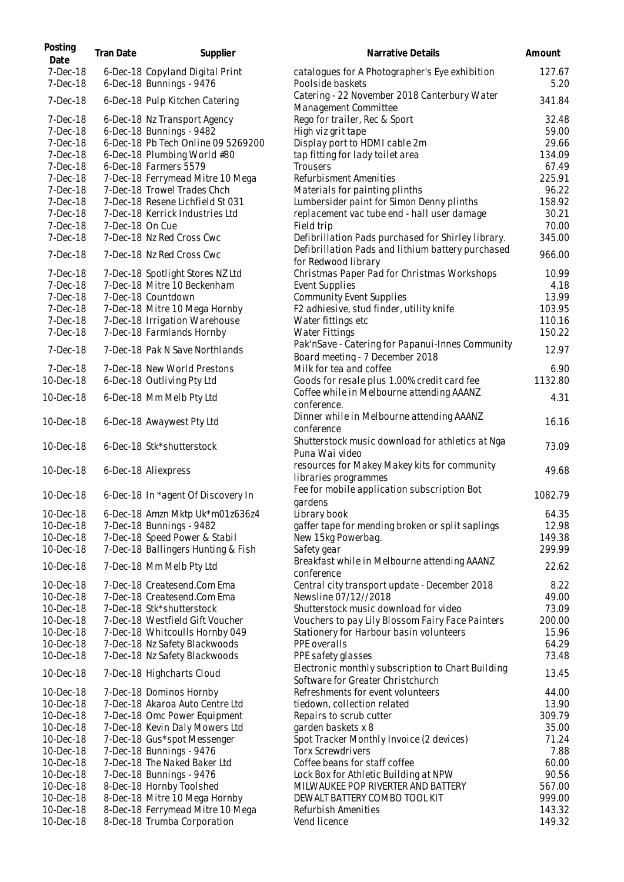| Posting<br>Date      | Tran Date       | Supplier                                                    | Narrative Details                                                                      | Amount         |
|----------------------|-----------------|-------------------------------------------------------------|----------------------------------------------------------------------------------------|----------------|
| 7-Dec-18<br>7-Dec-18 |                 | 6-Dec-18 Copyland Digital Print<br>6-Dec-18 Bunnings - 9476 | catalogues for A Photographer's Eye exhibition<br>Poolside baskets                     | 127.67<br>5.20 |
| 7-Dec-18             |                 | 6-Dec-18 Pulp Kitchen Catering                              | Catering - 22 November 2018 Canterbury Water<br>Management Committee                   | 341.84         |
| 7-Dec-18             |                 | 6-Dec-18 Nz Transport Agency                                | Rego for trailer, Rec & Sport                                                          | 32.48          |
| $7-Dec-18$           |                 | 6-Dec-18 Bunnings - 9482                                    | High viz grit tape                                                                     | 59.00          |
| 7-Dec-18             |                 | 6-Dec-18 Pb Tech Online 09 5269200                          | Display port to HDMI cable 2m                                                          | 29.66          |
| 7-Dec-18             |                 | 6-Dec-18 Plumbing World #80                                 | tap fitting for lady toilet area                                                       | 134.09         |
| 7-Dec-18             |                 | 6-Dec-18 Farmers 5579                                       | Trousers                                                                               | 67.49          |
| $7-Dec-18$           |                 | 7-Dec-18 Ferrymead Mitre 10 Mega                            | Refurbisment Amenities                                                                 | 225.91         |
| 7-Dec-18             |                 | 7-Dec-18 Trowel Trades Chch                                 | Materials for painting plinths                                                         | 96.22          |
| 7-Dec-18             |                 | 7-Dec-18 Resene Lichfield St 031                            | Lumbersider paint for Simon Denny plinths                                              | 158.92         |
| 7-Dec-18             |                 | 7-Dec-18 Kerrick Industries Ltd                             | replacement vac tube end - hall user damage                                            | 30.21          |
| 7-Dec-18             | 7-Dec-18 On Cue |                                                             | Field trip                                                                             | 70.00          |
| 7-Dec-18             |                 | 7-Dec-18 Nz Red Cross Cwc                                   | Defibrillation Pads purchased for Shirley library.                                     | 345.00         |
| 7-Dec-18             |                 | 7-Dec-18 Nz Red Cross Cwc                                   | Defibrillation Pads and lithium battery purchased<br>for Redwood library               | 966.00         |
| $7-Dec-18$           |                 | 7-Dec-18 Spotlight Stores NZ Ltd                            | Christmas Paper Pad for Christmas Workshops                                            | 10.99          |
| $7-Dec-18$           |                 | 7-Dec-18 Mitre 10 Beckenham                                 | Event Supplies                                                                         | 4.18           |
| 7-Dec-18             |                 | 7-Dec-18 Countdown                                          | <b>Community Event Supplies</b>                                                        | 13.99          |
| 7-Dec-18             |                 | 7-Dec-18 Mitre 10 Mega Hornby                               | F2 adhiesive, stud finder, utility knife                                               | 103.95         |
| 7-Dec-18             |                 | 7-Dec-18 Irrigation Warehouse                               | Water fittings etc                                                                     | 110.16         |
| 7-Dec-18             |                 | 7-Dec-18 Farmlands Hornby                                   | Water Fittings                                                                         | 150.22         |
| 7-Dec-18             |                 | 7-Dec-18 Pak N Save Northlands                              | Pak'nSave - Catering for Papanui-Innes Community<br>Board meeting - 7 December 2018    | 12.97          |
| 7-Dec-18             |                 | 7-Dec-18 New World Prestons                                 | Milk for tea and coffee                                                                | 6.90           |
| 10-Dec-18            |                 | 6-Dec-18 Outliving Pty Ltd                                  | Goods for resale plus 1.00% credit card fee                                            | 1132.80        |
| 10-Dec-18            |                 | 6-Dec-18 Mm Melb Pty Ltd                                    | Coffee while in Melbourne attending AAANZ<br>conference.                               | 4.31           |
| 10-Dec-18            |                 | 6-Dec-18 Awaywest Pty Ltd                                   | Dinner while in Melbourne attending AAANZ<br>conference                                | 16.16          |
| 10-Dec-18            |                 | 6-Dec-18 Stk*shutterstock                                   | Shutterstock music download for athletics at Nga<br>Puna Wai video                     | 73.09          |
| 10-Dec-18            |                 | 6-Dec-18 Aliexpress                                         | resources for Makey Makey kits for community<br>libraries programmes                   | 49.68          |
| 10-Dec-18            |                 | 6-Dec-18 In *agent Of Discovery In                          | Fee for mobile application subscription Bot<br>gardens                                 | 1082.79        |
| 10-Dec-18            |                 | 6-Dec-18 Amzn Mktp Uk*m01z636z4                             | Library book                                                                           | 64.35          |
| 10-Dec-18            |                 | 7-Dec-18 Bunnings - 9482                                    | gaffer tape for mending broken or split saplings                                       | 12.98          |
| 10-Dec-18            |                 | 7-Dec-18 Speed Power & Stabil                               | New 15kg Powerbag.                                                                     | 149.38         |
| 10-Dec-18            |                 | 7-Dec-18 Ballingers Hunting & Fish                          | Safety gear                                                                            | 299.99         |
| 10-Dec-18            |                 | 7-Dec-18 Mm Melb Pty Ltd                                    | Breakfast while in Melbourne attending AAANZ<br>conference                             | 22.62          |
| 10-Dec-18            |                 | 7-Dec-18 Createsend.Com Ema                                 | Central city transport update - December 2018                                          | 8.22           |
| 10-Dec-18            |                 | 7-Dec-18 Createsend.Com Ema                                 | Newsline 07/12//2018                                                                   | 49.00          |
| 10-Dec-18            |                 | 7-Dec-18 Stk*shutterstock                                   | Shutterstock music download for video                                                  | 73.09          |
| 10-Dec-18            |                 | 7-Dec-18 Westfield Gift Voucher                             | Vouchers to pay Lily Blossom Fairy Face Painters                                       | 200.00         |
| 10-Dec-18            |                 | 7-Dec-18 Whitcoulls Hornby 049                              | Stationery for Harbour basin volunteers                                                | 15.96          |
| 10-Dec-18            |                 | 7-Dec-18 Nz Safety Blackwoods                               | PPE overalls                                                                           | 64.29          |
| 10-Dec-18            |                 | 7-Dec-18 Nz Safety Blackwoods                               | PPE safety glasses                                                                     | 73.48          |
| 10-Dec-18            |                 | 7-Dec-18 Highcharts Cloud                                   | Electronic monthly subscription to Chart Building<br>Software for Greater Christchurch | 13.45          |
| 10-Dec-18            |                 | 7-Dec-18 Dominos Hornby                                     | Refreshments for event volunteers                                                      | 44.00          |
| 10-Dec-18            |                 | 7-Dec-18 Akaroa Auto Centre Ltd                             | tiedown, collection related                                                            | 13.90          |
| 10-Dec-18            |                 | 7-Dec-18 Omc Power Equipment                                | Repairs to scrub cutter                                                                | 309.79         |
| 10-Dec-18            |                 | 7-Dec-18 Kevin Daly Mowers Ltd                              | garden baskets x 8                                                                     | 35.00          |
| 10-Dec-18            |                 | 7-Dec-18 Gus *spot Messenger                                | Spot Tracker Monthly Invoice (2 devices)                                               | 71.24          |
| 10-Dec-18            |                 | 7-Dec-18 Bunnings - 9476                                    | <b>Torx Screwdrivers</b>                                                               | 7.88           |
| 10-Dec-18            |                 | 7-Dec-18 The Naked Baker Ltd                                | Coffee beans for staff coffee                                                          | 60.00          |
| 10-Dec-18            |                 | 7-Dec-18 Bunnings - 9476                                    | Lock Box for Athletic Building at NPW                                                  | 90.56          |
| 10-Dec-18            |                 | 8-Dec-18 Hornby Toolshed                                    | MILWAUKEE POP RIVERTER AND BATTERY                                                     | 567.00         |
| 10-Dec-18            |                 | 8-Dec-18 Mitre 10 Mega Hornby                               | DEWALT BATTERY COMBO TOOL KIT                                                          | 999.00         |
| 10-Dec-18            |                 | 8-Dec-18 Ferrymead Mitre 10 Mega                            | Refurbish Amenities                                                                    | 143.32         |
| 10-Dec-18            |                 | 8-Dec-18 Trumba Corporation                                 | Vend licence                                                                           | 149.32         |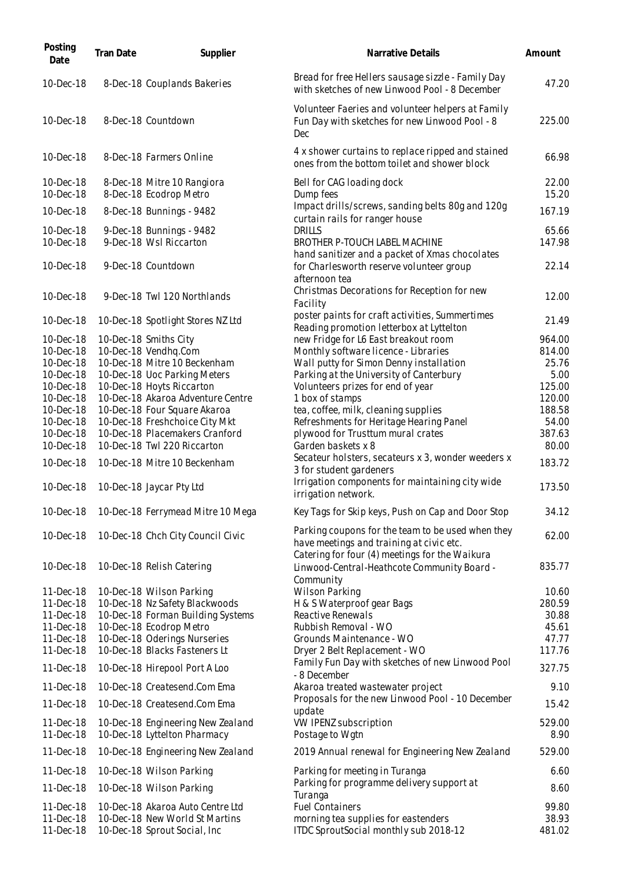| Posting<br>Date        | Tran Date | Supplier                                                          | Narrative Details                                                                                                                               | Amount          |
|------------------------|-----------|-------------------------------------------------------------------|-------------------------------------------------------------------------------------------------------------------------------------------------|-----------------|
| 10-Dec-18              |           | 8-Dec-18 Couplands Bakeries                                       | Bread for free Hellers sausage sizzle - Family Day<br>with sketches of new Linwood Pool - 8 December                                            | 47.20           |
| 10-Dec-18              |           | 8-Dec-18 Countdown                                                | Volunteer Faeries and volunteer helpers at Family<br>Fun Day with sketches for new Linwood Pool - 8<br>Dec                                      | 225.00          |
| 10-Dec-18              |           | 8-Dec-18 Farmers Online                                           | 4 x shower curtains to replace ripped and stained<br>ones from the bottom toilet and shower block                                               | 66.98           |
| 10-Dec-18<br>10-Dec-18 |           | 8-Dec-18 Mitre 10 Rangiora<br>8-Dec-18 Ecodrop Metro              | Bell for CAG loading dock<br>Dump fees                                                                                                          | 22.00<br>15.20  |
| 10-Dec-18              |           | 8-Dec-18 Bunnings - 9482                                          | Impact drills/screws, sanding belts 80g and 120g<br>curtain rails for ranger house                                                              | 167.19          |
| 10-Dec-18              |           | 9-Dec-18 Bunnings - 9482                                          | DRILLS                                                                                                                                          | 65.66           |
| 10-Dec-18              |           | 9-Dec-18 Wsl Riccarton                                            | BROTHER P-TOUCH LABEL MACHINE<br>hand sanitizer and a packet of Xmas chocolates                                                                 | 147.98          |
| 10-Dec-18              |           | 9-Dec-18 Countdown                                                | for Charlesworth reserve volunteer group<br>afternoon tea                                                                                       | 22.14           |
| 10-Dec-18              |           | 9-Dec-18 Twl 120 Northlands                                       | Christmas Decorations for Reception for new<br>Facility                                                                                         | 12.00           |
| 10-Dec-18              |           | 10-Dec-18 Spotlight Stores NZ Ltd                                 | poster paints for craft activities, Summertimes<br>Reading promotion letterbox at Lyttelton                                                     | 21.49           |
| 10-Dec-18              |           | 10-Dec-18 Smiths City                                             | new Fridge for L6 East breakout room                                                                                                            | 964.00          |
| 10-Dec-18<br>10-Dec-18 |           | 10-Dec-18 Vendhq.Com<br>10-Dec-18 Mitre 10 Beckenham              | Monthly software licence - Libraries<br>Wall putty for Simon Denny installation                                                                 | 814.00<br>25.76 |
| 10-Dec-18              |           | 10-Dec-18 Uoc Parking Meters                                      | Parking at the University of Canterbury                                                                                                         | 5.00            |
| 10-Dec-18              |           | 10-Dec-18 Hoyts Riccarton                                         | Volunteers prizes for end of year                                                                                                               | 125.00          |
| 10-Dec-18              |           | 10-Dec-18 Akaroa Adventure Centre                                 | 1 box of stamps                                                                                                                                 | 120.00          |
| 10-Dec-18              |           | 10-Dec-18 Four Square Akaroa                                      | tea, coffee, milk, cleaning supplies                                                                                                            | 188.58          |
| 10-Dec-18              |           | 10-Dec-18 Freshchoice City Mkt                                    | Refreshments for Heritage Hearing Panel                                                                                                         | 54.00           |
| 10-Dec-18              |           | 10-Dec-18 Placemakers Cranford                                    | plywood for Trusttum mural crates                                                                                                               | 387.63          |
| 10-Dec-18              |           | 10-Dec-18 Twl 220 Riccarton                                       | Garden baskets x 8                                                                                                                              | 80.00           |
| 10-Dec-18              |           | 10-Dec-18 Mitre 10 Beckenham                                      | Secateur holsters, secateurs x 3, wonder weeders x<br>3 for student gardeners                                                                   | 183.72          |
| 10-Dec-18              |           | 10-Dec-18 Jaycar Pty Ltd                                          | Irrigation components for maintaining city wide<br>irrigation network.                                                                          | 173.50          |
| 10-Dec-18              |           | 10-Dec-18 Ferrymead Mitre 10 Mega                                 | Key Tags for Skip keys, Push on Cap and Door Stop                                                                                               | 34.12           |
| 10-Dec-18              |           | 10-Dec-18 Chch City Council Civic                                 | Parking coupons for the team to be used when they<br>have meetings and training at civic etc.<br>Catering for four (4) meetings for the Waikura | 62.00           |
| 10-Dec-18              |           | 10-Dec-18 Relish Catering                                         | Linwood-Central-Heathcote Community Board -<br><b>Community</b>                                                                                 | 835.77          |
| 11-Dec-18              |           | 10-Dec-18 Wilson Parking                                          | <b>Wilson Parking</b>                                                                                                                           | 10.60           |
| 11-Dec-18              |           | 10-Dec-18 Nz Safety Blackwoods                                    | H & S Waterproof gear Bags                                                                                                                      | 280.59          |
| 11-Dec-18              |           | 10-Dec-18 Forman Building Systems                                 | Reactive Renewals                                                                                                                               | 30.88           |
| 11-Dec-18              |           | 10-Dec-18 Ecodrop Metro                                           | Rubbish Removal - WO                                                                                                                            | 45.61           |
| 11-Dec-18              |           | 10-Dec-18 Oderings Nurseries                                      | Grounds Maintenance - WO                                                                                                                        | 47.77           |
| 11-Dec-18              |           | 10-Dec-18 Blacks Fasteners Lt                                     | Dryer 2 Belt Replacement - WO                                                                                                                   | 117.76          |
| 11-Dec-18              |           | 10-Dec-18 Hirepool Port A Loo                                     | Family Fun Day with sketches of new Linwood Pool<br>- 8 December                                                                                | 327.75          |
| 11-Dec-18              |           | 10-Dec-18 Createsend.Com Ema                                      | Akaroa treated wastewater project                                                                                                               | 9.10            |
| 11-Dec-18              |           | 10-Dec-18 Createsend.Com Ema                                      | Proposals for the new Linwood Pool - 10 December<br>update                                                                                      | 15.42           |
| 11-Dec-18<br>11-Dec-18 |           | 10-Dec-18 Engineering New Zealand<br>10-Dec-18 Lyttelton Pharmacy | VW IPENZ subscription<br>Postage to Wgtn                                                                                                        | 529.00<br>8.90  |
| 11-Dec-18              |           | 10-Dec-18 Engineering New Zealand                                 | 2019 Annual renewal for Engineering New Zealand                                                                                                 | 529.00          |
| 11-Dec-18              |           | 10-Dec-18 Wilson Parking                                          | Parking for meeting in Turanga                                                                                                                  | 6.60            |
| 11-Dec-18              |           | 10-Dec-18 Wilson Parking                                          | Parking for programme delivery support at<br>Turanga                                                                                            | 8.60            |
| 11-Dec-18              |           | 10-Dec-18 Akaroa Auto Centre Ltd                                  | <b>Fuel Containers</b>                                                                                                                          | 99.80           |
| 11-Dec-18<br>11-Dec-18 |           | 10-Dec-18 New World St Martins<br>10-Dec-18 Sprout Social, Inc    | morning tea supplies for eastenders<br>ITDC SproutSocial monthly sub 2018-12                                                                    | 38.93<br>481.02 |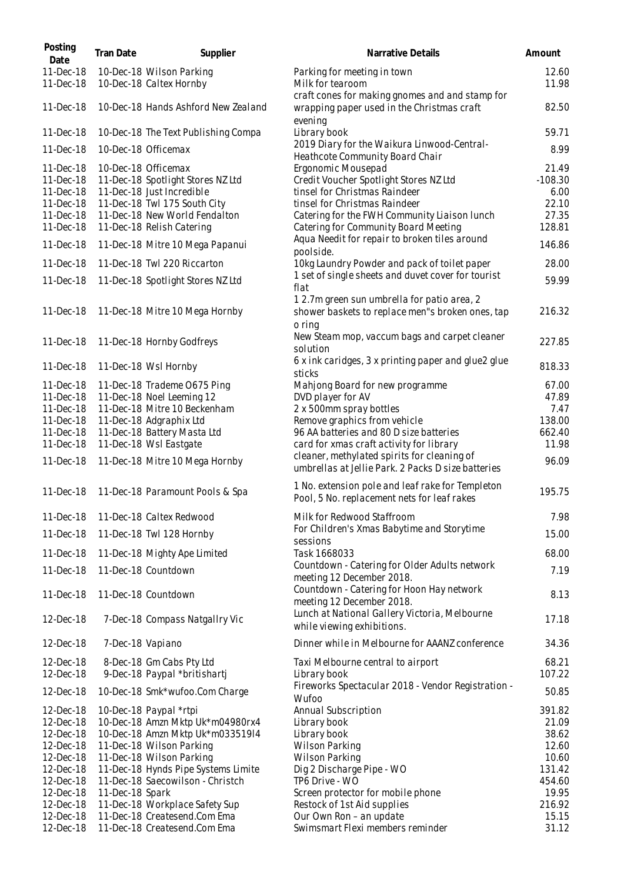| Posting<br>Date        | Tran Date       | Supplier                                                       | Narrative Details                                                                                        | Amount          |
|------------------------|-----------------|----------------------------------------------------------------|----------------------------------------------------------------------------------------------------------|-----------------|
| 11-Dec-18              |                 | 10-Dec-18 Wilson Parking                                       | Parking for meeting in town                                                                              | 12.60           |
| 11-Dec-18              |                 | 10-Dec-18 Caltex Hornby                                        | Milk for tearoom                                                                                         | 11.98           |
| 11-Dec-18              |                 | 10-Dec-18 Hands Ashford New Zealand                            | craft cones for making gnomes and and stamp for<br>wrapping paper used in the Christmas craft<br>evening | 82.50           |
| 11-Dec-18              |                 | 10-Dec-18 The Text Publishing Compa                            | Library book                                                                                             | 59.71           |
| 11-Dec-18              |                 | 10-Dec-18 Officemax                                            | 2019 Diary for the Waikura Linwood-Central-<br>Heathcote Community Board Chair                           | 8.99            |
| 11-Dec-18              |                 | 10-Dec-18 Officemax                                            | Ergonomic Mousepad                                                                                       | 21.49           |
| 11-Dec-18              |                 | 11-Dec-18 Spotlight Stores NZ Ltd                              | Credit Voucher Spotlight Stores NZ Ltd                                                                   | $-108.30$       |
| 11-Dec-18              |                 | 11-Dec-18 Just Incredible                                      | tinsel for Christmas Raindeer                                                                            | 6.00            |
| 11-Dec-18              |                 | 11-Dec-18 Twl 175 South City                                   | tinsel for Christmas Raindeer                                                                            | 22.10           |
| 11-Dec-18              |                 | 11-Dec-18 New World Fendalton                                  | Catering for the FWH Community Liaison lunch                                                             | 27.35           |
| 11-Dec-18              |                 | 11-Dec-18 Relish Catering                                      | Catering for Community Board Meeting<br>Aqua Needit for repair to broken tiles around                    | 128.81          |
| 11-Dec-18              |                 | 11-Dec-18 Mitre 10 Mega Papanui                                | poolside.                                                                                                | 146.86          |
| 11-Dec-18              |                 | 11-Dec-18 Twl 220 Riccarton                                    | 10kg Laundry Powder and pack of toilet paper                                                             | 28.00           |
| 11-Dec-18              |                 | 11-Dec-18 Spotlight Stores NZ Ltd                              | 1 set of single sheets and duvet cover for tourist<br>flat                                               | 59.99           |
|                        |                 |                                                                | 12.7m green sun umbrella for patio area, 2                                                               |                 |
| 11-Dec-18              |                 | 11-Dec-18 Mitre 10 Mega Hornby                                 | shower baskets to replace men"s broken ones, tap<br>o ring                                               | 216.32          |
| 11-Dec-18              |                 | 11-Dec-18 Hornby Godfreys                                      | New Steam mop, vaccum bags and carpet cleaner<br>solution                                                | 227.85          |
| 11-Dec-18              |                 | 11-Dec-18 Wsl Hornby                                           | 6 x ink caridges, 3 x printing paper and glue2 glue<br>sticks                                            | 818.33          |
| 11-Dec-18              |                 | 11-Dec-18 Trademe O675 Ping                                    | Mahjong Board for new programme                                                                          | 67.00           |
| 11-Dec-18              |                 | 11-Dec-18 Noel Leeming 12                                      | DVD player for AV                                                                                        | 47.89           |
| 11-Dec-18              |                 | 11-Dec-18 Mitre 10 Beckenham                                   | 2 x 500mm spray bottles                                                                                  | 7.47            |
| 11-Dec-18              |                 | 11-Dec-18 Adgraphix Ltd                                        | Remove graphics from vehicle                                                                             | 138.00          |
| 11-Dec-18              |                 | 11-Dec-18 Battery Masta Ltd                                    | 96 AA batteries and 80 D size batteries                                                                  | 662.40          |
| 11-Dec-18              |                 | 11-Dec-18 Wsl Eastgate                                         | card for xmas craft activity for library                                                                 | 11.98           |
| 11-Dec-18              |                 | 11-Dec-18 Mitre 10 Mega Hornby                                 | cleaner, methylated spirits for cleaning of<br>umbrellas at Jellie Park. 2 Packs D size batteries        | 96.09           |
| 11-Dec-18              |                 | 11-Dec-18 Paramount Pools & Spa                                | 1 No. extension pole and leaf rake for Templeton<br>Pool, 5 No. replacement nets for leaf rakes          | 195.75          |
| 11-Dec-18              |                 | 11-Dec-18 Caltex Redwood                                       | Milk for Redwood Staffroom                                                                               | 7.98            |
| 11-Dec-18              |                 | 11-Dec-18 Twl 128 Hornby                                       | For Children's Xmas Babytime and Storytime<br>sessions                                                   | 15.00           |
| 11-Dec-18              |                 | 11-Dec-18 Mighty Ape Limited                                   | Task 1668033                                                                                             | 68.00           |
| 11-Dec-18              |                 | 11-Dec-18 Countdown                                            | Countdown - Catering for Older Adults network<br>meeting 12 December 2018.                               | 7.19            |
| 11-Dec-18              |                 | 11-Dec-18 Countdown                                            | Countdown - Catering for Hoon Hay network<br>meeting 12 December 2018.                                   | 8.13            |
| 12-Dec-18              |                 | 7-Dec-18 Compass Natgallry Vic                                 | Lunch at National Gallery Victoria, Melbourne<br>while viewing exhibitions.                              | 17.18           |
| 12-Dec-18              |                 | 7-Dec-18 Vapiano                                               | Dinner while in Melbourne for AAANZ conference                                                           | 34.36           |
| 12-Dec-18              |                 | 8-Dec-18 Gm Cabs Pty Ltd                                       | Taxi Melbourne central to airport                                                                        | 68.21           |
| 12-Dec-18<br>12-Dec-18 |                 | 9-Dec-18 Paypal *britishartj<br>10-Dec-18 Smk*wufoo.Com Charge | Library book<br>Fireworks Spectacular 2018 - Vendor Registration -                                       | 107.22<br>50.85 |
|                        |                 |                                                                | Wufoo                                                                                                    |                 |
| 12-Dec-18<br>12-Dec-18 |                 | 10-Dec-18 Paypal *rtpi<br>10-Dec-18 Amzn Mktp Uk*m04980rx4     | Annual Subscription<br>Library book                                                                      | 391.82<br>21.09 |
| 12-Dec-18              |                 | 10-Dec-18 Amzn Mktp Uk*m03351914                               | Library book                                                                                             | 38.62           |
| 12-Dec-18              |                 | 11-Dec-18 Wilson Parking                                       | <b>Wilson Parking</b>                                                                                    | 12.60           |
| 12-Dec-18              |                 | 11-Dec-18 Wilson Parking                                       | Wilson Parking                                                                                           | 10.60           |
| 12-Dec-18              |                 | 11-Dec-18 Hynds Pipe Systems Limite                            | Dig 2 Discharge Pipe - WO                                                                                | 131.42          |
| 12-Dec-18              |                 | 11-Dec-18 Saecowilson - Christch                               | TP6 Drive - WO                                                                                           | 454.60          |
| 12-Dec-18              | 11-Dec-18 Spark |                                                                | Screen protector for mobile phone                                                                        | 19.95           |
| 12-Dec-18              |                 | 11-Dec-18 Workplace Safety Sup                                 | Restock of 1st Aid supplies                                                                              | 216.92          |
| 12-Dec-18              |                 | 11-Dec-18 Createsend.Com Ema                                   | Our Own Ron - an update                                                                                  | 15.15           |
| 12-Dec-18              |                 | 11-Dec-18 Createsend.Com Ema                                   | Swimsmart Flexi members reminder                                                                         | 31.12           |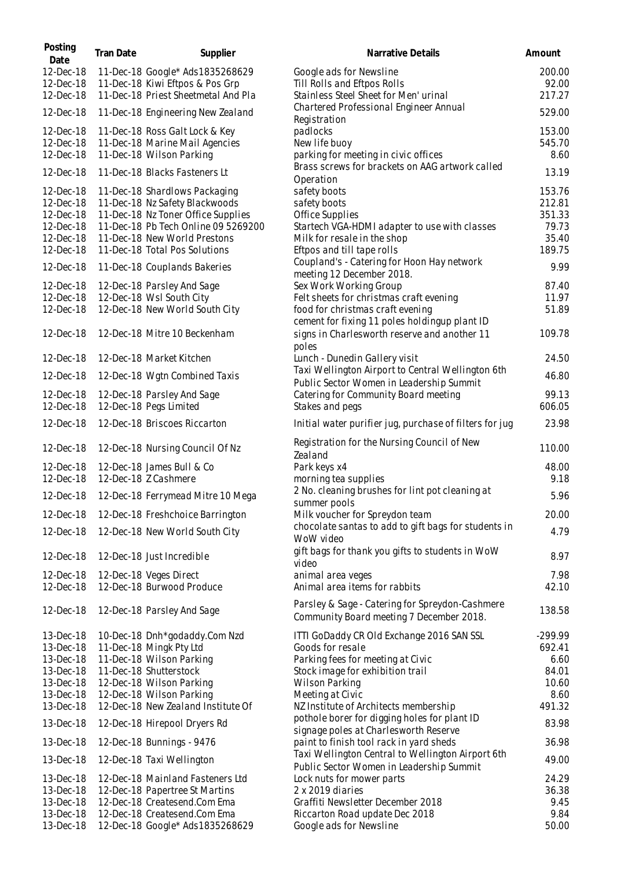| Posting<br>Date        | Tran Date | Supplier                                                                  | Narrative Details                                                                             | Amount          |
|------------------------|-----------|---------------------------------------------------------------------------|-----------------------------------------------------------------------------------------------|-----------------|
| 12-Dec-18<br>12-Dec-18 |           | 11-Dec-18 Google* Ads1835268629<br>11-Dec-18 Kiwi Eftpos & Pos Grp        | Google ads for Newsline<br>Till Rolls and Eftpos Rolls                                        | 200.00<br>92.00 |
| 12-Dec-18              |           | 11-Dec-18 Priest Sheetmetal And Pla                                       | Stainless Steel Sheet for Men' urinal                                                         | 217.27          |
| 12-Dec-18              |           | 11-Dec-18 Engineering New Zealand                                         | Chartered Professional Engineer Annual<br>Registration                                        | 529.00          |
| 12-Dec-18              |           | 11-Dec-18 Ross Galt Lock & Key                                            | padlocks                                                                                      | 153.00          |
| 12-Dec-18<br>12-Dec-18 |           | 11-Dec-18 Marine Mail Agencies<br>11-Dec-18 Wilson Parking                | New life buoy<br>parking for meeting in civic offices                                         | 545.70<br>8.60  |
| 12-Dec-18              |           | 11-Dec-18 Blacks Fasteners Lt                                             | Brass screws for brackets on AAG artwork called                                               | 13.19           |
| 12-Dec-18              |           | 11-Dec-18 Shardlows Packaging                                             | Operation<br>safety boots                                                                     | 153.76          |
| 12-Dec-18              |           | 11-Dec-18 Nz Safety Blackwoods                                            | safety boots                                                                                  | 212.81          |
| 12-Dec-18<br>12-Dec-18 |           | 11-Dec-18 Nz Toner Office Supplies<br>11-Dec-18 Pb Tech Online 09 5269200 | Office Supplies<br>Startech VGA-HDMI adapter to use with classes                              | 351.33<br>79.73 |
| 12-Dec-18              |           | 11-Dec-18 New World Prestons                                              | Milk for resale in the shop                                                                   | 35.40           |
| 12-Dec-18              |           | 11-Dec-18 Total Pos Solutions                                             | Eftpos and till tape rolls                                                                    | 189.75          |
| 12-Dec-18              |           | 11-Dec-18 Couplands Bakeries                                              | Coupland's - Catering for Hoon Hay network<br>meeting 12 December 2018.                       | 9.99            |
| 12-Dec-18              |           | 12-Dec-18 Parsley And Sage                                                | Sex Work Working Group                                                                        | 87.40           |
| 12-Dec-18<br>12-Dec-18 |           | 12-Dec-18 Wsl South City<br>12-Dec-18 New World South City                | Felt sheets for christmas craft evening<br>food for christmas craft evening                   | 11.97<br>51.89  |
|                        |           |                                                                           | cement for fixing 11 poles holdingup plant ID                                                 |                 |
| 12-Dec-18              |           | 12-Dec-18 Mitre 10 Beckenham                                              | signs in Charlesworth reserve and another 11<br>poles                                         | 109.78          |
| 12-Dec-18              |           | 12-Dec-18 Market Kitchen                                                  | Lunch - Dunedin Gallery visit                                                                 | 24.50           |
| 12-Dec-18              |           | 12-Dec-18 Wgtn Combined Taxis                                             | Taxi Wellington Airport to Central Wellington 6th<br>Public Sector Women in Leadership Summit | 46.80           |
| 12-Dec-18              |           | 12-Dec-18 Parsley And Sage                                                | Catering for Community Board meeting                                                          | 99.13           |
| 12-Dec-18              |           | 12-Dec-18 Pegs Limited                                                    | Stakes and pegs                                                                               | 606.05          |
| 12-Dec-18              |           | 12-Dec-18 Briscoes Riccarton                                              | Initial water purifier jug, purchase of filters for jug                                       | 23.98           |
| 12-Dec-18              |           | 12-Dec-18 Nursing Council Of Nz                                           | Registration for the Nursing Council of New<br>Zealand                                        | 110.00          |
| 12-Dec-18              |           | 12-Dec-18 James Bull & Co                                                 | Park keys x4                                                                                  | 48.00           |
| 12-Dec-18              |           | 12-Dec-18 Z Cashmere                                                      | morning tea supplies                                                                          | 9.18            |
| 12-Dec-18              |           | 12-Dec-18 Ferrymead Mitre 10 Mega                                         | 2 No. cleaning brushes for lint pot cleaning at<br>summer pools                               | 5.96            |
| 12-Dec-18              |           | 12-Dec-18 Freshchoice Barrington                                          | Milk voucher for Spreydon team                                                                | 20.00           |
| 12-Dec-18              |           | 12-Dec-18 New World South City                                            | chocolate santas to add to gift bags for students in<br>WoW video                             | 4.79            |
| 12-Dec-18              |           | 12-Dec-18 Just Incredible                                                 | gift bags for thank you gifts to students in WoW<br>video                                     | 8.97            |
| 12-Dec-18              |           | 12-Dec-18 Veges Direct                                                    | animal area veges                                                                             | 7.98            |
| 12-Dec-18              |           | 12-Dec-18 Burwood Produce                                                 | Animal area items for rabbits                                                                 | 42.10           |
| 12-Dec-18              |           | 12-Dec-18 Parsley And Sage                                                | Parsley & Sage - Catering for Spreydon-Cashmere<br>Community Board meeting 7 December 2018.   | 138.58          |
| 13-Dec-18              |           | 10-Dec-18 Dnh*godaddy.Com Nzd                                             | ITTI GoDaddy CR Old Exchange 2016 SAN SSL                                                     | $-299.99$       |
| 13-Dec-18              |           | 11-Dec-18 Mingk Pty Ltd                                                   | Goods for resale                                                                              | 692.41          |
| 13-Dec-18              |           | 11-Dec-18 Wilson Parking                                                  | Parking fees for meeting at Civic                                                             | 6.60            |
| 13-Dec-18              |           | 11-Dec-18 Shutterstock                                                    | Stock image for exhibition trail                                                              | 84.01           |
| 13-Dec-18<br>13-Dec-18 |           | 12-Dec-18 Wilson Parking                                                  | <b>Wilson Parking</b>                                                                         | 10.60<br>8.60   |
| 13-Dec-18              |           | 12-Dec-18 Wilson Parking<br>12-Dec-18 New Zealand Institute Of            | Meeting at Civic<br>NZ Institute of Architects membership                                     | 491.32          |
| 13-Dec-18              |           | 12-Dec-18 Hirepool Dryers Rd                                              | pothole borer for digging holes for plant ID                                                  | 83.98           |
| 13-Dec-18              |           | 12-Dec-18 Bunnings - 9476                                                 | signage poles at Charlesworth Reserve<br>paint to finish tool rack in yard sheds              | 36.98           |
| 13-Dec-18              |           | 12-Dec-18 Taxi Wellington                                                 | Taxi Wellington Central to Wellington Airport 6th                                             | 49.00           |
|                        |           |                                                                           | Public Sector Women in Leadership Summit                                                      | 24.29           |
| 13-Dec-18<br>13-Dec-18 |           | 12-Dec-18 Mainland Fasteners Ltd<br>12-Dec-18 Papertree St Martins        | Lock nuts for mower parts<br>2 x 2019 diaries                                                 | 36.38           |
| 13-Dec-18              |           | 12-Dec-18 Createsend.Com Ema                                              | Graffiti Newsletter December 2018                                                             | 9.45            |
| 13-Dec-18              |           | 12-Dec-18 Createsend.Com Ema                                              | Riccarton Road update Dec 2018                                                                | 9.84            |
| 13-Dec-18              |           | 12-Dec-18 Google* Ads 1835268629                                          | Google ads for Newsline                                                                       | 50.00           |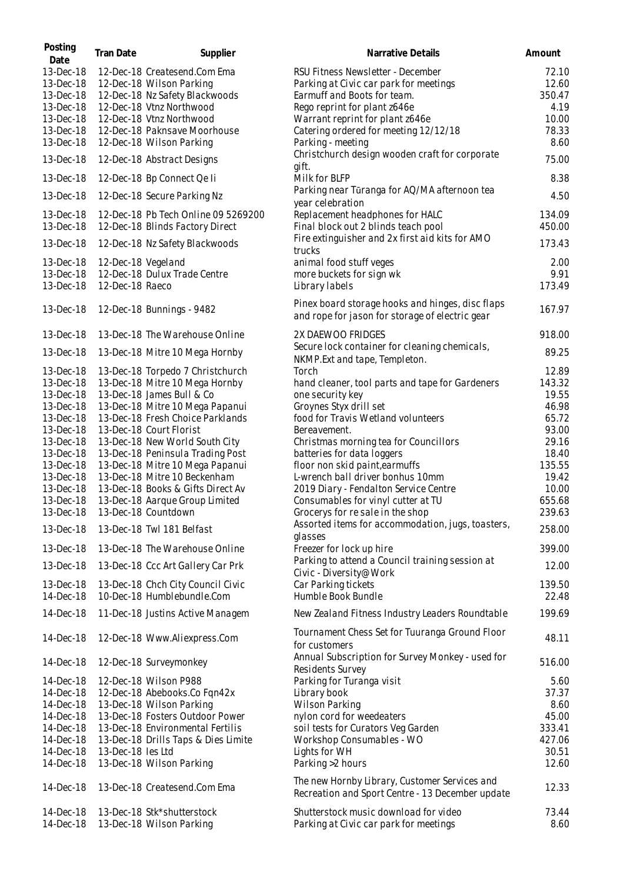| Posting<br>Date                     | Tran Date          | Supplier                                                                                   | Narrative Details                                                                                          | Amount                   |
|-------------------------------------|--------------------|--------------------------------------------------------------------------------------------|------------------------------------------------------------------------------------------------------------|--------------------------|
| 13-Dec-18<br>13-Dec-18<br>13-Dec-18 |                    | 12-Dec-18 Createsend.Com Ema<br>12-Dec-18 Wilson Parking<br>12-Dec-18 Nz Safety Blackwoods | RSU Fitness Newsletter - December<br>Parking at Civic car park for meetings<br>Earmuff and Boots for team. | 72.10<br>12.60<br>350.47 |
| 13-Dec-18                           |                    | 12-Dec-18 Vtnz Northwood                                                                   | Rego reprint for plant z646e                                                                               | 4.19                     |
| 13-Dec-18                           |                    | 12-Dec-18 Vtnz Northwood                                                                   | Warrant reprint for plant z646e                                                                            | 10.00                    |
| 13-Dec-18                           |                    | 12-Dec-18 Paknsave Moorhouse                                                               | Catering ordered for meeting 12/12/18                                                                      | 78.33                    |
| 13-Dec-18                           |                    | 12-Dec-18 Wilson Parking                                                                   | Parking - meeting                                                                                          | 8.60                     |
| 13-Dec-18                           |                    | 12-Dec-18 Abstract Designs                                                                 | Christchurch design wooden craft for corporate<br>gift.                                                    | 75.00                    |
| 13-Dec-18                           |                    | 12-Dec-18 Bp Connect Qe li                                                                 | Milk for BLFP                                                                                              | 8.38                     |
| 13-Dec-18                           |                    | 12-Dec-18 Secure Parking Nz                                                                | Parking near Tūranga for AQ/MA afternoon tea<br>year celebration                                           | 4.50                     |
| 13-Dec-18                           |                    | 12-Dec-18 Pb Tech Online 09 5269200                                                        | Replacement headphones for HALC                                                                            | 134.09                   |
| 13-Dec-18                           |                    | 12-Dec-18 Blinds Factory Direct                                                            | Final block out 2 blinds teach pool                                                                        | 450.00                   |
| 13-Dec-18                           |                    | 12-Dec-18 Nz Safety Blackwoods                                                             | Fire extinguisher and 2x first aid kits for AMO<br>trucks                                                  | 173.43                   |
| 13-Dec-18                           | 12-Dec-18 Vegeland |                                                                                            | animal food stuff veges                                                                                    | 2.00                     |
| 13-Dec-18                           |                    | 12-Dec-18 Dulux Trade Centre                                                               | more buckets for sign wk                                                                                   | 9.91                     |
| 13-Dec-18                           | 12-Dec-18 Raeco    |                                                                                            | Library labels                                                                                             | 173.49                   |
|                                     |                    |                                                                                            | Pinex board storage hooks and hinges, disc flaps                                                           |                          |
| 13-Dec-18                           |                    | 12-Dec-18 Bunnings - 9482                                                                  | and rope for jason for storage of electric gear                                                            | 167.97                   |
| 13-Dec-18                           |                    | 13-Dec-18 The Warehouse Online                                                             | 2X DAEWOO FRIDGES                                                                                          | 918.00                   |
| 13-Dec-18                           |                    | 13-Dec-18 Mitre 10 Mega Hornby                                                             | Secure lock container for cleaning chemicals,<br>NKMP.Ext and tape, Templeton.                             | 89.25                    |
| 13-Dec-18                           |                    | 13-Dec-18 Torpedo 7 Christchurch                                                           | Torch                                                                                                      | 12.89                    |
| 13-Dec-18                           |                    | 13-Dec-18 Mitre 10 Mega Hornby                                                             | hand cleaner, tool parts and tape for Gardeners                                                            | 143.32                   |
| 13-Dec-18                           |                    | 13-Dec-18 James Bull & Co                                                                  | one security key                                                                                           | 19.55                    |
| 13-Dec-18                           |                    | 13-Dec-18 Mitre 10 Mega Papanui                                                            | Groynes Styx drill set                                                                                     | 46.98                    |
| 13-Dec-18                           |                    | 13-Dec-18 Fresh Choice Parklands                                                           | food for Travis Wetland volunteers                                                                         | 65.72                    |
| 13-Dec-18                           |                    | 13-Dec-18 Court Florist                                                                    | Bereavement.                                                                                               | 93.00                    |
| 13-Dec-18<br>13-Dec-18              |                    | 13-Dec-18 New World South City<br>13-Dec-18 Peninsula Trading Post                         | Christmas morning tea for Councillors<br>batteries for data loggers                                        | 29.16<br>18.40           |
| 13-Dec-18                           |                    | 13-Dec-18 Mitre 10 Mega Papanui                                                            | floor non skid paint, earmuffs                                                                             | 135.55                   |
| 13-Dec-18                           |                    | 13-Dec-18 Mitre 10 Beckenham                                                               | L-wrench ball driver bonhus 10mm                                                                           | 19.42                    |
| 13-Dec-18                           |                    | 13-Dec-18 Books & Gifts Direct Av                                                          | 2019 Diary - Fendalton Service Centre                                                                      | 10.00                    |
| 13-Dec-18                           |                    | 13-Dec-18 Aarque Group Limited                                                             | Consumables for vinyl cutter at TU                                                                         | 655.68                   |
| 13-Dec-18                           |                    | 13-Dec-18 Countdown                                                                        | Grocerys for re sale in the shop                                                                           | 239.63                   |
| 13-Dec-18                           |                    | 13-Dec-18 Twl 181 Belfast                                                                  | Assorted items for accommodation, jugs, toasters,<br>glasses                                               | 258.00                   |
| 13-Dec-18                           |                    | 13-Dec-18 The Warehouse Online                                                             | Freezer for lock up hire                                                                                   | 399.00                   |
| 13-Dec-18                           |                    | 13-Dec-18 Ccc Art Gallery Car Prk                                                          | Parking to attend a Council training session at<br>Civic - Diversity@Work                                  | 12.00                    |
| 13-Dec-18                           |                    | 13-Dec-18 Chch City Council Civic                                                          | Car Parking tickets                                                                                        | 139.50                   |
| 14-Dec-18                           |                    | 10-Dec-18 Humblebundle.Com                                                                 | Humble Book Bundle                                                                                         | 22.48                    |
| 14-Dec-18                           |                    | 11-Dec-18 Justins Active Managem                                                           | New Zealand Fitness Industry Leaders Roundtable                                                            | 199.69                   |
| 14-Dec-18                           |                    | 12-Dec-18 Www.Aliexpress.Com                                                               | Tournament Chess Set for Tuuranga Ground Floor<br>for customers                                            | 48.11                    |
| 14-Dec-18                           |                    | 12-Dec-18 Surveymonkey                                                                     | Annual Subscription for Survey Monkey - used for<br>Residents Survey                                       | 516.00                   |
| 14-Dec-18                           |                    | 12-Dec-18 Wilson P988                                                                      | Parking for Turanga visit                                                                                  | 5.60                     |
| 14-Dec-18                           |                    | 12-Dec-18 Abebooks.Co Fqn42x                                                               | Library book                                                                                               | 37.37                    |
| 14-Dec-18                           |                    | 13-Dec-18 Wilson Parking                                                                   | <b>Wilson Parking</b>                                                                                      | 8.60                     |
| 14-Dec-18                           |                    | 13-Dec-18 Fosters Outdoor Power                                                            | nylon cord for weedeaters                                                                                  | 45.00                    |
| 14-Dec-18                           |                    | 13-Dec-18 Environmental Fertilis                                                           | soil tests for Curators Veg Garden                                                                         | 333.41                   |
| 14-Dec-18                           |                    | 13-Dec-18 Drills Taps & Dies Limite                                                        | Workshop Consumables - WO                                                                                  | 427.06                   |
| 14-Dec-18                           | 13-Dec-18 les Ltd  |                                                                                            | Lights for WH                                                                                              | 30.51                    |
| 14-Dec-18                           |                    | 13-Dec-18 Wilson Parking                                                                   | Parking >2 hours                                                                                           | 12.60                    |
| 14-Dec-18                           |                    | 13-Dec-18 Createsend.Com Ema                                                               | The new Hornby Library, Customer Services and<br>Recreation and Sport Centre - 13 December update          | 12.33                    |
| 14-Dec-18                           |                    | 13-Dec-18 Stk*shutterstock                                                                 | Shutterstock music download for video                                                                      | 73.44                    |
| 14-Dec-18                           |                    | 13-Dec-18 Wilson Parking                                                                   | Parking at Civic car park for meetings                                                                     | 8.60                     |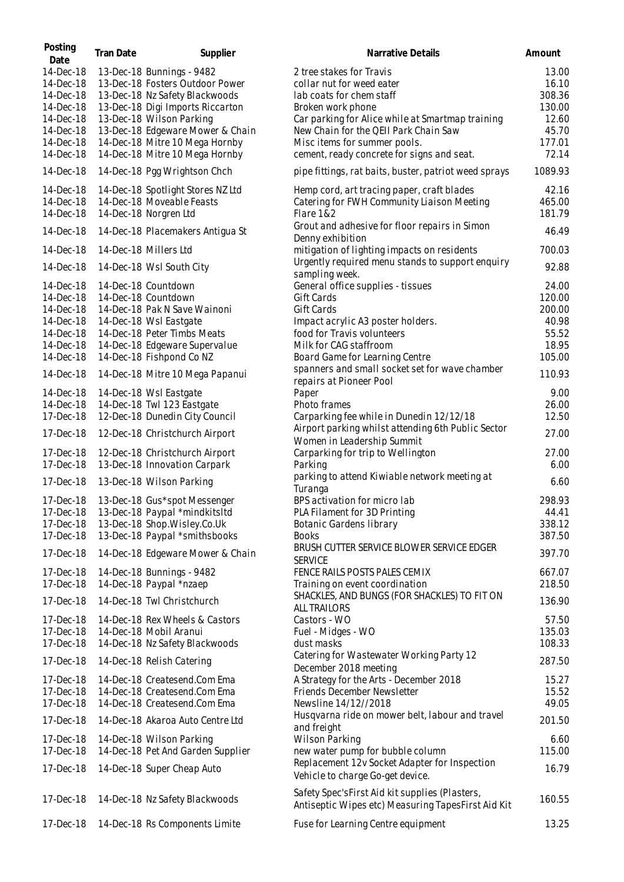| Posting<br>Date                     | <b>Tran Date</b> | Supplier                                                                                       | Narrative Details                                                                                     | Amount                   |
|-------------------------------------|------------------|------------------------------------------------------------------------------------------------|-------------------------------------------------------------------------------------------------------|--------------------------|
| 14-Dec-18<br>14-Dec-18<br>14-Dec-18 |                  | 13-Dec-18 Bunnings - 9482<br>13-Dec-18 Fosters Outdoor Power<br>13-Dec-18 Nz Safety Blackwoods | 2 tree stakes for Travis<br>collar nut for weed eater<br>lab coats for chem staff                     | 13.00<br>16.10<br>308.36 |
| 14-Dec-18                           |                  | 13-Dec-18 Digi Imports Riccarton                                                               | Broken work phone                                                                                     | 130.00                   |
| 14-Dec-18                           |                  | 13-Dec-18 Wilson Parking                                                                       | Car parking for Alice while at Smartmap training                                                      | 12.60                    |
| 14-Dec-18                           |                  | 13-Dec-18 Edgeware Mower & Chain                                                               | New Chain for the QEII Park Chain Saw                                                                 | 45.70                    |
| 14-Dec-18<br>14-Dec-18              |                  | 14-Dec-18 Mitre 10 Mega Hornby<br>14-Dec-18 Mitre 10 Mega Hornby                               | Misc items for summer pools.<br>cement, ready concrete for signs and seat.                            | 177.01<br>72.14          |
| 14-Dec-18                           |                  | 14-Dec-18 Pgg Wrightson Chch                                                                   | pipe fittings, rat baits, buster, patriot weed sprays                                                 | 1089.93                  |
| 14-Dec-18                           |                  | 14-Dec-18 Spotlight Stores NZ Ltd                                                              | Hemp cord, art tracing paper, craft blades                                                            | 42.16                    |
| 14-Dec-18                           |                  | 14-Dec-18 Moveable Feasts                                                                      | Catering for FWH Community Liaison Meeting                                                            | 465.00                   |
| 14-Dec-18                           |                  | 14-Dec-18 Norgren Ltd                                                                          | Flare 1&2                                                                                             | 181.79                   |
| 14-Dec-18                           |                  | 14-Dec-18 Placemakers Antigua St                                                               | Grout and adhesive for floor repairs in Simon<br>Denny exhibition                                     | 46.49                    |
| 14-Dec-18                           |                  | 14-Dec-18 Millers Ltd                                                                          | mitigation of lighting impacts on residents                                                           | 700.03                   |
| 14-Dec-18                           |                  | 14-Dec-18 Wsl South City                                                                       | Urgently required menu stands to support enquiry<br>sampling week.                                    | 92.88                    |
| 14-Dec-18                           |                  | 14-Dec-18 Countdown                                                                            | General office supplies - tissues                                                                     | 24.00                    |
| 14-Dec-18                           |                  | 14-Dec-18 Countdown                                                                            | Gift Cards                                                                                            | 120.00                   |
| 14-Dec-18                           |                  | 14-Dec-18 Pak N Save Wainoni                                                                   | Gift Cards                                                                                            | 200.00                   |
| 14-Dec-18<br>14-Dec-18              |                  | 14-Dec-18 Wsl Eastgate<br>14-Dec-18 Peter Timbs Meats                                          | Impact acrylic A3 poster holders.<br>food for Travis volunteers                                       | 40.98<br>55.52           |
| 14-Dec-18                           |                  | 14-Dec-18 Edgeware Supervalue                                                                  | Milk for CAG staffroom                                                                                | 18.95                    |
| 14-Dec-18                           |                  | 14-Dec-18 Fishpond Co NZ                                                                       | Board Game for Learning Centre                                                                        | 105.00                   |
| 14-Dec-18                           |                  | 14-Dec-18 Mitre 10 Mega Papanui                                                                | spanners and small socket set for wave chamber                                                        | 110.93                   |
| 14-Dec-18                           |                  | 14-Dec-18 Wsl Eastgate                                                                         | repairs at Pioneer Pool<br>Paper                                                                      | 9.00                     |
| 14-Dec-18                           |                  | 14-Dec-18 Twl 123 Eastgate                                                                     | Photo frames                                                                                          | 26.00                    |
| 17-Dec-18                           |                  | 12-Dec-18 Dunedin City Council                                                                 | Carparking fee while in Dunedin 12/12/18                                                              | 12.50                    |
| 17-Dec-18                           |                  | 12-Dec-18 Christchurch Airport                                                                 | Airport parking whilst attending 6th Public Sector<br>Women in Leadership Summit                      | 27.00                    |
| 17-Dec-18                           |                  | 12-Dec-18 Christchurch Airport                                                                 | Carparking for trip to Wellington                                                                     | 27.00                    |
| 17-Dec-18                           |                  | 13-Dec-18 Innovation Carpark                                                                   | Parking                                                                                               | 6.00                     |
| 17-Dec-18                           |                  | 13-Dec-18 Wilson Parking                                                                       | parking to attend Kiwiable network meeting at<br>Turanga                                              | 6.60                     |
| 17-Dec-18                           |                  | 13-Dec-18 Gus*spot Messenger                                                                   | BPS activation for micro lab                                                                          | 298.93                   |
| 17-Dec-18                           |                  | 13-Dec-18 Paypal *mindkitsltd                                                                  | PLA Filament for 3D Printing                                                                          | 44.41                    |
| 17-Dec-18                           |                  | 13-Dec-18 Shop.Wisley.Co.Uk                                                                    | <b>Botanic Gardens library</b>                                                                        | 338.12                   |
| 17-Dec-18                           |                  | 13-Dec-18 Paypal *smithsbooks                                                                  | <b>Books</b>                                                                                          | 387.50                   |
| 17-Dec-18                           |                  | 14-Dec-18 Edgeware Mower & Chain                                                               | BRUSH CUTTER SERVICE BLOWER SERVICE EDGER<br><b>SERVICE</b>                                           | 397.70                   |
| 17-Dec-18                           |                  | 14-Dec-18 Bunnings - 9482                                                                      | FENCE RAILS POSTS PALES CEMIX                                                                         | 667.07                   |
| 17-Dec-18                           |                  | 14-Dec-18 Paypal *nzaep                                                                        | Training on event coordination<br>SHACKLES, AND BUNGS (FOR SHACKLES) TO FIT ON                        | 218.50                   |
| 17-Dec-18                           |                  | 14-Dec-18 Twl Christchurch                                                                     | <b>ALL TRAILORS</b>                                                                                   | 136.90                   |
| 17-Dec-18                           |                  | 14-Dec-18 Rex Wheels & Castors                                                                 | Castors - WO                                                                                          | 57.50                    |
| 17-Dec-18                           |                  | 14-Dec-18 Mobil Aranui                                                                         | Fuel - Midges - WO                                                                                    | 135.03                   |
| 17-Dec-18                           |                  | 14-Dec-18 Nz Safety Blackwoods                                                                 | dust masks                                                                                            | 108.33                   |
| 17-Dec-18                           |                  | 14-Dec-18 Relish Catering                                                                      | Catering for Wastewater Working Party 12<br>December 2018 meeting                                     | 287.50                   |
| 17-Dec-18                           |                  | 14-Dec-18 Createsend.Com Ema                                                                   | A Strategy for the Arts - December 2018                                                               | 15.27                    |
| 17-Dec-18                           |                  | 14-Dec-18 Createsend.Com Ema                                                                   | Friends December Newsletter                                                                           | 15.52                    |
| 17-Dec-18                           |                  | 14-Dec-18 Createsend.Com Ema                                                                   | Newsline 14/12//2018<br>Husqvarna ride on mower belt, labour and travel                               | 49.05                    |
| 17-Dec-18                           |                  | 14-Dec-18 Akaroa Auto Centre Ltd                                                               | and freight                                                                                           | 201.50                   |
| 17-Dec-18                           |                  | 14-Dec-18 Wilson Parking                                                                       | <b>Wilson Parking</b>                                                                                 | 6.60                     |
| 17-Dec-18                           |                  | 14-Dec-18 Pet And Garden Supplier                                                              | new water pump for bubble column                                                                      | 115.00                   |
| 17-Dec-18                           |                  | 14-Dec-18 Super Cheap Auto                                                                     | Replacement 12v Socket Adapter for Inspection<br>Vehicle to charge Go-get device.                     | 16.79                    |
| 17-Dec-18                           |                  | 14-Dec-18 Nz Safety Blackwoods                                                                 | Safety Spec's First Aid kit supplies (Plasters,<br>Antiseptic Wipes etc) Measuring TapesFirst Aid Kit | 160.55                   |
| 17-Dec-18                           |                  | 14-Dec-18 Rs Components Limite                                                                 | Fuse for Learning Centre equipment                                                                    | 13.25                    |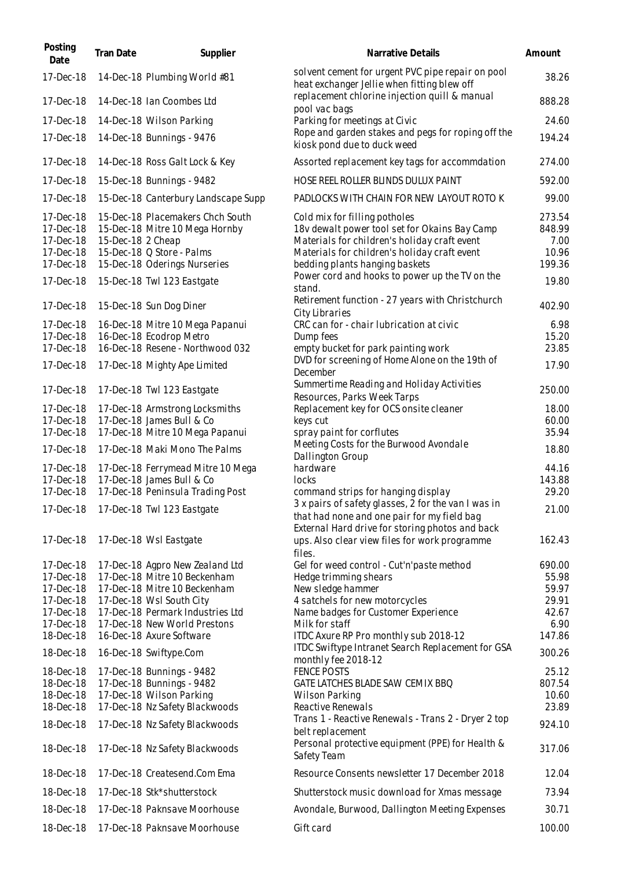| Posting<br>Date        | Tran Date         | Supplier                                           | Narrative Details                                                                                  | Amount           |
|------------------------|-------------------|----------------------------------------------------|----------------------------------------------------------------------------------------------------|------------------|
| 17-Dec-18              |                   | 14-Dec-18 Plumbing World #81                       | solvent cement for urgent PVC pipe repair on pool<br>heat exchanger Jellie when fitting blew off   | 38.26            |
| 17-Dec-18              |                   | 14-Dec-18 Ian Coombes Ltd                          | replacement chlorine injection quill & manual<br>pool vac bags                                     | 888.28           |
| 17-Dec-18              |                   | 14-Dec-18 Wilson Parking                           | Parking for meetings at Civic                                                                      | 24.60            |
| 17-Dec-18              |                   | 14-Dec-18 Bunnings - 9476                          | Rope and garden stakes and pegs for roping off the<br>kiosk pond due to duck weed                  | 194.24           |
| 17-Dec-18              |                   | 14-Dec-18 Ross Galt Lock & Key                     | Assorted replacement key tags for accommdation                                                     | 274.00           |
| 17-Dec-18              |                   | 15-Dec-18 Bunnings - 9482                          | HOSE REEL ROLLER BLINDS DULUX PAINT                                                                | 592.00           |
| 17-Dec-18              |                   | 15-Dec-18 Canterbury Landscape Supp                | PADLOCKS WITH CHAIN FOR NEW LAYOUT ROTO K                                                          | 99.00            |
| 17-Dec-18              |                   | 15-Dec-18 Placemakers Chch South                   | Cold mix for filling potholes                                                                      | 273.54           |
| 17-Dec-18              |                   | 15-Dec-18 Mitre 10 Mega Hornby                     | 18v dewalt power tool set for Okains Bay Camp                                                      | 848.99           |
| 17-Dec-18              | 15-Dec-18 2 Cheap |                                                    | Materials for children's holiday craft event                                                       | 7.00             |
| 17-Dec-18              |                   | 15-Dec-18 Q Store - Palms                          | Materials for children's holiday craft event                                                       | 10.96            |
| 17-Dec-18              |                   | 15-Dec-18 Oderings Nurseries                       | bedding plants hanging baskets                                                                     | 199.36           |
| 17-Dec-18              |                   | 15-Dec-18 Twl 123 Eastgate                         | Power cord and hooks to power up the TV on the<br>stand.                                           | 19.80            |
| 17-Dec-18              |                   | 15-Dec-18 Sun Dog Diner                            | Retirement function - 27 years with Christchurch<br>City Libraries                                 | 402.90           |
| 17-Dec-18              |                   | 16-Dec-18 Mitre 10 Mega Papanui                    | CRC can for - chair lubrication at civic                                                           | 6.98             |
| 17-Dec-18              |                   | 16-Dec-18 Ecodrop Metro                            | Dump fees                                                                                          | 15.20            |
| 17-Dec-18              |                   | 16-Dec-18 Resene - Northwood 032                   | empty bucket for park painting work                                                                | 23.85            |
| 17-Dec-18              |                   | 17-Dec-18 Mighty Ape Limited                       | DVD for screening of Home Alone on the 19th of<br>December                                         | 17.90            |
| 17-Dec-18              |                   | 17-Dec-18 Twl 123 Eastgate                         | Summertime Reading and Holiday Activities<br>Resources, Parks Week Tarps                           | 250.00           |
| 17-Dec-18              |                   | 17-Dec-18 Armstrong Locksmiths                     | Replacement key for OCS onsite cleaner                                                             | 18.00            |
| 17-Dec-18              |                   | 17-Dec-18 James Bull & Co                          | keys cut                                                                                           | 60.00            |
| 17-Dec-18              |                   | 17-Dec-18 Mitre 10 Mega Papanui                    | spray paint for corflutes                                                                          | 35.94            |
| 17-Dec-18              |                   | 17-Dec-18 Maki Mono The Palms                      | Meeting Costs for the Burwood Avondale<br>Dallington Group                                         | 18.80            |
| 17-Dec-18              |                   | 17-Dec-18 Ferrymead Mitre 10 Mega                  | hardware                                                                                           | 44.16            |
| 17-Dec-18              |                   | 17-Dec-18 James Bull & Co                          | locks                                                                                              | 143.88           |
| 17-Dec-18              |                   | 17-Dec-18 Peninsula Trading Post                   | command strips for hanging display                                                                 | 29.20            |
|                        |                   | 17-Dec-18  17-Dec-18 Twl 123 Eastgate              | 3 x pairs of safety glasses, 2 for the van I was in<br>that had none and one pair for my field bag | 21.00            |
|                        |                   |                                                    | External Hard drive for storing photos and back                                                    |                  |
| 17-Dec-18              |                   | 17-Dec-18 Wsl Eastgate                             | ups. Also clear view files for work programme<br>files.                                            | 162.43           |
| 17-Dec-18              |                   | 17-Dec-18 Agpro New Zealand Ltd                    | Gel for weed control - Cut'n'paste method                                                          | 690.00           |
| 17-Dec-18              |                   | 17-Dec-18 Mitre 10 Beckenham                       | Hedge trimming shears                                                                              | 55.98            |
| 17-Dec-18              |                   | 17-Dec-18 Mitre 10 Beckenham                       | New sledge hammer                                                                                  | 59.97            |
| 17-Dec-18              |                   | 17-Dec-18 Wsl South City                           | 4 satchels for new motorcycles                                                                     | 29.91            |
| 17-Dec-18              |                   | 17-Dec-18 Permark Industries Ltd                   | Name badges for Customer Experience                                                                | 42.67            |
| 17-Dec-18              |                   | 17-Dec-18 New World Prestons                       | Milk for staff                                                                                     | 6.90             |
| 18-Dec-18<br>18-Dec-18 |                   | 16-Dec-18 Axure Software<br>16-Dec-18 Swiftype.Com | ITDC Axure RP Pro monthly sub 2018-12<br>ITDC Swiftype Intranet Search Replacement for GSA         | 147.86<br>300.26 |
|                        |                   |                                                    | monthly fee 2018-12                                                                                |                  |
| 18-Dec-18              |                   | 17-Dec-18 Bunnings - 9482                          | <b>FENCE POSTS</b>                                                                                 | 25.12            |
| 18-Dec-18              |                   | 17-Dec-18 Bunnings - 9482                          | GATE LATCHES BLADE SAW CEMIX BBQ                                                                   | 807.54           |
| 18-Dec-18<br>18-Dec-18 |                   | 17-Dec-18 Wilson Parking                           | Wilson Parking                                                                                     | 10.60<br>23.89   |
|                        |                   | 17-Dec-18 Nz Safety Blackwoods                     | Reactive Renewals<br>Trans 1 - Reactive Renewals - Trans 2 - Dryer 2 top                           |                  |
| 18-Dec-18              |                   | 17-Dec-18 Nz Safety Blackwoods                     | belt replacement                                                                                   | 924.10           |
| 18-Dec-18              |                   | 17-Dec-18 Nz Safety Blackwoods                     | Personal protective equipment (PPE) for Health &<br>Safety Team                                    | 317.06           |
| 18-Dec-18              |                   | 17-Dec-18 Createsend.Com Ema                       | Resource Consents newsletter 17 December 2018                                                      | 12.04            |
| 18-Dec-18              |                   | 17-Dec-18 Stk*shutterstock                         | Shutterstock music download for Xmas message                                                       | 73.94            |
| 18-Dec-18              |                   | 17-Dec-18 Paknsave Moorhouse                       | Avondale, Burwood, Dallington Meeting Expenses                                                     | 30.71            |
| 18-Dec-18              |                   | 17-Dec-18 Paknsave Moorhouse                       | Gift card                                                                                          | 100.00           |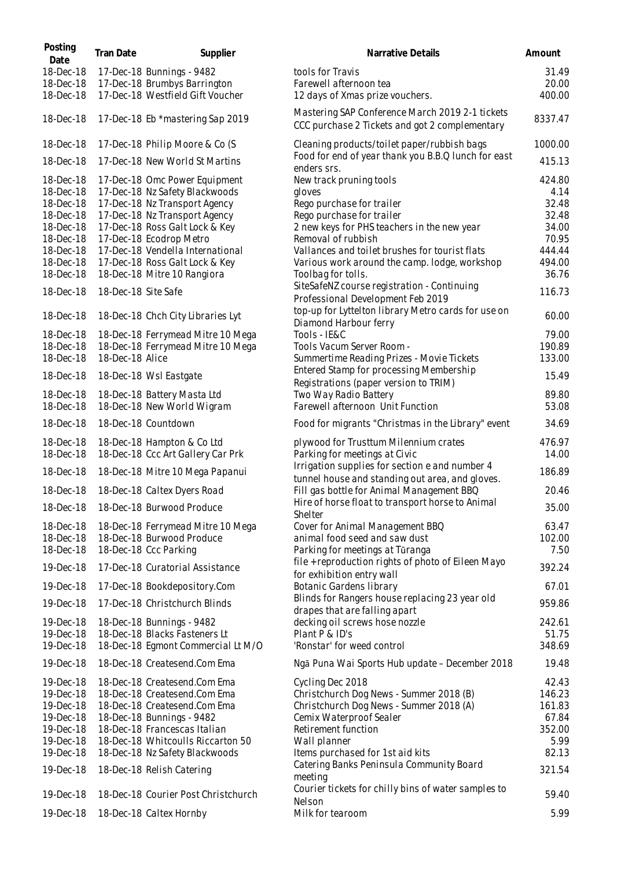| Posting<br>Date | <b>Tran Date</b>    | Supplier                            | Narrative Details                                                                                 | Amount  |
|-----------------|---------------------|-------------------------------------|---------------------------------------------------------------------------------------------------|---------|
| 18-Dec-18       |                     | 17-Dec-18 Bunnings - 9482           | tools for Travis                                                                                  | 31.49   |
| 18-Dec-18       |                     | 17-Dec-18 Brumbys Barrington        | Farewell afternoon tea                                                                            | 20.00   |
| 18-Dec-18       |                     | 17-Dec-18 Westfield Gift Voucher    | 12 days of Xmas prize vouchers.                                                                   | 400.00  |
| 18-Dec-18       |                     | 17-Dec-18 Eb *mastering Sap 2019    | Mastering SAP Conference March 2019 2-1 tickets<br>CCC purchase 2 Tickets and got 2 complementary | 8337.47 |
| 18-Dec-18       |                     | 17-Dec-18 Philip Moore & Co (S      | Cleaning products/toilet paper/rubbish bags                                                       | 1000.00 |
| 18-Dec-18       |                     | 17-Dec-18 New World St Martins      | Food for end of year thank you B.B.Q lunch for east                                               | 415.13  |
| 18-Dec-18       |                     | 17-Dec-18 Omc Power Equipment       | enders srs.<br>New track pruning tools                                                            | 424.80  |
| 18-Dec-18       |                     | 17-Dec-18 Nz Safety Blackwoods      | gloves                                                                                            | 4.14    |
| 18-Dec-18       |                     | 17-Dec-18 Nz Transport Agency       | Rego purchase for trailer                                                                         | 32.48   |
| 18-Dec-18       |                     | 17-Dec-18 Nz Transport Agency       | Rego purchase for trailer                                                                         | 32.48   |
| 18-Dec-18       |                     | 17-Dec-18 Ross Galt Lock & Key      | 2 new keys for PHS teachers in the new year                                                       | 34.00   |
| 18-Dec-18       |                     | 17-Dec-18 Ecodrop Metro             | Removal of rubbish                                                                                | 70.95   |
| 18-Dec-18       |                     | 17-Dec-18 Vendella International    | Vallances and toilet brushes for tourist flats                                                    | 444.44  |
| 18-Dec-18       |                     | 17-Dec-18 Ross Galt Lock & Key      | Various work around the camp. lodge, workshop                                                     | 494.00  |
| 18-Dec-18       |                     | 18-Dec-18 Mitre 10 Rangiora         | Toolbag for tolls.                                                                                | 36.76   |
|                 |                     |                                     | SiteSafeNZ course registration - Continuing                                                       |         |
| 18-Dec-18       | 18-Dec-18 Site Safe |                                     | Professional Development Feb 2019                                                                 | 116.73  |
| 18-Dec-18       |                     | 18-Dec-18 Chch City Libraries Lyt   | top-up for Lyttelton library Metro cards for use on<br>Diamond Harbour ferry                      | 60.00   |
| 18-Dec-18       |                     | 18-Dec-18 Ferrymead Mitre 10 Mega   | Tools - IE&C                                                                                      | 79.00   |
| 18-Dec-18       |                     | 18-Dec-18 Ferrymead Mitre 10 Mega   | Tools Vacum Server Room -                                                                         | 190.89  |
| 18-Dec-18       | 18-Dec-18 Alice     |                                     | Summertime Reading Prizes - Movie Tickets                                                         | 133.00  |
| 18-Dec-18       |                     | 18-Dec-18 Wsl Eastgate              | Entered Stamp for processing Membership<br>Registrations (paper version to TRIM)                  | 15.49   |
| 18-Dec-18       |                     | 18-Dec-18 Battery Masta Ltd         | Two Way Radio Battery                                                                             | 89.80   |
| 18-Dec-18       |                     | 18-Dec-18 New World Wigram          | Farewell afternoon Unit Function                                                                  | 53.08   |
| 18-Dec-18       |                     | 18-Dec-18 Countdown                 | Food for migrants "Christmas in the Library" event                                                | 34.69   |
| 18-Dec-18       |                     | 18-Dec-18 Hampton & Co Ltd          | plywood for Trusttum Milennium crates                                                             | 476.97  |
| 18-Dec-18       |                     | 18-Dec-18 Ccc Art Gallery Car Prk   | Parking for meetings at Civic                                                                     | 14.00   |
| 18-Dec-18       |                     | 18-Dec-18 Mitre 10 Mega Papanui     | Irrigation supplies for section e and number 4<br>tunnel house and standing out area, and gloves. | 186.89  |
| 18-Dec-18       |                     | 18-Dec-18 Caltex Dyers Road         | Fill gas bottle for Animal Management BBQ                                                         | 20.46   |
| 18-Dec-18       |                     | 18-Dec-18 Burwood Produce           | Hire of horse float to transport horse to Animal<br><b>Shelter</b>                                | 35.00   |
| 18-Dec-18       |                     | 18-Dec-18 Ferrymead Mitre 10 Mega   | Cover for Animal Management BBQ                                                                   | 63.47   |
| 18-Dec-18       |                     | 18-Dec-18 Burwood Produce           | animal food seed and saw dust                                                                     | 102.00  |
| 18-Dec-18       |                     | 18-Dec-18 Ccc Parking               | Parking for meetings at Tūranga                                                                   | 7.50    |
|                 |                     |                                     | file + reproduction rights of photo of Eileen Mayo                                                |         |
| 19-Dec-18       |                     | 17-Dec-18 Curatorial Assistance     | for exhibition entry wall                                                                         | 392.24  |
| 19-Dec-18       |                     | 17-Dec-18 Bookdepository.Com        | Botanic Gardens library                                                                           | 67.01   |
| 19-Dec-18       |                     | 17-Dec-18 Christchurch Blinds       | Blinds for Rangers house replacing 23 year old<br>drapes that are falling apart                   | 959.86  |
| 19-Dec-18       |                     | 18-Dec-18 Bunnings - 9482           | decking oil screws hose nozzle                                                                    | 242.61  |
| 19-Dec-18       |                     | 18-Dec-18 Blacks Fasteners Lt       | Plant P & ID's                                                                                    | 51.75   |
| 19-Dec-18       |                     | 18-Dec-18 Egmont Commercial Lt M/O  | 'Ronstar' for weed control                                                                        | 348.69  |
| 19-Dec-18       |                     | 18-Dec-18 Createsend.Com Ema        | Ngā Puna Wai Sports Hub update - December 2018                                                    | 19.48   |
| 19-Dec-18       |                     | 18-Dec-18 Createsend.Com Ema        | Cycling Dec 2018                                                                                  | 42.43   |
| 19-Dec-18       |                     | 18-Dec-18 Createsend.Com Ema        | Christchurch Dog News - Summer 2018 (B)                                                           | 146.23  |
| 19-Dec-18       |                     | 18-Dec-18 Createsend.Com Ema        | Christchurch Dog News - Summer 2018 (A)                                                           | 161.83  |
| 19-Dec-18       |                     | 18-Dec-18 Bunnings - 9482           | Cemix Waterproof Sealer                                                                           | 67.84   |
| 19-Dec-18       |                     | 18-Dec-18 Francescas Italian        | Retirement function                                                                               | 352.00  |
| 19-Dec-18       |                     | 18-Dec-18 Whitcoulls Riccarton 50   | Wall planner                                                                                      | 5.99    |
| 19-Dec-18       |                     | 18-Dec-18 Nz Safety Blackwoods      | Items purchased for 1st aid kits                                                                  | 82.13   |
| 19-Dec-18       |                     | 18-Dec-18 Relish Catering           | Catering Banks Peninsula Community Board<br>meeting                                               | 321.54  |
| 19-Dec-18       |                     | 18-Dec-18 Courier Post Christchurch | Courier tickets for chilly bins of water samples to                                               | 59.40   |
| 19-Dec-18       |                     | 18-Dec-18 Caltex Hornby             | Nelson<br>Milk for tearoom                                                                        | 5.99    |
|                 |                     |                                     |                                                                                                   |         |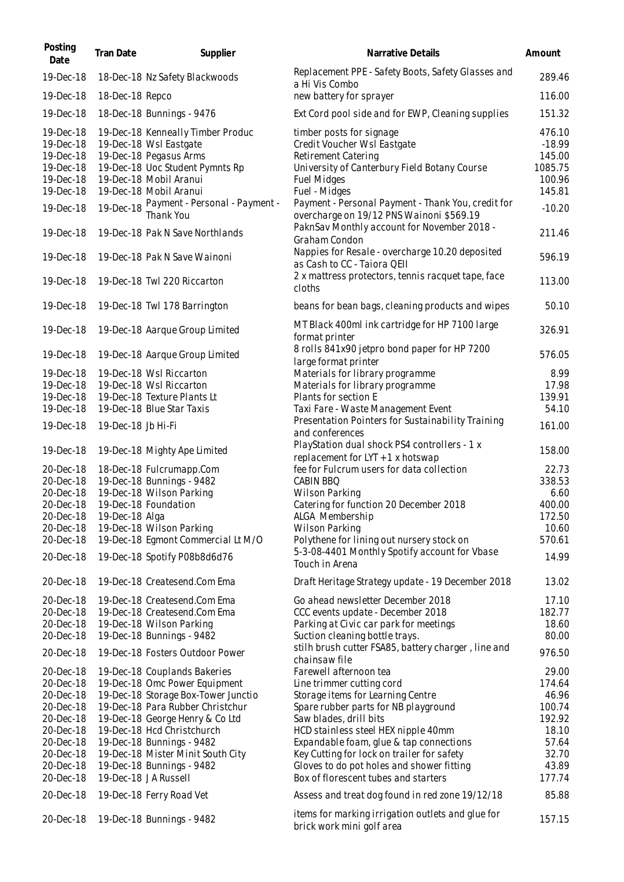| Posting<br>Date                                                            | Tran Date          | Supplier                                                                                                                                                                     | Narrative Details                                                                                                                                                     | Amount                                                      |
|----------------------------------------------------------------------------|--------------------|------------------------------------------------------------------------------------------------------------------------------------------------------------------------------|-----------------------------------------------------------------------------------------------------------------------------------------------------------------------|-------------------------------------------------------------|
| 19-Dec-18                                                                  |                    | 18-Dec-18 Nz Safety Blackwoods                                                                                                                                               | Replacement PPE - Safety Boots, Safety Glasses and<br>a Hi Vis Combo                                                                                                  | 289.46                                                      |
| 19-Dec-18                                                                  | 18-Dec-18 Repco    |                                                                                                                                                                              | new battery for sprayer                                                                                                                                               | 116.00                                                      |
| 19-Dec-18                                                                  |                    | 18-Dec-18 Bunnings - 9476                                                                                                                                                    | Ext Cord pool side and for EWP, Cleaning supplies                                                                                                                     | 151.32                                                      |
| 19-Dec-18<br>19-Dec-18<br>19-Dec-18<br>19-Dec-18<br>19-Dec-18<br>19-Dec-18 |                    | 19-Dec-18 Kenneally Timber Produc<br>19-Dec-18 Wsl Eastgate<br>19-Dec-18 Pegasus Arms<br>19-Dec-18 Uoc Student Pymnts Rp<br>19-Dec-18 Mobil Aranui<br>19-Dec-18 Mobil Aranui | timber posts for signage<br>Credit Voucher Wsl Eastgate<br>Retirement Catering<br>University of Canterbury Field Botany Course<br><b>Fuel Midges</b><br>Fuel - Midges | 476.10<br>$-18.99$<br>145.00<br>1085.75<br>100.96<br>145.81 |
| 19-Dec-18                                                                  | 19-Dec-18          | Payment - Personal - Payment -<br>Thank You                                                                                                                                  | Payment - Personal Payment - Thank You, credit for<br>overcharge on 19/12 PNS Wainoni \$569.19                                                                        | $-10.20$                                                    |
| 19-Dec-18                                                                  |                    | 19-Dec-18 Pak N Save Northlands                                                                                                                                              | PaknSav Monthly account for November 2018 -<br>Graham Condon                                                                                                          | 211.46                                                      |
| 19-Dec-18                                                                  |                    | 19-Dec-18 Pak N Save Wainoni                                                                                                                                                 | Nappies for Resale - overcharge 10.20 deposited<br>as Cash to CC - Taiora QEII                                                                                        | 596.19                                                      |
| 19-Dec-18                                                                  |                    | 19-Dec-18 Twl 220 Riccarton                                                                                                                                                  | 2 x mattress protectors, tennis racquet tape, face<br>cloths                                                                                                          | 113.00                                                      |
| 19-Dec-18                                                                  |                    | 19-Dec-18 Twl 178 Barrington                                                                                                                                                 | beans for bean bags, cleaning products and wipes                                                                                                                      | 50.10                                                       |
| 19-Dec-18                                                                  |                    | 19-Dec-18 Aarque Group Limited                                                                                                                                               | MT Black 400ml ink cartridge for HP 7100 large<br>format printer                                                                                                      | 326.91                                                      |
| 19-Dec-18                                                                  |                    | 19-Dec-18 Aarque Group Limited                                                                                                                                               | 8 rolls 841x90 jetpro bond paper for HP 7200<br>large format printer                                                                                                  | 576.05                                                      |
| 19-Dec-18<br>19-Dec-18                                                     |                    | 19-Dec-18 Wsl Riccarton<br>19-Dec-18 Wsl Riccarton                                                                                                                           | Materials for library programme<br>Materials for library programme                                                                                                    | 8.99<br>17.98                                               |
| 19-Dec-18                                                                  |                    | 19-Dec-18 Texture Plants Lt                                                                                                                                                  | Plants for section E                                                                                                                                                  | 139.91                                                      |
| 19-Dec-18                                                                  |                    | 19-Dec-18 Blue Star Taxis                                                                                                                                                    | Taxi Fare - Waste Management Event                                                                                                                                    | 54.10                                                       |
| 19-Dec-18                                                                  | 19-Dec-18 Jb Hi-Fi |                                                                                                                                                                              | Presentation Pointers for Sustainability Training                                                                                                                     | 161.00                                                      |
| 19-Dec-18                                                                  |                    | 19-Dec-18 Mighty Ape Limited                                                                                                                                                 | and conferences<br>PlayStation dual shock PS4 controllers - 1 x<br>replacement for LYT + 1 x hotswap                                                                  | 158.00                                                      |
| 20-Dec-18                                                                  |                    | 18-Dec-18 Fulcrumapp.Com                                                                                                                                                     | fee for Fulcrum users for data collection                                                                                                                             | 22.73                                                       |
| 20-Dec-18                                                                  |                    | 19-Dec-18 Bunnings - 9482                                                                                                                                                    | CABIN BBQ                                                                                                                                                             | 338.53                                                      |
| 20-Dec-18                                                                  |                    | 19-Dec-18 Wilson Parking                                                                                                                                                     | Wilson Parking                                                                                                                                                        | 6.60                                                        |
| 20-Dec-18                                                                  |                    | 19-Dec-18 Foundation                                                                                                                                                         | Catering for function 20 December 2018                                                                                                                                | 400.00                                                      |
| 20-Dec-18                                                                  | 19-Dec-18 Alga     |                                                                                                                                                                              | ALGA_Membership                                                                                                                                                       | 172.50                                                      |
| 20-Dec-18                                                                  |                    | 19-Dec-18 Wilson Parking                                                                                                                                                     | Wilson Parking                                                                                                                                                        | 10.60                                                       |
| 20-Dec-18                                                                  |                    | 19-Dec-18 Egmont Commercial Lt M/O                                                                                                                                           | Polythene for lining out nursery stock on                                                                                                                             | 570.61                                                      |
| 20-Dec-18                                                                  |                    | 19-Dec-18 Spotify P08b8d6d76                                                                                                                                                 | 5-3-08-4401 Monthly Spotify account for Vbase<br>Touch in Arena                                                                                                       | 14.99                                                       |
| 20-Dec-18                                                                  |                    | 19-Dec-18 Createsend.Com Ema                                                                                                                                                 | Draft Heritage Strategy update - 19 December 2018                                                                                                                     | 13.02                                                       |
| 20-Dec-18                                                                  |                    | 19-Dec-18 Createsend.Com Ema                                                                                                                                                 | Go ahead newsletter December 2018                                                                                                                                     | 17.10                                                       |
| 20-Dec-18                                                                  |                    | 19-Dec-18 Createsend.Com Ema                                                                                                                                                 | CCC events update - December 2018                                                                                                                                     | 182.77                                                      |
| 20-Dec-18                                                                  |                    | 19-Dec-18 Wilson Parking                                                                                                                                                     | Parking at Civic car park for meetings                                                                                                                                | 18.60                                                       |
| 20-Dec-18                                                                  |                    | 19-Dec-18 Bunnings - 9482                                                                                                                                                    | Suction cleaning bottle trays.                                                                                                                                        | 80.00                                                       |
| 20-Dec-18                                                                  |                    | 19-Dec-18 Fosters Outdoor Power                                                                                                                                              | stilh brush cutter FSA85, battery charger, line and<br>chainsaw file                                                                                                  | 976.50                                                      |
| 20-Dec-18                                                                  |                    | 19-Dec-18 Couplands Bakeries                                                                                                                                                 | Farewell afternoon tea                                                                                                                                                | 29.00                                                       |
| 20-Dec-18                                                                  |                    | 19-Dec-18 Omc Power Equipment                                                                                                                                                | Line trimmer cutting cord                                                                                                                                             | 174.64                                                      |
| 20-Dec-18                                                                  |                    | 19-Dec-18 Storage Box-Tower Junctio                                                                                                                                          | Storage items for Learning Centre                                                                                                                                     | 46.96                                                       |
| 20-Dec-18                                                                  |                    | 19-Dec-18 Para Rubber Christchur                                                                                                                                             | Spare rubber parts for NB playground                                                                                                                                  | 100.74                                                      |
| 20-Dec-18                                                                  |                    | 19-Dec-18 George Henry & Co Ltd                                                                                                                                              | Saw blades, drill bits                                                                                                                                                | 192.92                                                      |
| 20-Dec-18                                                                  |                    | 19-Dec-18 Hcd Christchurch                                                                                                                                                   | HCD stainless steel HEX nipple 40mm                                                                                                                                   | 18.10                                                       |
| 20-Dec-18                                                                  |                    | 19-Dec-18 Bunnings - 9482                                                                                                                                                    | Expandable foam, glue & tap connections                                                                                                                               | 57.64                                                       |
| 20-Dec-18                                                                  |                    | 19-Dec-18 Mister Minit South City                                                                                                                                            | Key Cutting for lock on trailer for safety                                                                                                                            | 32.70                                                       |
| 20-Dec-18<br>20-Dec-18                                                     |                    | 19-Dec-18 Bunnings - 9482<br>19-Dec-18 JA Russell                                                                                                                            | Gloves to do pot holes and shower fitting<br>Box of florescent tubes and starters                                                                                     | 43.89<br>177.74                                             |
| 20-Dec-18                                                                  |                    | 19-Dec-18 Ferry Road Vet                                                                                                                                                     | Assess and treat dog found in red zone 19/12/18                                                                                                                       | 85.88                                                       |
| 20-Dec-18                                                                  |                    | 19-Dec-18 Bunnings - 9482                                                                                                                                                    | items for marking irrigation outlets and glue for<br>brick work mini golf area                                                                                        | 157.15                                                      |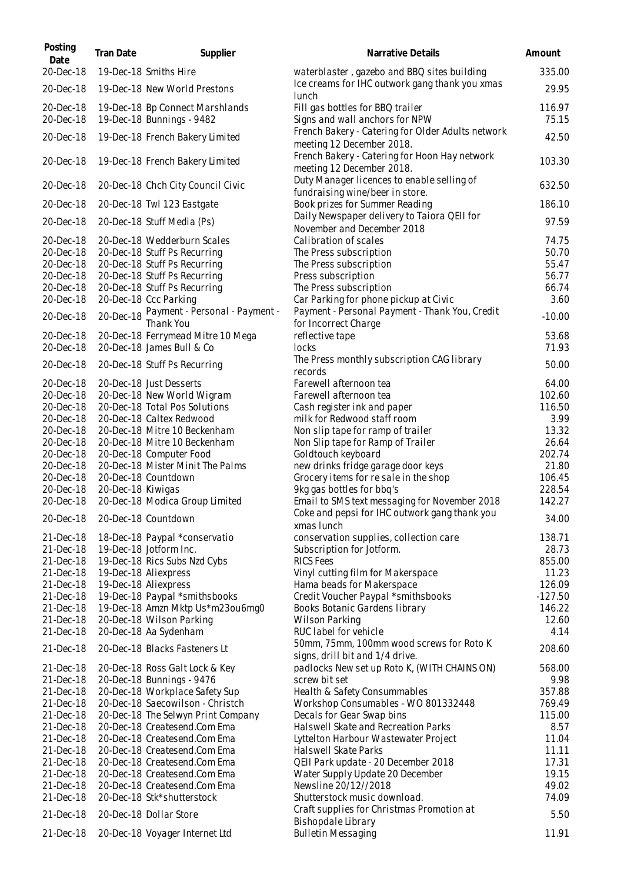| Posting<br>Date        | Tran Date         | Supplier                                                     | Narrative Details                                                               | Amount          |
|------------------------|-------------------|--------------------------------------------------------------|---------------------------------------------------------------------------------|-----------------|
| 20-Dec-18              |                   | 19-Dec-18 Smiths Hire                                        | waterblaster, gazebo and BBQ sites building                                     | 335.00          |
| 20-Dec-18              |                   | 19-Dec-18 New World Prestons                                 | Ice creams for IHC outwork gang thank you xmas<br>lunch                         | 29.95           |
| 20-Dec-18<br>20-Dec-18 |                   | 19-Dec-18 Bp Connect Marshlands<br>19-Dec-18 Bunnings - 9482 | Fill gas bottles for BBQ trailer<br>Signs and wall anchors for NPW              | 116.97<br>75.15 |
| 20-Dec-18              |                   | 19-Dec-18 French Bakery Limited                              | French Bakery - Catering for Older Adults network<br>meeting 12 December 2018.  | 42.50           |
| 20-Dec-18              |                   | 19-Dec-18 French Bakery Limited                              | French Bakery - Catering for Hoon Hay network<br>meeting 12 December 2018.      | 103.30          |
| 20-Dec-18              |                   | 20-Dec-18 Chch City Council Civic                            | Duty Manager licences to enable selling of<br>fundraising wine/beer in store.   | 632.50          |
| 20-Dec-18              |                   | 20-Dec-18 Twl 123 Eastgate                                   | Book prizes for Summer Reading                                                  | 186.10          |
| 20-Dec-18              |                   | 20-Dec-18 Stuff Media (Ps)                                   | Daily Newspaper delivery to Taiora QEII for<br>November and December 2018       | 97.59           |
| 20-Dec-18              |                   | 20-Dec-18 Wedderburn Scales                                  | Calibration of scales                                                           | 74.75           |
| 20-Dec-18              |                   | 20-Dec-18 Stuff Ps Recurring                                 | The Press subscription                                                          | 50.70           |
| 20-Dec-18              |                   | 20-Dec-18 Stuff Ps Recurring                                 | The Press subscription                                                          | 55.47           |
| 20-Dec-18              |                   | 20-Dec-18 Stuff Ps Recurring                                 | Press subscription                                                              | 56.77           |
| 20-Dec-18              |                   | 20-Dec-18 Stuff Ps Recurring                                 | The Press subscription                                                          | 66.74           |
| 20-Dec-18              |                   | 20-Dec-18 Ccc Parking                                        | Car Parking for phone pickup at Civic                                           | 3.60            |
|                        |                   |                                                              | Payment - Personal Payment - Thank You, Credit                                  |                 |
| 20-Dec-18              | 20-Dec-18         | Payment - Personal - Payment -<br>Thank You                  | for Incorrect Charge                                                            | $-10.00$        |
| 20-Dec-18              |                   | 20-Dec-18 Ferrymead Mitre 10 Mega                            | reflective tape                                                                 | 53.68           |
| 20-Dec-18              |                   | 20-Dec-18 James Bull & Co                                    | locks                                                                           | 71.93           |
| 20-Dec-18              |                   | 20-Dec-18 Stuff Ps Recurring                                 | The Press monthly subscription CAG library<br>records                           | 50.00           |
| 20-Dec-18              |                   | 20-Dec-18 Just Desserts                                      | Farewell afternoon tea                                                          | 64.00           |
| 20-Dec-18              |                   | 20-Dec-18 New World Wigram                                   | Farewell afternoon tea                                                          | 102.60          |
| 20-Dec-18              |                   | 20-Dec-18 Total Pos Solutions                                | Cash register ink and paper                                                     | 116.50          |
| 20-Dec-18              |                   | 20-Dec-18 Caltex Redwood                                     | milk for Redwood staff room                                                     | 3.99            |
| 20-Dec-18              |                   | 20-Dec-18 Mitre 10 Beckenham                                 | Non slip tape for ramp of trailer                                               | 13.32           |
| 20-Dec-18              |                   | 20-Dec-18 Mitre 10 Beckenham                                 | Non Slip tape for Ramp of Trailer                                               | 26.64           |
|                        |                   | 20-Dec-18 Computer Food                                      | Goldtouch keyboard                                                              |                 |
| 20-Dec-18              |                   |                                                              |                                                                                 | 202.74          |
| 20-Dec-18              |                   | 20-Dec-18 Mister Minit The Palms                             | new drinks fridge garage door keys                                              | 21.80           |
| 20-Dec-18              |                   | 20-Dec-18 Countdown                                          | Grocery items for re sale in the shop                                           | 106.45          |
| 20-Dec-18              | 20-Dec-18 Kiwigas |                                                              | 9kg gas bottles for bbq's                                                       | 228.54          |
| 20-Dec-18              |                   | 20-Dec-18 Modica Group Limited                               | Email to SMS text messaging for November 2018                                   | 142.27          |
| 20-Dec-18              |                   | 20-Dec-18 Countdown                                          | Coke and pepsi for IHC outwork gang thank you<br>xmas lunch                     | 34.00           |
| 21-Dec-18              |                   | 18-Dec-18 Paypal *conservatio                                | conservation supplies, collection care                                          | 138.71          |
| 21-Dec-18              |                   | 19-Dec-18 Jotform Inc.                                       | Subscription for Jotform.                                                       | 28.73           |
| 21-Dec-18              |                   | 19-Dec-18 Rics Subs Nzd Cybs                                 | <b>RICS Fees</b>                                                                | 855.00          |
| 21-Dec-18              |                   | 19-Dec-18 Aliexpress                                         | Vinyl cutting film for Makerspace                                               | 11.23           |
| 21-Dec-18              |                   | 19-Dec-18 Aliexpress                                         | Hama beads for Makerspace                                                       | 126.09          |
| 21-Dec-18              |                   | 19-Dec-18 Paypal *smithsbooks                                | Credit Voucher Paypal *smithsbooks                                              | $-127.50$       |
| 21-Dec-18              |                   | 19-Dec-18 Amzn Mktp Us*m23ou6mg0                             | Books Botanic Gardens library                                                   | 146.22          |
| 21-Dec-18              |                   | 20-Dec-18 Wilson Parking                                     | <b>Wilson Parking</b>                                                           | 12.60           |
| 21-Dec-18              |                   | 20-Dec-18 Aa Sydenham                                        | RUC label for vehicle                                                           | 4.14            |
| 21-Dec-18              |                   | 20-Dec-18 Blacks Fasteners Lt                                | 50mm, 75mm, 100mm wood screws for Roto K                                        | 208.60          |
| 21-Dec-18              |                   | 20-Dec-18 Ross Galt Lock & Key                               | signs, drill bit and 1/4 drive.<br>padlocks New set up Roto K, (WITH CHAINS ON) | 568.00          |
| 21-Dec-18              |                   | 20-Dec-18 Bunnings - 9476                                    | screw bit set                                                                   | 9.98            |
| 21-Dec-18              |                   | 20-Dec-18 Workplace Safety Sup                               | Health & Safety Consummables                                                    | 357.88          |
| 21-Dec-18              |                   | 20-Dec-18 Saecowilson - Christch                             | Workshop Consumables - WO 801332448                                             | 769.49          |
| 21-Dec-18              |                   | 20-Dec-18 The Selwyn Print Company                           | Decals for Gear Swap bins                                                       | 115.00          |
| 21-Dec-18              |                   | 20-Dec-18 Createsend.Com Ema                                 | Halswell Skate and Recreation Parks                                             | 8.57            |
| 21-Dec-18              |                   | 20-Dec-18 Createsend.Com Ema                                 | Lyttelton Harbour Wastewater Project                                            | 11.04           |
| 21-Dec-18              |                   | 20-Dec-18 Createsend.Com Ema                                 | Halswell Skate Parks                                                            | 11.11           |
| 21-Dec-18              |                   | 20-Dec-18 Createsend.Com Ema                                 | QEII Park update - 20 December 2018                                             | 17.31           |
| 21-Dec-18              |                   | 20-Dec-18 Createsend.Com Ema                                 | Water Supply Update 20 December                                                 | 19.15           |
| 21-Dec-18              |                   |                                                              |                                                                                 | 49.02           |
|                        |                   | 20-Dec-18 Createsend.Com Ema                                 | Newsline 20/12//2018                                                            |                 |
| 21-Dec-18              |                   | 20-Dec-18 Stk*shutterstock                                   | Shutterstock music download.                                                    | 74.09           |
| 21-Dec-18              |                   | 20-Dec-18 Dollar Store                                       | Craft supplies for Christmas Promotion at<br>Bishopdale Library                 | 5.50            |
| 21-Dec-18              |                   | 20-Dec-18 Voyager Internet Ltd                               | <b>Bulletin Messaging</b>                                                       | 11.91           |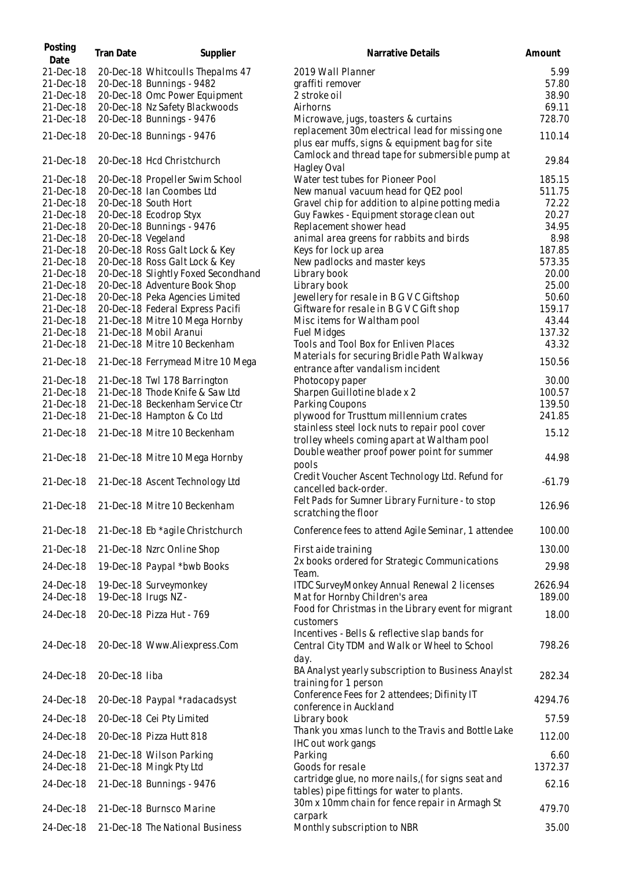| Posting<br>Date        | <b>Tran Date</b>     | Supplier                                                             | Narrative Details                                                                                      | Amount            |
|------------------------|----------------------|----------------------------------------------------------------------|--------------------------------------------------------------------------------------------------------|-------------------|
| 21-Dec-18              |                      | 20-Dec-18 Whitcoulls Thepalms 47                                     | 2019 Wall Planner                                                                                      | 5.99              |
| 21-Dec-18              |                      | 20-Dec-18 Bunnings - 9482                                            | graffiti remover                                                                                       | 57.80             |
| 21-Dec-18              |                      | 20-Dec-18 Omc Power Equipment                                        | 2 stroke oil                                                                                           | 38.90             |
| 21-Dec-18              |                      | 20-Dec-18 Nz Safety Blackwoods                                       | Airhorns                                                                                               | 69.11             |
| 21-Dec-18              |                      | 20-Dec-18 Bunnings - 9476                                            | Microwave, jugs, toasters & curtains                                                                   | 728.70            |
| 21-Dec-18              |                      | 20-Dec-18 Bunnings - 9476                                            | replacement 30m electrical lead for missing one<br>plus ear muffs, signs & equipment bag for site      | 110.14            |
| 21-Dec-18              |                      | 20-Dec-18 Hcd Christchurch                                           | Camlock and thread tape for submersible pump at<br>Hagley Oval                                         | 29.84             |
| 21-Dec-18              |                      | 20-Dec-18 Propeller Swim School                                      | Water test tubes for Pioneer Pool                                                                      | 185.15            |
| 21-Dec-18              |                      | 20-Dec-18 Ian Coombes Ltd                                            | New manual vacuum head for QE2 pool                                                                    | 511.75            |
| 21-Dec-18              |                      | 20-Dec-18 South Hort                                                 | Gravel chip for addition to alpine potting media                                                       | 72.22             |
| 21-Dec-18              |                      | 20-Dec-18 Ecodrop Styx                                               | Guy Fawkes - Equipment storage clean out                                                               | 20.27             |
| 21-Dec-18              |                      | 20-Dec-18 Bunnings - 9476                                            | Replacement shower head                                                                                | 34.95             |
| 21-Dec-18              | 20-Dec-18 Vegeland   |                                                                      | animal area greens for rabbits and birds                                                               | 8.98              |
| 21-Dec-18              |                      | 20-Dec-18 Ross Galt Lock & Key                                       | Keys for lock up area                                                                                  | 187.85            |
| 21-Dec-18              |                      | 20-Dec-18 Ross Galt Lock & Key                                       | New padlocks and master keys                                                                           | 573.35            |
| 21-Dec-18<br>21-Dec-18 |                      | 20-Dec-18 Slightly Foxed Secondhand<br>20-Dec-18 Adventure Book Shop | Library book<br>Library book                                                                           | 20.00<br>25.00    |
| 21-Dec-18              |                      | 20-Dec-18 Peka Agencies Limited                                      | Jewellery for resale in B G V C Giftshop                                                               | 50.60             |
| 21-Dec-18              |                      | 20-Dec-18 Federal Express Pacifi                                     | Giftware for resale in B G V C Gift shop                                                               | 159.17            |
| 21-Dec-18              |                      | 21-Dec-18 Mitre 10 Mega Hornby                                       | Misc items for Waltham pool                                                                            | 43.44             |
| 21-Dec-18              |                      | 21-Dec-18 Mobil Aranui                                               | <b>Fuel Midges</b>                                                                                     | 137.32            |
| 21-Dec-18              |                      | 21-Dec-18 Mitre 10 Beckenham                                         | Tools and Tool Box for Enliven Places                                                                  | 43.32             |
|                        |                      |                                                                      | Materials for securing Bridle Path Walkway                                                             |                   |
| 21-Dec-18              |                      | 21-Dec-18 Ferrymead Mitre 10 Mega                                    | entrance after vandalism incident                                                                      | 150.56            |
| 21-Dec-18              |                      | 21-Dec-18 Twl 178 Barrington                                         | Photocopy paper                                                                                        | 30.00             |
| 21-Dec-18              |                      | 21-Dec-18 Thode Knife & Saw Ltd                                      | Sharpen Guillotine blade x 2                                                                           | 100.57            |
| 21-Dec-18              |                      | 21-Dec-18 Beckenham Service Ctr                                      | Parking Coupons                                                                                        | 139.50            |
| 21-Dec-18              |                      | 21-Dec-18 Hampton & Co Ltd                                           | plywood for Trusttum millennium crates                                                                 | 241.85            |
| 21-Dec-18              |                      | 21-Dec-18 Mitre 10 Beckenham                                         | stainless steel lock nuts to repair pool cover                                                         | 15.12             |
|                        |                      |                                                                      | trolley wheels coming apart at Waltham pool<br>Double weather proof power point for summer             |                   |
| 21-Dec-18              |                      | 21-Dec-18 Mitre 10 Mega Hornby                                       | pools                                                                                                  | 44.98             |
| 21-Dec-18              |                      | 21-Dec-18 Ascent Technology Ltd                                      | Credit Voucher Ascent Technology Ltd. Refund for<br>cancelled back-order.                              | $-61.79$          |
|                        |                      | 21-Dec-18 21-Dec-18 Mitre 10 Beckenham                               | Felt Pads for Sumner Library Furniture - to stop<br>scratching the floor                               | 126.96            |
| 21-Dec-18              |                      | 21-Dec-18 Eb *agile Christchurch                                     | Conference fees to attend Agile Seminar, 1 attendee                                                    | 100.00            |
| 21-Dec-18              |                      | 21-Dec-18 Nzrc Online Shop                                           | First aide training                                                                                    | 130.00            |
| 24-Dec-18              |                      | 19-Dec-18 Paypal *bwb Books                                          | 2x books ordered for Strategic Communications<br>Team.                                                 | 29.98             |
| 24-Dec-18<br>24-Dec-18 | 19-Dec-18 Irugs NZ - | 19-Dec-18 Surveymonkey                                               | ITDC SurveyMonkey Annual Renewal 2 licenses<br>Mat for Hornby Children's area                          | 2626.94<br>189.00 |
| 24-Dec-18              |                      | 20-Dec-18 Pizza Hut - 769                                            | Food for Christmas in the Library event for migrant<br>customers                                       | 18.00             |
| 24-Dec-18              |                      | 20-Dec-18 Www.Aliexpress.Com                                         | Incentives - Bells & reflective slap bands for<br>Central City TDM and Walk or Wheel to School<br>day. | 798.26            |
| 24-Dec-18              | 20-Dec-18 liba       |                                                                      | BA Analyst yearly subscription to Business Anaylst<br>training for 1 person                            | 282.34            |
| 24-Dec-18              |                      | 20-Dec-18 Paypal *radacadsyst                                        | Conference Fees for 2 attendees; Difinity IT<br>conference in Auckland                                 | 4294.76           |
| 24-Dec-18              |                      | 20-Dec-18 Cei Pty Limited                                            | Library book                                                                                           | 57.59             |
| 24-Dec-18              |                      | 20-Dec-18 Pizza Hutt 818                                             | Thank you xmas lunch to the Travis and Bottle Lake<br>IHC out work gangs                               | 112.00            |
| 24-Dec-18              |                      | 21-Dec-18 Wilson Parking                                             | Parking                                                                                                | 6.60              |
| 24-Dec-18              |                      | 21-Dec-18 Mingk Pty Ltd                                              | Goods for resale                                                                                       | 1372.37           |
| 24-Dec-18              |                      | 21-Dec-18 Bunnings - 9476                                            | cartridge glue, no more nails, (for signs seat and<br>tables) pipe fittings for water to plants.       | 62.16             |
| 24-Dec-18              |                      | 21-Dec-18 Burnsco Marine                                             | 30m x 10mm chain for fence repair in Armagh St<br>carpark                                              | 479.70            |
| 24-Dec-18              |                      | 21-Dec-18 The National Business                                      | Monthly subscription to NBR                                                                            | 35.00             |